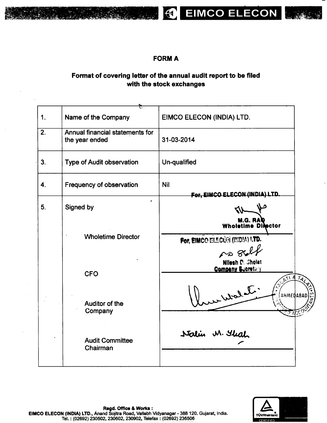

**SEIMCO ELECON** 

### **FORM A**

### Format of covering letter of the annual audit report to be filed with the stock exchanges

| 1. | Name of the Company                               | EIMCO ELECON (INDIA) LTD.                                           |
|----|---------------------------------------------------|---------------------------------------------------------------------|
| 2. | Annual financial statements for<br>the year ended | 31-03-2014                                                          |
| 3. | <b>Type of Audit observation</b>                  | Un-qualified                                                        |
| 4. | Frequency of observation                          | <b>Nil</b><br>For, EIMCO ELECON (INDIA) LTD.                        |
| 5. | ٠<br>Signed by                                    | M.G. RA <b>t</b>                                                    |
|    |                                                   | <b>Wholetime Dilector</b>                                           |
|    | <b>Wholetime Director</b>                         | For, EIMCO ELECCR (INDIA) LTD.<br>no 86l                            |
|    | <b>CFO</b>                                        | Nilesh D. Sholat<br><b>Company Sucretary</b><br>$k$ $n_{\tilde{A}}$ |
|    | Auditor of the<br>Company                         | en Walat.<br>15.9<br>AHMEDABAD                                      |
|    | <b>Audit Committee</b><br>Chairman                | Nalin M. Yleah                                                      |

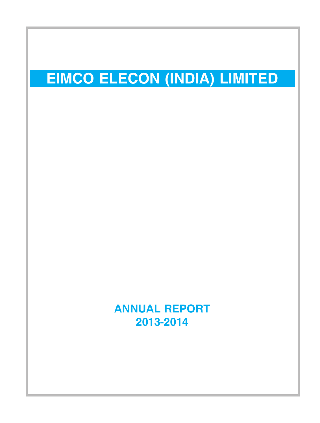# **EIMCO ELECON (INDIA) LIMITED**

**EIMCO ELECON (INDIA) LIMITED**

40th Annual Report\_2013-14 1

**ANNUAL REPORT 2013-2014**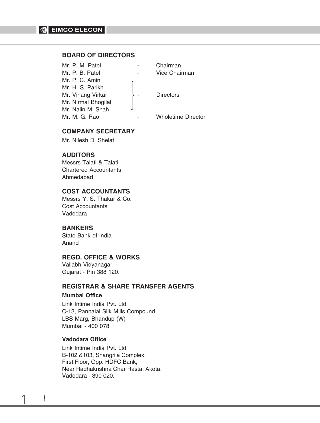#### **BOARD OF DIRECTORS**

| Mr. P. M. Patel     | Chairman                  |
|---------------------|---------------------------|
| Mr. P. B. Patel     | Vice Chairman             |
| Mr. P. C. Amin      |                           |
| Mr. H. S. Parikh    |                           |
| Mr. Vihang Virkar   | <b>Directors</b>          |
| Mr. Nirmal Bhogilal |                           |
| Mr. Nalin M. Shah   |                           |
| Mr. M. G. Rao       | <b>Wholetime Director</b> |
|                     |                           |

### **COMPANY SECRETARY**

Mr. Nilesh D. Shelat

### **AUDITORS**

Messrs Talati & Talati Chartered Accountants Ahmedabad

### **COST ACCOUNTANTS**

Messrs Y. S. Thakar & Co. Cost Accountants Vadodara

### **BANKERS**

State Bank of India Anand

### **REGD. OFFICE & WORKS**

Vallabh Vidyanagar Gujarat - Pin 388 120.

### **REGISTRAR & SHARE TRANSFER AGENTS Mumbai Office**

Link Intime India Pvt. Ltd. C-13, Pannalal Silk Mills Compound LBS Marg, Bhandup (W) Mumbai - 400 078

### **Vadodara Office**

1

Link Intime India Pvt. Ltd. B-102 &103, Shangrila Complex, First Floor, Opp. HDFC Bank, Near Radhakrishna Char Rasta, Akota. Vadodara - 390 020.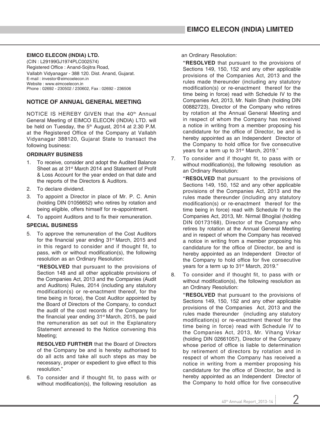#### **EIMCO ELECON (INDIA) LTD.**

(CIN : L29199GJ1974PLC002574) Registered Office : Anand-Sojitra Road, Vallabh Vidyanagar - 388 120. Dist. Anand, Gujarat. E-mail : investor@eimcoelecon.in Website : www.eimcoelecon.in Phone : 02692 - 230502 / 230602, Fax : 02692 - 236506

### **NOTICE OF ANNUAL GENERAL MEETING**

NOTICE IS HEREBY GIVEN that the 40<sup>th</sup> Annual General Meeting of EIMCO ELECON (INDIA) LTD. will be held on Tuesday, the  $5<sup>th</sup>$  August, 2014 at 2.30 P.M. at the Registered Office of the Company at Vallabh Vidyanagar 388120, Gujarat State to transact the following business:

#### **ORDINARY BUSINESS**

- 1. To receive, consider and adopt the Audited Balance Sheet as at 31<sup>st</sup> March 2014 and Statement of Profit & Loss Account for the year ended on that date and the reports of the Directors & Auditors.
- 2. To declare dividend.
- 3. To appoint a Director in place of Mr. P. C. Amin (holding DIN 01056652) who retires by rotation and being eligible, offers himself for re-appointment.
- 4. To appoint Auditors and to fix their remuneration.

### **SPECIAL BUSINESS**

5. To approve the remuneration of the Cost Auditors for the financial year ending 31<sup>st</sup> March, 2015 and in this regard to consider and if thought fit, to pass, with or without modification(s), the following resolution as an Ordinary Resolution:

**"RESOLVED** that pursuant to the provisions of Section 148 and all other applicable provisions of the Companies Act, 2013 and the Companies (Audit and Auditors) Rules, 2014 (including any statutory modification(s) or re-enactment thereof, for the time being in force), the Cost Auditor appointed by the Board of Directors of the Company, to conduct the audit of the cost records of the Company for the financial year ending 31<sup>st</sup> March, 2015, be paid the remuneration as set out in the Explanatory Statement annexed to the Notice convening this Meeting;

**RESOLVED FURTHER** that the Board of Directors of the Company be and is hereby authorised to do all acts and take all such steps as may be necessary, proper or expedient to give effect to this resolution."

6. To consider and if thought fit, to pass with or without modification(s), the following resolution as an Ordinary Resolution:

**"RESOLVED** that pursuant to the provisions of Sections 149, 150, 152 and any other applicable provisions of the Companies Act, 2013 and the rules made thereunder (including any statutory modification(s) or re-enactment thereof for the time being in force) read with Schedule IV to the Companies Act, 2013, Mr. Nalin Shah (holding DIN 00882723), Director of the Company who retires by rotation at the Annual General Meeting and in respect of whom the Company has received a notice in writing from a member proposing his candidature for the office of Director, be and is hereby appointed as an Independent Director of the Company to hold office for five consecutive years for a term up to 31<sup>st</sup> March, 2019."

7. To consider and if thought fit, to pass with or without modification(s), the following resolution as an Ordinary Resolution:

**"RESOLVED** that pursuant to the provisions of Sections 149, 150, 152 and any other applicable provisions of the Companies Act, 2013 and the rules made thereunder (including any statutory modification(s) or re-enactment thereof for the time being in force) read with Schedule IV to the Companies Act, 2013, Mr. Nirmal Bhogilal (holding DIN 00173168), Director of the Company who retires by rotation at the Annual General Meeting and in respect of whom the Company has received a notice in writing from a member proposing his candidature for the office of Director, be and is hereby appointed as an Independent Director of the Company to hold office for five consecutive years for a term up to 31<sup>st</sup> March, 2019."

8. To consider and if thought fit, to pass with or without modification(s), the following resolution as an Ordinary Resolution:

**"RESOLVED** that pursuant to the provisions of Sections 149, 150, 152 and any other applicable provisions of the Companies Act, 2013 and the rules made thereunder (including any statutory modification(s) or re-enactment thereof for the time being in force) read with Schedule IV to the Companies Act, 2013, Mr. Vihang Virkar (holding DIN 02661057), Director of the Company whose period of office is liable to determination by retirement of directors by rotation and in respect of whom the Company has received a notice in writing from a member proposing his candidature for the office of Director, be and is hereby appointed as an Independent Director of the Company to hold office for five consecutive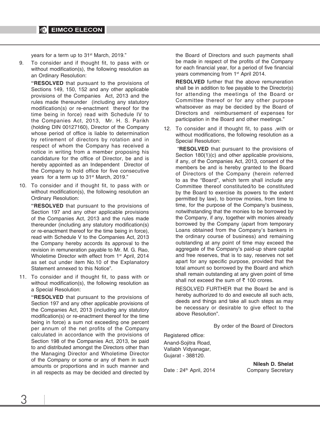years for a term up to 31<sup>st</sup> March, 2019."

9. To consider and if thought fit, to pass with or without modification(s), the following resolution as an Ordinary Resolution:

**"RESOLVED** that pursuant to the provisions of Sections 149, 150, 152 and any other applicable provisions of the Companies Act, 2013 and the rules made thereunder (including any statutory modification(s) or re-enactment thereof for the time being in force) read with Schedule IV to the Companies Act, 2013, Mr. H. S. Parikh (holding DIN 00127160), Director of the Company whose period of office is liable to determination by retirement of directors by rotation and in respect of whom the Company has received a notice in writing from a member proposing his candidature for the office of Director, be and is hereby appointed as an Independent Director of the Company to hold office for five consecutive years for a term up to 31<sup>st</sup> March, 2019."

10. To consider and if thought fit, to pass with or without modification(s), the following resolution an Ordinary Resolution:

**"RESOLVED** that pursuant to the provisions of Section 197 and any other applicable provisions of the Companies Act, 2013 and the rules made thereunder (including any statutory modification(s) or re-enactment thereof for the time being in force), read with Schedule V to the Companies Act, 2013 the Company hereby accords its approval to the revision in remuneration payable to Mr. M. G. Rao, Wholetime Director with effect from 1<sup>st</sup> April, 2014 as set out under item No.10 of the Explanatory Statement annexed to this Notice".

11. To consider and if thought fit, to pass with or without modification(s), the following resolution as a Special Resolution:

**"RESOLVED** that pursuant to the provisions of Section 197 and any other applicable provisions of the Companies Act, 2013 (including any statutory modification(s) or re-enactment thereof for the time being in force) a sum not exceeding one percent per annum of the net profits of the Company calculated in accordance with the provisions of Section 198 of the Companies Act, 2013, be paid to and distributed amongst the Directors other than the Managing Director and Wholetime Director of the Company or some or any of them in such amounts or proportions and in such manner and in all respects as may be decided and directed by

the Board of Directors and such payments shall be made in respect of the profits of the Company for each financial year, for a period of five financial years commencing from 1<sup>st</sup> April 2014.

**RESOLVED** further that the above remuneration shall be in addition to fee payable to the Director(s) for attending the meetings of the Board or Committee thereof or for any other purpose whatsoever as may be decided by the Board of Directors and reimbursement of expenses for participation in the Board and other meetings."

12. To consider and if thought fit, to pass ,with or without modifications, the following resolution as a Special Resolution:

 "**RESOLVED** that pursuant to the provisions of Section 180(1)(c) and other applicable provisions, if any, of the Companies Act, 2013, consent of the members be and is hereby granted to the Board of Directors of the Company (herein referred to as the "Board", which term shall include any Committee thereof constituted/to be constituted by the Board to exercise its powers to the extent permitted by law), to borrow monies, from time to time, for the purpose of the Company's business, notwithstanding that the monies to be borrowed by the Company, if any, together with monies already borrowed by the Company (apart from temporary Loans obtained from the Company's bankers in the ordinary course of business) and remaining outstanding at any point of time may exceed the aggregate of the Company's paid-up share capital and free reserves, that is to say, reserves not set apart for any specific purpose, provided that the total amount so borrowed by the Board and which shall remain outstanding at any given point of time shall not exceed the sum of  $\bar{z}$  100 crores.

RESOLVED FURTHER that the Board be and is hereby authorized to do and execute all such acts, deeds and things and take all such steps as may be necessary or desirable to give effect to the above Resolution".

By order of the Board of Directors

Registered office: Anand-Sojitra Road, Vallabh Vidyanagar, Gujarat - 388120.

Date : 24<sup>th</sup> April, 2014 Company Secretary

**Nilesh D. Shelat**

3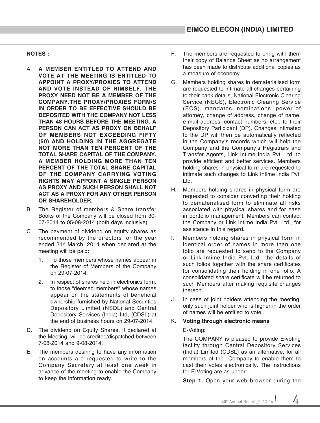**NOTES :**

- A. **A MEMBER ENTITLED TO ATTEND AND VOTE AT THE MEETING IS ENTITLED TO APPOINT A PROXY/PROXIES TO ATTEND AND VOTE INSTEAD OF HIMSELF. THE PROXY NEED NOT BE A MEMBER OF THE COMPANY.THE PROXY/PROXIES FORM/S IN ORDER TO BE EFFECTIVE SHOULD BE DEPOSITED WITH THE COMPANY NOT LESS THAN 48 HOURS BEFORE THE MEETING. A PERSON CAN ACT AS PROXY ON BEHALF OF MEMBERS NOT EXCEEDING FIFTY (50) AND HOLDING IN THE AGGREGATE NOT MORE THAN TEN PERCENT OF THE TOTAL SHARE CAPITAL OF THE COMPANY. A MEMBER HOLDING MORE THAN TEN PERCENT OF THE TOTAL SHARE CAPITAL OF THE COMPANY CARRYING VOTING RIGHTS MAY APPOINT A SINGLE PERSON AS PROXY AND SUCH PERSON SHALL NOT ACT AS A PROXY FOR ANY OTHER PERSON OR SHAREHOLDER.**
- B. The Register of members & Share transfer Books of the Company will be closed from 30- 07-2014 to 05-08-2014 (both days inclusive).
- C. The payment of dividend on equity shares as recommended by the directors for the year ended 31st March, 2014 when declared at the meeting will be paid:
	- 1. To those members whose names appear in the Register of Members of the Company on 29-07-2014;
	- 2. In respect of shares held in electronics form, to those "deemed members" whose names appear on the statements of beneficial ownership furnished by National Securities Depository Limited (NSDL) and Central Depository Services (India) Ltd, (CDSL) at the end of business hours on 29-07-2014.
- D. The dividend on Equity Shares, if declared at the Meeting, will be credited/dispatched between 7-08-2014 and 9-08-2014.
- E. The members desiring to have any information on accounts are requested to write to the Company Secretary at least one week in advance of the meeting to enable the Company to keep the information ready.
- F. The members are requested to bring with them their copy of Balance Sheet as no arrangement has been made to distribute additional copies as a measure of economy.
- G. Members holding shares in dematerialised form are requested to intimate all changes pertaining to their bank details, National Electronic Clearing Service (NECS), Electronic Clearing Service (ECS), mandates, nominations, power of attorney, change of address, change of name, e-mail address, contact numbers, etc., to their Depository Participant (DP). Changes intimated to the DP will then be automatically reflected in the Company's records which will help the Company and the Company's Registrars and Transfer Agents, Link Intime India Pvt. Ltd. to provide efficient and better services. Members holding shares in physical form are requested to intimate such changes to Link Intime India Pvt. Ltd.
- H. Members holding shares in physical form are requested to consider converting their holding to dematerialised form to eliminate all risks associated with physical shares and for ease in portfolio management. Members can contact the Company or Link Intime India Pvt. Ltd., for assistance in this regard.
- I. Members holding shares in physical form in identical order of names in more than one folio are requested to send to the Company or Link Intime India Pvt. Ltd., the details of such folios together with the share certificates for consolidating their holding in one folio. A consolidated share certificate will be returned to such Members after making requisite changes thereon.
- J. In case of joint holders attending the meeting, only such joint holder who is higher in the order of names will be entitled to vote.

### K. **Voting through electronic means**

### E-Voting:

The COMPANY is pleased to provide E-voting facility through Central Depository Services (India) Limited (CDSL) as an alternative, for all members of the Company to enable them to cast their votes electronically. The instructions for E-Voting are as under:

**Step 1.** Open your web browser during the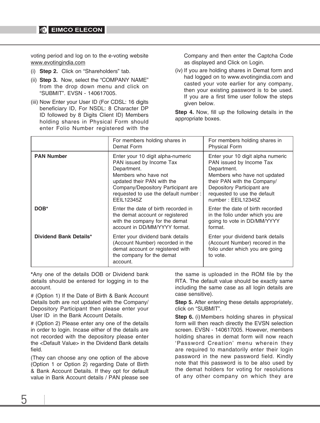voting period and log on to the e-voting website www.evotingindia.com

- (i) **Step 2.** Click on "Shareholders" tab.
- (ii) **Step 3.** Now, select the "COMPANY NAME" from the drop down menu and click on "SUBMIT". EVSN - 140617005.
- (iii) Now Enter your User ID (For CDSL: 16 digits beneficiary ID, For NSDL: 8 Character DP ID followed by 8 Digits Client ID) Members holding shares in Physical Form should enter Folio Number registered with the

Company and then enter the Captcha Code as displayed and Click on Login.

(iv) If you are holding shares in Demat form and had logged on to www.evotingindia.com and casted your vote earlier for any company, then your existing password is to be used. If you are a first time user follow the steps given below.

**Step 4.** Now, fill up the following details in the appropriate boxes.

|                        | For members holding shares in<br>Demat Form                                                                                                                                                                                     | For members holding shares in<br><b>Physical Form</b>                                                                                                                                                                           |
|------------------------|---------------------------------------------------------------------------------------------------------------------------------------------------------------------------------------------------------------------------------|---------------------------------------------------------------------------------------------------------------------------------------------------------------------------------------------------------------------------------|
| <b>PAN Number</b>      | Enter your 10 digit alpha-numeric<br>PAN issued by Income Tax<br>Department.<br>Members who have not<br>updated their PAN with the<br>Company/Depository Participant are<br>requested to use the default number :<br>EEIL12345Z | Enter your 10 digit alpha numeric<br>PAN issued by Income Tax<br>Department.<br>Members who have not updated<br>their PAN with the Company/<br>Depository Participant are<br>requested to use the default<br>number: EEIL12345Z |
| DOB*                   | Enter the date of birth recorded in<br>the demat account or registered<br>with the company for the demat<br>account in DD/MM/YYYY format.                                                                                       | Enter the date of birth recorded<br>in the folio under which you are<br>going to vote in DD/MM/YYYY<br>format.                                                                                                                  |
| Dividend Bank Details* | Enter your dividend bank details<br>(Account Number) recorded in the<br>demat account or registered with<br>the company for the demat<br>account.                                                                               | Enter your dividend bank details<br>(Account Number) recored in the<br>folio under which you are going<br>to vote.                                                                                                              |

**\***Any one of the details DOB or Dividend bank details should be entered for logging in to the account.

# (Option 1) If the Date of Birth & Bank Account Details both are not updated with the Company/ Depository Participant then please enter your User ID in the Bank Account Details.

# (Option 2) Please enter any one of the details in order to login. Incase either of the details are not recorded with the depository please enter the <Default Value> in the Dividend Bank details field.

(They can choose any one option of the above (Option 1 or Option 2) regarding Date of Birth & Bank Account Details. If they opt for default value in Bank Account details / PAN please see

the same is uploaded in the ROM file by the RTA. The default value should be exactly same including the same case as all login details are case sensitive).

**Step 5.** After entering these details appropriately, click on "SUBMIT".

**Step 6.** (i) Members holding shares in physical form will then reach directly the EVSN selection screen. EVSN - 140617005. However, members holding shares in demat form will now reach 'Password Creation' menu wherein they are required to mandatorily enter their login password in the new password field. Kindly note that this password is to be also used by the demat holders for voting for resolutions of any other company on which they are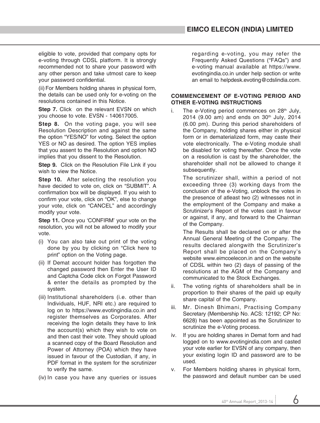eligible to vote, provided that company opts for e-voting through CDSL platform. It is strongly recommended not to share your password with any other person and take utmost care to keep your password confidential.

(ii) For Members holding shares in physical form, the details can be used only for e-voting on the resolutions contained in this Notice.

**Step 7.** Click on the relevant EVSN on which you choose to vote. EVSN - 140617005.

**Step 8.** On the voting page, you will see Resolution Description and against the same the option "YES/NO" for voting. Select the option YES or NO as desired. The option YES implies that you assent to the Resolution and option NO implies that you dissent to the Resolution.

**Step 9.** Click on the Resolution File Link if you wish to view the Notice.

**Step 10.** After selecting the resolution you have decided to vote on, click on "SUBMIT". A confirmation box will be displayed. If you wish to confirm your vote, click on "OK", else to change your vote, click on "CANCEL" and accordingly modify your vote.

**Step 11.** Once you 'CONFIRM' your vote on the resolution, you will not be allowed to modify your vote.

- (i) You can also take out print of the voting done by you by clicking on "Click here to print" option on the Voting page.
- (ii) If Demat account holder has forgotten the changed password then Enter the User ID and Captcha Code click on Forgot Password & enter the details as prompted by the system.
- (iii) Institutional shareholders (i.e. other than Individuals, HUF, NRI etc.) are required to log on to https://www.evotingindia.co.in and register themselves as Corporates. After receiving the login details they have to link the account(s) which they wish to vote on and then cast their vote. They should upload a scanned copy of the Board Resolution and Power of Attorney (POA) which they have issued in favour of the Custodian, if any, in PDF format in the system for the scrutinizer to verify the same.
- (iv) In case you have any queries or issues

regarding e-voting, you may refer the Frequently Asked Questions ("FAQs") and e-voting manual available at https://www. evotingindia.co.in under help section or write an email to helpdesk.evoting@cdslindia.com.

#### **COMMENCEMENT OF E-VOTING PERIOD AND OTHER E-VOTING INSTRUCTIONS**

i. The e-Voting period commences on  $28<sup>th</sup>$  July, 2014 (9.00 am) and ends on 30<sup>th</sup> July, 2014 (6.00 pm). During this period shareholders of the Company, holding shares either in physical form or in dematerialized form, may caste their vote electronically. The e-Voting module shall be disabled for voting thereafter. Once the vote on a resolution is cast by the shareholder, the shareholder shall not be allowed to change it subsequently.

The scrutinizer shall, within a period of not exceeding three (3) working days from the conclusion of the e-Voting, unblock the votes in the presence of atleast two (2) witnesses not in the employment of the Company and make a Scrutinizer's Report of the votes cast in favour or against, if any, and forward to the Chairman of the Company.

The Results shall be declared on or after the Annual General Meeting of the Company. The results declared alongwith the Scrutinizer's Report shall be placed on the Company's website www.eimcoelecon.in and on the website of CDSL within two (2) days of passing of the resolutions at the AGM of the Company and communicated to the Stock Exchanges.

- ii. The voting rights of shareholders shall be in proportion to their shares of the paid up equity share capital of the Company.
- iii. Mr. Dinesh Bhimani, Practising Company Secretary (Membership No. ACS: 12192; CP No: 6628) has been appointed as the Scrutinizer to scrutinize the e-Voting process.
- iv. If you are holding shares in Demat form and had logged on to www.evotingindia.com and casted your vote earlier for EVSN of any company, then your existing login ID and password are to be used.
- v. For Members holding shares in physical form, the password and default number can be used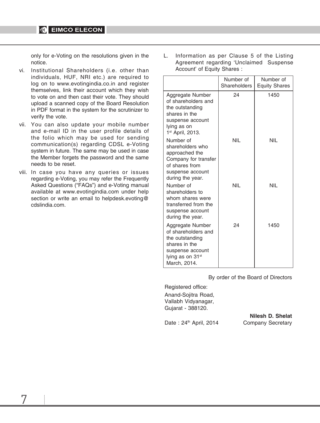only for e-Voting on the resolutions given in the notice.

- vi. Institutional Shareholders (i.e. other than individuals, HUF, NRI etc.) are required to log on to www.evotingindia.co.in and register themselves, link their account which they wish to vote on and then cast their vote. They should upload a scanned copy of the Board Resolution in PDF format in the system for the scrutinizer to verify the vote.
- vii. You can also update your mobile number and e-mail ID in the user profile details of the folio which may be used for sending communication(s) regarding CDSL e-Voting system in future. The same may be used in case the Member forgets the password and the same needs to be reset.
- viii. In case you have any queries or issues regarding e-Voting, you may refer the Frequently Asked Questions ("FAQs") and e-Voting manual available at www.evotingindia.com under help section or write an email to helpdesk.evoting@ cdslindia.com.

L. Information as per Clause 5 of the Listing Agreement regarding 'Unclaimed Suspense Account' of Equity Shares :

|                                                                                                                                                 | Number of<br>Shareholders | Number of<br><b>Equity Shares</b> |
|-------------------------------------------------------------------------------------------------------------------------------------------------|---------------------------|-----------------------------------|
| Aggregate Number<br>of shareholders and<br>the outstanding<br>shares in the<br>suspense account<br>lying as on<br>1st April, 2013.              | 24                        | 1450                              |
| Number of<br>shareholders who<br>approached the<br>Company for transfer<br>of shares from<br>suspense account<br>during the year.               | <b>NIL</b>                | <b>NIL</b>                        |
| Number of<br>shareholders to<br>whom shares were<br>transferred from the<br>suspense account<br>during the year.                                | <b>NIL</b>                | <b>NIL</b>                        |
| Aggregate Number<br>of shareholders and<br>the outstanding<br>shares in the<br>suspense account<br>lying as on 31 <sup>st</sup><br>March, 2014. | 24                        | 1450                              |

By order of the Board of Directors

Registered office:

Anand-Sojitra Road, Vallabh Vidyanagar, Gujarat - 388120.

Date : 24<sup>th</sup> April, 2014 Company Secretary

**Nilesh D. Shelat**

7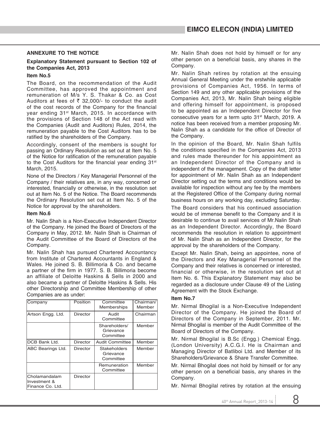#### **ANNEXURE TO THE NOTICE**

#### **Explanatory Statement pursuant to Section 102 of the Companies Act, 2013**

#### **Item No.5**

The Board, on the recommendation of the Audit Committee, has approved the appointment and remuneration of M/s Y. S. Thakar & Co. as Cost Auditors at fees of  $\bar{\tau}$  32,000/- to conduct the audit of the cost records of the Company for the financial year ending 31<sup>st</sup> March, 2015. In accordance with the provisions of Section 148 of the Act read with the Companies (Audit and Auditors) Rules, 2014, the remuneration payable to the Cost Auditors has to be ratified by the shareholders of the Company.

Accordingly, consent of the members is sought for passing an Ordinary Resolution as set out at Item No. 5 of the Notice for ratification of the remuneration payable to the Cost Auditors for the financial year ending 31<sup>st</sup> March, 2015.

None of the Directors / Key Managerial Personnel of the Company / their relatives are, in any way, concerned or interested, financially or otherwise, in the resolution set out at Item No. 5 of the Notice. The Board recommends the Ordinary Resolution set out at Item No. 5 of the Notice for approval by the shareholders.

#### **Item No.6**

Mr. Nalin Shah is a Non-Executive Independent Director of the Company. He joined the Board of Directors of the Company in May, 2012. Mr. Nalin Shah is Chairman of the Audit Committee of the Board of Directors of the Company.

Mr. Nalin Shah has pursued Chartered Accountancy from Institute of Chartered Accountants in England & Wales. He joined S. B. Billimoria & Co. and became a partner of the firm in 1977. S. B. Billimoria become an affiliate of Deloitte Haskins & Sells in 2000 and also became a partner of Deloitte Haskins & Sells. His other Directorship and Committee Membership of other Companies are as under:

| Company                                           | Position | Committee<br>Memberships                | Chairman/<br>Member |
|---------------------------------------------------|----------|-----------------------------------------|---------------------|
| Artson Engg. Ltd.                                 | Director | Audit<br>Committee                      | Chairman            |
|                                                   |          | Shareholders/<br>Grievance<br>Committee | Member              |
| DCB Bank Ltd.                                     | Director | Audit Committee                         | Member              |
| ABC Bearings Ltd.                                 | Director | Stakeholders<br>Grievance<br>Committee  | Member              |
|                                                   |          | Remuneration<br>Committee               | Member              |
| Cholamandalam<br>Investment &<br>Finance Co. Ltd. | Director |                                         |                     |

Mr. Nalin Shah does not hold by himself or for any other person on a beneficial basis, any shares in the Company.

Mr. Nalin Shah retires by rotation at the ensuing Annual General Meeting under the erstwhile applicable provisions of Companies Act, 1956. In terms of Section 149 and any other applicable provisions of the Companies Act, 2013, Mr. Nalin Shah being eligible and offering himself for appointment, is proposed to be appointed as an Independent Director for five consecutive years for a term upto 31st March, 2019. A notice has been received from a member proposing Mr. Nalin Shah as a candidate for the office of Director of the Company.

In the opinion of the Board, Mr. Nalin Shah fulfils the conditions specified in the Companies Act, 2013 and rules made thereunder for his appointment as an Independent Director of the Company and is independent of the management. Copy of the draft letter for appointment of Mr. Nalin Shah as an Independent Director setting out the terms and conditions would be available for inspection without any fee by the members at the Registered Office of the Company during normal business hours on any working day, excluding Saturday.

The Board considers that his continued association would be of immense benefit to the Company and it is desirable to continue to avail services of Mr.Nalin Shah as an Independent Director. Accordingly, the Board recommends the resolution in relation to appointment of Mr. Nalin Shah as an Independent Director, for the approval by the shareholders of the Company.

Except Mr. Nalin Shah, being an appointee, none of the Directors and Key Managerial Personnel of the Company and their relatives is concerned or interested, financial or otherwise, in the resolution set out at Item No. 6. This Explanatory Statement may also be regarded as a disclosure under Clause 49 of the Listing Agreement with the Stock Exchange.

#### **Item No.7**

Mr. Nirmal Bhogilal is a Non-Executive Independent Director of the Company. He joined the Board of Directors of the Company in September, 2011. Mr. Nirmal Bhogilal is member of the Audit Committee of the Board of Directors of the Company.

Mr. Nirmal Bhogilal is B.Sc (Engg.) Chemical Engg. (London University) A.C.G.I. He is Chairman and Managing Director of Batliboi Ltd. and Member of its Shareholders/Grievance & Share Transfer Committee.

Mr. Nirmal Bhogilal does not hold by himself or for any other person on a beneficial basis, any shares in the Company.

Mr. Nirmal Bhogilal retires by rotation at the ensuing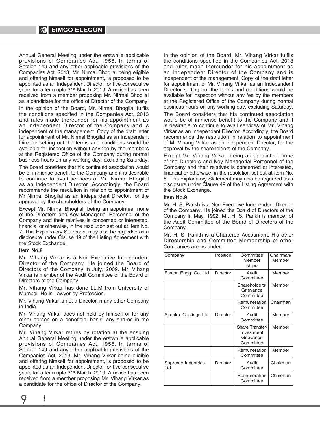Annual General Meeting under the erstwhile applicable provisions of Companies Act, 1956. In terms of Section 149 and any other applicable provisions of the Companies Act, 2013, Mr. Nirmal Bhogilal being eligible and offering himself for appointment, is proposed to be appointed as an Independent Director for five consecutive years for a term upto 31<sup>st</sup> March, 2019. A notice has been received from a member proposing Mr. Nirmal Bhogilal as a candidate for the office of Director of the Company.

In the opinion of the Board, Mr. Nirmal Bhogilal fulfils the conditions specified in the Companies Act, 2013 and rules made thereunder for his appointment as an Independent Director of the Company and is independent of the management. Copy of the draft letter for appointment of Mr. Nirmal Bhogilal as an Independent Director setting out the terms and conditions would be available for inspection without any fee by the members at the Registered Office of the Company during normal business hours on any working day, excluding Saturday.

The Board considers that his continued association would be of immense benefit to the Company and it is desirable to continue to avail services of Mr. Nirmal Bhogilal as an Independent Director. Accordingly, the Board recommends the resolution in relation to appointment of Mr Nirmal Bhogilal as an Independent Director, for the approval by the shareholders of the Company.

Except Mr. Nirmal Bhogilal, being an appointee, none of the Directors and Key Managerial Personnel of the Company and their relatives is concerned or interested, financial or otherwise, in the resolution set out at Item No. 7. This Explanatory Statement may also be regarded as a disclosure under Clause 49 of the Listing Agreement with the Stock Exchange.

#### **Item No.8**

Mr. Vihang Virkar is a Non-Executive Independent Director of the Company. He joined the Board of Directors of the Company in July, 2009. Mr. Vihang Virkar is member of the Audit Committee of the Board of Directors of the Company.

Mr. Vihang Virkar has done LL.M from University of Mumbai. He is Lawyer by Profession.

Mr. Vihang Virkar is not a Director in any other Company in India.

Mr. Vihang Virkar does not hold by himself or for any other person on a beneficial basis, any shares in the Company.

Mr. Vihang Virkar retires by rotation at the ensuing Annual General Meeting under the erstwhile applicable provisions of Companies Act, 1956. In terms of Section 149 and any other applicable provisions of the Companies Act, 2013, Mr. Vihang Virkar being eligible and offering himself for appointment, is proposed to be appointed as an Independent Director for five consecutive years for a term upto 31<sup>st</sup> March, 2019. A notice has been received from a member proposing Mr. Vihang Virkar as a candidate for the office of Director of the Company.

In the opinion of the Board, Mr. Vihang Virkar fulfils the conditions specified in the Companies Act, 2013 and rules made thereunder for his appointment as an Independent Director of the Company and is independent of the management. Copy of the draft letter for appointment of Mr. Vihang Virkar as an Independent Director setting out the terms and conditions would be available for inspection without any fee by the members at the Registered Office of the Company during normal business hours on any working day, excluding Saturday.

The Board considers that his continued association would be of immense benefit to the Company and it is desirable to continue to avail services of Mr. Vihang Virkar as an Independent Director. Accordingly, the Board recommends the resolution in relation to appointment of Mr Vihang Virkar as an Independent Director, for the approval by the shareholders of the Company.

Except Mr. Vihang Virkar, being an appointee, none of the Directors and Key Managerial Personnel of the Company and their relatives is concerned or interested, financial or otherwise, in the resolution set out at Item No. 8. This Explanatory Statement may also be regarded as a disclosure under Clause 49 of the Listing Agreement with the Stock Exchange.

#### **Item No.9**

Mr. H. S. Parikh is a Non-Executive Independent Director of the Company. He joined the Board of Directors of the Company in May, 1992. Mr. H. S. Parikh is member of the Audit Committee of the Board of Directors of the Company.

Mr. H. S. Parikh is a Chartered Accountant. His other Directorship and Committee Membership of other Companies are as under:

| Company                    | Position        | Committee<br>Member<br>ships                            | Chairman/<br>Member |
|----------------------------|-----------------|---------------------------------------------------------|---------------------|
| Elecon Engg. Co. Ltd.      | <b>Director</b> | Audit<br>Committee                                      | Member              |
|                            |                 | Shareholders/<br>Grievance<br>Committee                 | Member              |
|                            |                 | Remuneration<br>Committee                               | Chairman            |
| Simplex Castings Ltd.      | Director        | Audit<br>Committee                                      | Member              |
|                            |                 | Share Transfer/<br>Investment<br>Grievance<br>Committee | Member              |
|                            |                 | Remuneration<br>Committee                               | Member              |
| Supreme Industries<br>Ltd. | Director        | Audit<br>Committee                                      | Chairman            |
|                            |                 | Remuneration<br>Committee                               | Chairman            |

9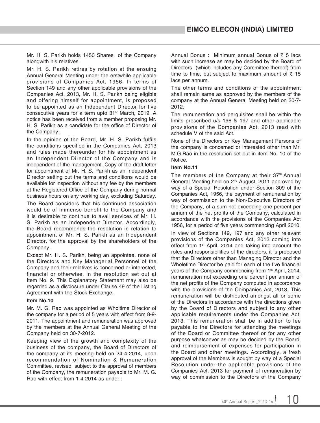Mr. H. S. Parikh holds 1450 Shares of the Company alongwith his relatives.

Mr. H. S. Parikh retires by rotation at the ensuing Annual General Meeting under the erstwhile applicable provisions of Companies Act, 1956. In terms of Section 149 and any other applicable provisions of the Companies Act, 2013, Mr. H. S. Parikh being eligible and offering himself for appointment, is proposed to be appointed as an Independent Director for five consecutive years for a term upto 31<sup>st</sup> March, 2019. A notice has been received from a member proposing Mr. H. S. Parikh as a candidate for the office of Director of the Company.

In the opinion of the Board, Mr. H. S. Parikh fulfils the conditions specified in the Companies Act, 2013 and rules made thereunder for his appointment as an Independent Director of the Company and is independent of the management. Copy of the draft letter for appointment of Mr. H. S. Parikh as an Independent Director setting out the terms and conditions would be available for inspection without any fee by the members at the Registered Office of the Company during normal business hours on any working day, excluding Saturday.

The Board considers that his continued association would be of immense benefit to the Company and it is desirable to continue to avail services of Mr. H. S. Parikh as an Independent Director. Accordingly, the Board recommends the resolution in relation to appointment of Mr. H. S. Parikh as an Independent Director, for the approval by the shareholders of the Company.

Except Mr. H. S. Parikh, being an appointee, none of the Directors and Key Managerial Personnel of the Company and their relatives is concerned or interested, financial or otherwise, in the resolution set out at Item No. 9. This Explanatory Statement may also be regarded as a disclosure under Clause 49 of the Listing Agreement with the Stock Exchange.

#### **Item No.10**

Mr. M. G. Rao was appointed as Wholtime Director of the company for a period of 5 years with effect from 8-9- 2011. The appointment and remuneration was approved by the members at the Annual General Meeting of the Company held on 30-7-2012.

Keeping view of the growth and complexity of the business of the company, the Board of Directors of the company at its meeting held on 24-4-2014, upon recommendation of Nomination & Remuneration Committee, revised, subject to the approval of members of the Company, the remuneration payable to Mr. M. G. Rao with effect from 1-4-2014 as under :

Annual Bonus : Minimum annual Bonus of  $\bar{z}$  5 lacs with such increase as may be decided by the Board of Directors (which includes any Committee thereof) from time to time, but subject to maximum amount of  $\bar{z}$  15 lacs per annum.

The other terms and conditions of the appointment shall remain same as approved by the members of the company at the Annual General Meeting held on 30-7- 2012.

The remuneration and perquisites shall be within the limits prescribed u/s 196 & 197 and other applicable provisions of the Companies Act, 2013 read with schedule V of the said Act.

None of the Directors or Key Management Persons of the company is concerned or interested other than Mr. M.G.Rao in the resolution set out in item No. 10 of the Notice.

#### **Item No.11**

The members of the Company at their 37<sup>th</sup> Annual General Meeting held on 2nd August, 2011 approved by way of a Special Resolution under Section 309 of the Companies Act, 1956, the payment of remuneration by way of commission to the Non-Executive Directors of the Company, of a sum not exceeding one percent per annum of the net profits of the Company, calculated in accordance with the provisions of the Companies Act 1956, for a period of five years commencing April 2010. In view of Sections 149, 197 and any other relevant provisions of the Companies Act, 2013 coming into effect from 1<sup>st</sup> April, 2014 and taking into account the roles and responsibilities of the directors, it is proposed that the Directors other than Managing Director and the Wholetime Director be paid for each of the five financial years of the Company commencing from 1<sup>st</sup> April, 2014, remuneration not exceeding one percent per annum of the net profits of the Company computed in accordance with the provisions of the Companies Act, 2013. This remuneration will be distributed amongst all or some of the Directors in accordance with the directions given by the Board of Directors and subject to any other applicable requirements under the Companies Act, 2013. This remuneration shall be in addition to fee payable to the Directors for attending the meetings of the Board or Committee thereof or for any other purpose whatsoever as may be decided by the Board, and reimbursement of expenses for participation in the Board and other meetings. Accordingly, a fresh approval of the Members is sought by way of a Special Resolution under the applicable provisions of the Companies Act, 2013 for payment of remuneration by way of commission to the Directors of the Company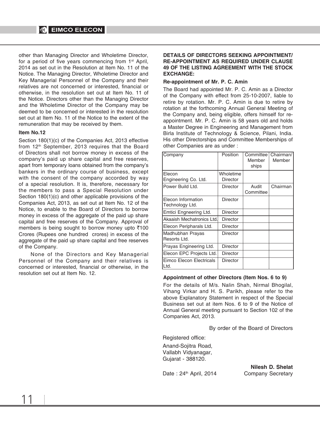other than Managing Director and Wholetime Director, for a period of five years commencing from 1st April, 2014 as set out in the Resolution at Item No. 11 of the Notice. The Managing Director, Wholetime Director and Key Managerial Personnel of the Company and their relatives are not concerned or interested, financial or otherwise, in the resolution set out at Item No. 11 of the Notice. Directors other than the Managing Director and the Wholetime Director of the Company may be deemed to be concerned or interested in the resolution set out at Item No. 11 of the Notice to the extent of the remuneration that may be received by them.

#### **Item No.12**

11

Section 180(1)(c) of the Companies Act, 2013 effective from 12th September, 2013 requires that the Board of Directors shall not borrow money in excess of the company's paid up share capital and free reserves, apart from temporary loans obtained from the company's bankers in the ordinary course of business, except with the consent of the company accorded by way of a special resolution. It is, therefore, necessary for the members to pass a Special Resolution under Section 180(1)(c) and other applicable provisions of the Companies Act, 2013, as set out at Item No. 12 of the Notice, to enable to the Board of Directors to borrow money in excess of the aggregate of the paid up share capital and free reserves of the Company. Approval of members is being sought to borrow money upto  $\bar{x}$ 100 Crores (Rupees one hundred crores) in excess of the aggregate of the paid up share capital and free reserves of the Company.

None of the Directors and Key Managerial Personnel of the Company and their relatives is concerned or interested, financial or otherwise, in the resolution set out at Item No. 12.

#### **DETAILS OF DIRECTORS SEEKING APPOINTMENT/ RE-APPOINTMENT AS REQUIRED UNDER CLAUSE 49 OF THE LISTING AGREEMENT WITH THE STOCK EXCHANGE:**

#### **Re-appointment of Mr. P. C. Amin**

The Board had appointed Mr. P. C. Amin as a Director of the Company with effect from 25-10-2007, liable to retire by rotation. Mr. P. C. Amin is due to retire by rotation at the forthcoming Annual General Meeting of the Company and, being eligible, offers himself for reappointment. Mr. P. C. Amin is 58 years old and holds a Master Degree in Engineering and Management from Birla Institute of Technology & Science, Pilani, India. His other Directorships and Committee Memberships of other Companies are as under :

| Company                               | Position              | Committee<br>Member<br>ships | Chairman/<br>Member |
|---------------------------------------|-----------------------|------------------------------|---------------------|
| Elecon<br>Engineering Co. Ltd.        | Wholetime<br>Director |                              |                     |
| Power Build Ltd.                      | Director              | Audit<br>Committee           | Chairman            |
| Elecon Information<br>Technology Ltd. | Director              |                              |                     |
| Emtici Engneering Ltd.                | Director              |                              |                     |
| Akaaish Mechatronics Ltd.             | Director              |                              |                     |
| Elecon Peripharals Ltd.               | Director              |                              |                     |
| Madhubhan Prayas<br>Resorts Ltd.      | Director              |                              |                     |
| Prayas Engineering Ltd.               | Director              |                              |                     |
| Elecon EPC Projects Ltd.              | Director              |                              |                     |
| Eimco Elecon Electricals<br>Ltd.      | Director              |                              |                     |

#### **Appointment of other Directors (Item Nos. 6 to 9)**

For the details of M/s. Nalin Shah, Nirmal Bhogilal, Vihang Virkar and H. S. Parikh, please refer to the above Explanatory Statement in respect of the Special Business set out at item Nos. 6 to 9 of the Notice of Annual General meeting pursuant to Section 102 of the Companies Act, 2013.

By order of the Board of Directors

Registered office:

Anand-Sojitra Road, Vallabh Vidyanagar, Gujarat - 388120.

Date : 24<sup>th</sup> April, 2014 Company Secretary

**Nilesh D. Shelat**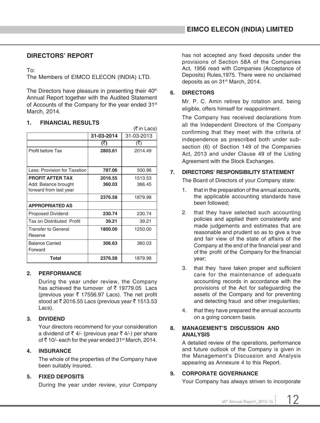### **DIRECTORS' REPORT**

### To:

The Members of EIMCO ELECON (INDIA) LTD.

The Directors have pleasure in presenting their  $40<sup>th</sup>$ Annual Report together with the Audited Statement of Accounts of the Company for the year ended 31<sup>st</sup> March, 2014.

|                              |            | (₹in Lacs) |
|------------------------------|------------|------------|
|                              | 31-03-2014 | 31-03-2013 |
|                              | (₹)        | (₹)        |
| Profit before Tax            | 2803.61    | 2014.49    |
|                              |            |            |
| Less: Provision for Taxation | 787.06     | 500.96     |
| <b>PROFIT AFTER TAX</b>      | 2016.55    | 1513.53    |
| Add: Balance brought         | 360.03     | 366.45     |
| forward from last year       |            |            |
|                              | 2376.58    | 1879.98    |
| <b>APPROPRIATED AS</b>       |            |            |
| <b>Proposed Dividend</b>     | 230.74     | 230.74     |
| Tax on Distributed Profit    | 39.21      | 39.21      |
| <b>Transfer to General</b>   | 1800.00    | 1250.00    |
| Reserve                      |            |            |
| <b>Balance Carried</b>       | 306.63     | 360.03     |
| Forward                      |            |            |
| <b>Total</b>                 | 2376.58    | 1879.98    |

### **1. FINANCIAL RESULTS**

### **2. PERFORMANCE**

During the year under review, the Company has achieved the turnover of  $\bar{z}$  19779.05 Lacs (previous year  $\bar{\tau}$  17556.97 Lacs). The net profit stood at  $\bar{\tau}$  2016.55 Lacs (previous year  $\bar{\tau}$  1513.53 Lacs).

### **3. DIVIDEND**

Your directors recommend for your consideration a dividend of  $\bar{\tau}$  4/- (previous year  $\bar{\tau}$  4/-) per share of  $\bar{c}$  10/- each for the year ended 31<sup>st</sup> March, 2014.

### **4. INSURANCE**

The whole of the properties of the Company have been suitably insured.

### **5. FIXED DEPOSITS**

During the year under review, your Company

has not accepted any fixed deposits under the provisions of Section 58A of the Companies Act, 1956 read with Companies (Acceptance of Deposits) Rules,1975. There were no unclaimed deposits as on 31<sup>st</sup> March, 2014.

### **6. DIRECTORS**

Mr. P. C. Amin retires by rotation and, being eligible, offers himself for reappointment.

The Company has received declarations from all the Independent Directors of the Company confirming that they meet with the criteria of independence as prescribed both under subsection (6) of Section 149 of the Companies Act, 2013 and under Clause 49 of the Listing Agreement with the Stock Exchanges.

### **7. DIRECTORS' RESPONSIBILITY STATEMENT**

The Board of Directors of your Company state:

- 1. that in the preparation of the annual accounts, the applicable accounting standards have been followed;
- 2. that they have selected such accounting policies and applied them consistently and made judgements and estimates that are reasonable and prudent so as to give a true and fair view of the state of affairs of the Company at the end of the financial year and of the profit of the Company for the financial year;
- 3. that they have taken proper and sufficient care for the maintenance of adequate accounting records in accordance with the provisions of the Act for safeguarding the assets of the Company and for preventing and detecting fraud and other irregularities;
- 4. that they have prepared the annual accounts on a going concern basis.

### **8. MANAGEMENT'S DISCUSSION AND ANALYSIS**

A detailed review of the operations, performance and future outlook of the Company is given in the Management's Discussion and Analysis appearing as Annexure 4 to this Report.

### **9. CORPORATE GOVERNANCE**

Your Company has always striven to incorporate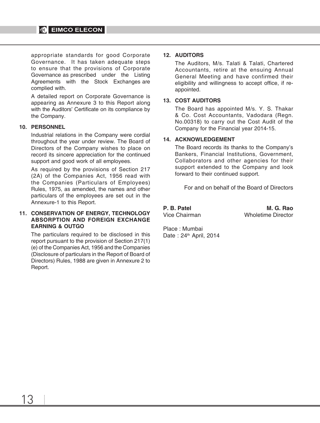appropriate standards for good Corporate Governance. It has taken adequate steps to ensure that the provisions of Corporate Governance as prescribed under the Listing Agreements with the Stock Exchanges are complied with.

A detailed report on Corporate Governance is appearing as Annexure 3 to this Report along with the Auditors' Certificate on its compliance by the Company.

#### **10. PERSONNEL**

Industrial relations in the Company were cordial throughout the year under review. The Board of Directors of the Company wishes to place on record its sincere appreciation for the continued support and good work of all employees.

As required by the provisions of Section 217 (2A) of the Companies Act, 1956 read with the Companies (Particulars of Employees) Rules, 1975, as amended, the names and other particulars of the employees are set out in the Annexure-1 to this Report.

### **11. CONSERVATION OF ENERGY, TECHNOLOGY ABSORPTION AND FOREIGN EXCHANGE EARNING & OUTGO**

The particulars required to be disclosed in this report pursuant to the provision of Section 217(1) (e) of the Companies Act, 1956 and the Companies (Disclosure of particulars in the Report of Board of Directors) Rules, 1988 are given in Annexure 2 to Report.

### **12. AUDITORS**

The Auditors, M/s. Talati & Talati, Chartered Accountants, retire at the ensuing Annual General Meeting and have confirmed their eligibility and willingness to accept office, if reappointed.

#### **13. COST AUDITORS**

The Board has appointed M/s. Y. S. Thakar & Co. Cost Accountants, Vadodara (Regn. No.00318) to carry out the Cost Audit of the Company for the Financial year 2014-15.

### **14. ACKNOWLEDGEMENT**

The Board records its thanks to the Company's Bankers, Financial Institutions, Government, Collaborators and other agencies for their support extended to the Company and look forward to their continued support.

For and on behalf of the Board of Directors

**P. B. Patel M. G. Rao** Vice Chairman Wholetime Director

Place : Mumbai Date: 24<sup>th</sup> April, 2014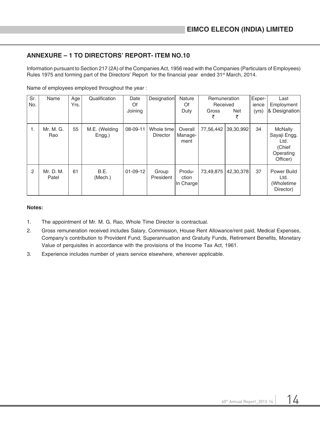### **ANNEXURE – 1 TO DIRECTORS' REPORT- ITEM NO.10**

Information pursuant to Section 217 (2A) of the Companies Act, 1956 read with the Companies (Particulars of Employees) Rules 1975 and forming part of the Directors' Report for the financial year ended 31<sup>st</sup> March, 2014.

| Sr.<br>No. | Name               | Age<br>Yrs. | Qualification           | Date<br>Of<br>Joining | Designation                   | Nature<br>Of<br>Duty         | Remuneration<br>Received<br>Gross | <b>Net</b> | Exper-<br>ience<br>(yrs) | Last<br>Employment<br>& Designation                                       |
|------------|--------------------|-------------|-------------------------|-----------------------|-------------------------------|------------------------------|-----------------------------------|------------|--------------------------|---------------------------------------------------------------------------|
| 1.         | Mr. M. G.<br>Rao   | 55          | M.E. (Welding<br>Engg.) | 08-09-11              | Whole time<br><b>Director</b> | Overall<br>Manage-<br>ment   | 77,56,442                         | 39,30,992  | 34                       | <b>McNally</b><br>Sayaji Engg.<br>Ltd.<br>(Chief<br>Operating<br>Officer) |
| 2          | Mr. D. M.<br>Patel | 61          | B.E.<br>(Mech.)         | $01 - 09 - 12$        | Group<br>President            | Produ-<br>ction<br>In Charge | 73,49,875                         | 42,30,378  | 37                       | <b>Power Build</b><br>Ltd.<br>(Wholetime<br>Director)                     |

Name of employees employed throughout the year :

#### **Notes:**

- 1. The appointment of Mr. M. G. Rao, Whole Time Director is contractual.
- 2. Gross remuneration received includes Salary, Commission, House Rent Allowance/rent paid, Medical Expenses, Company's contribution to Provident Fund, Superannuation and Gratuity Funds, Retirement Benefits, Monetary Value of perquisites in accordance with the provisions of the Income Tax Act, 1961.
- 3. Experience includes number of years service elsewhere, wherever applicable.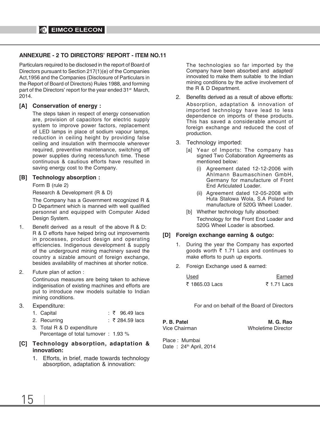### **ANNEXURE - 2 TO DIRECTORS' REPORT - ITEM NO.11**

Particulars required to be disclosed in the report of Board of Directors pursuant to Section 217(1)(e) of the Companies Act,1956 and the Companies (Disclosure of Particulars in the Report of Board of Directors) Rules 1988, and forming part of the Directors' report for the year ended 31<sup>st</sup> March, 2014.

#### **[A] Conservation of energy :**

The steps taken in respect of energy conservation are, provision of capacitors for electric supply system to improve power factors, replacement of LED lamps in place of sodium vapour lamps, reduction in ceiling height by providing false ceiling and insulation with thermocole wherever required, preventive maintenance, switching off power supplies during recess/lunch time. These continuous & cautious efforts have resulted in saving energy cost to the Company.

#### **[B] Technology absorption :**

Form B (rule 2)

Research & Development (R & D)

The Company has a Government recognized R & D Department which is manned with well qualified personnel and equipped with Computer Aided Design System.

- 1. Benefit derived as a result of the above R & D: R & D efforts have helped bring out improvements in processes, product design and operating efficiencies. Indigenous development & supply of the underground mining machinery saved the country a sizable amount of foreign exchange, besides availability of machines at shorter notice.
- 2. Future plan of action :

Continuous measures are being taken to achieve indigenisation of existing machines and efforts are put to introduce new models suitable to Indian mining conditions.

3. Expenditure:

| 1. Capital | : ₹ 96.49 lacs |
|------------|----------------|
|------------|----------------|

- 2. Recurring  $\ddot{\bar{\zeta}}$  284.59 lacs
- 3. Total R & D expenditure Percentage of total turnover : 1.93 %
- **[C] Technology absorption, adaptation & innovation:**
	- 1. Efforts, in brief, made towards technology absorption, adaptation & innovation:

 The technologies so far imported by the Company have been absorbed and adapted/ innovated to make them suitable to the Indian mining conditions by the active involvement of the R & D Department.

- 2. Benefits derived as a result of above efforts: Absorption, adaptation & innovation of imported technology have lead to less dependence on imports of these products. This has saved a considerable amount of foreign exchange and reduced the cost of production.
- 3. Technology imported:
	- [a] Year of Imports: The company has signed Two Collaboration Agreements as mentioned below:
		- Agreement dated 12-12-2006 with Ahlmann Baumaschinen GmbH, Germany for manufacture of Front End Articulated Loader.
		- (ii) Agreement dated 12-05-2008 with Huta Stalowa Wola, S.A Poland for manufacture of 520G Wheel Loader.
	- [b] Whether technology fully absorbed: Technology for the Front End Loader and 520G Wheel Loader is absorbed.

### **[D] Foreign exchange earning & outgo:**

- 1. During the year the Company has exported goods worth  $\bar{\tau}$  1.71 Lacs and continues to make efforts to push up exports.
- 2. Foreign Exchange used & earned:

| Used           | Earned      |
|----------------|-------------|
| ₹ 1865.03 Lacs | ₹ 1.71 Lacs |

For and on behalf of the Board of Directors

| P. B. Patel   | M. G. Rao                 |
|---------------|---------------------------|
| Vice Chairman | <b>Wholetime Director</b> |

Place : Mumbai Date: 24<sup>th</sup> April, 2014

15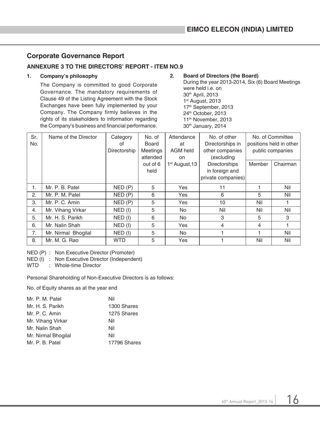### **Corporate Governance Report**

### **ANNEXURE 3 TO THE DIRECTORS' REPORT - ITEM NO.9**

#### **1. Company's philosophy**

The Company is committed to good Corporate Governance. The mandatory requirements of Clause 49 of the Listing Agreement with the Stock Exchanges have been fully implemented by your Company. The Company firmly believes in the rights of its stakeholders to information regarding the Company's business and financial performance.

#### **2. Board of Directors (the Board)**

During the year 2013-2014, Six (6) Board Meetings were held i.e. on 30th April, 2013 1st August, 2013 17<sup>th</sup> September, 2013 24th October, 2013 11<sup>th</sup> November, 2013 30th January, 2014

| Sr.<br>No. | Name of the Director | Category<br>0t<br>Directorship | No. of<br>Board<br><b>Meetings</b><br>attended | Attendance<br>at<br>AGM held<br><sub>on</sub> | No. of other<br>Directorships in<br>other companies<br>(excluding |        | No. of Committee<br>positions held in other<br>public companies |
|------------|----------------------|--------------------------------|------------------------------------------------|-----------------------------------------------|-------------------------------------------------------------------|--------|-----------------------------------------------------------------|
|            |                      |                                | out of 6<br>held                               | 1 <sup>st</sup> August, 13                    | <b>Directorships</b><br>in foreign and<br>private companies)      | Member | Chairman                                                        |
| 1.         | Mr. P. B. Patel      | NED(P)                         | 5                                              | <b>Yes</b>                                    | 11                                                                |        | Nil                                                             |
| 2.         | Mr. P. M. Patel      | NED(P)                         | 6                                              | Yes                                           | 6                                                                 | 5      | Nil                                                             |
| 3.         | Mr. P. C. Amin       | NED(P)                         | 5                                              | Yes                                           | 10                                                                | Nil    |                                                                 |
| 4.         | Mr. Vihang Virkar    | $NED$ (I)                      | 5                                              | No.                                           | Nil                                                               | Nil    | Nil                                                             |
| 5.         | Mr. H. S. Parikh     | $NED$ (I)                      | 6                                              | No.                                           | 3                                                                 | 5      | 3                                                               |
| 6.         | Mr. Nalin Shah       | $NED$ (I)                      | 5                                              | <b>Yes</b>                                    | 4                                                                 | 4      |                                                                 |
| 7.         | Mr. Nirmal Bhogilal  | $NED$ (I)                      | 5                                              | No.                                           |                                                                   | -1     | Nil                                                             |
| 8.         | Mr. M. G. Rao        | <b>WTD</b>                     | 5                                              | Yes                                           |                                                                   | Nil    | Nil                                                             |

NED (P) : Non Executive Director (Promoter)

NED (I) : Non Executive Director (Independent)

WTD : Whole-time Director

Personal Shareholding of Non-Executive Directors is as follows:

No. of Equity shares as at the year end

| Mr. P. M. Patel     | Nil          |
|---------------------|--------------|
| Mr. H. S. Parikh    | 1300 Shares  |
| Mr. P. C. Amin      | 1275 Shares  |
| Mr. Vihang Virkar   | Nil          |
| Mr. Nalin Shah      | Nil          |
| Mr. Nirmal Bhogilal | Nil          |
| Mr. P. B. Patel     | 17796 Shares |
|                     |              |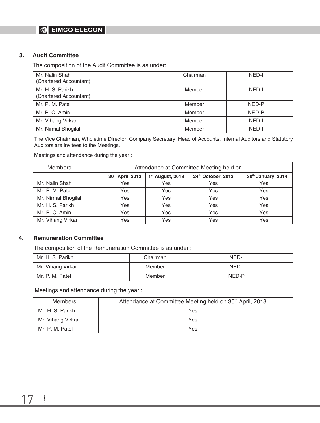### **3. Audit Committee**

The composition of the Audit Committee is as under:

| Mr. Nalin Shah<br>(Chartered Accountant)   | Chairman | NED-I |
|--------------------------------------------|----------|-------|
| Mr. H. S. Parikh<br>(Chartered Accountant) | Member   | NED-I |
| Mr. P. M. Patel                            | Member   | NED-P |
| Mr. P. C. Amin                             | Member   | NED-P |
| Mr. Vihang Virkar                          | Member   | NED-I |
| Mr. Nirmal Bhogilal                        | Member   | NED-I |

The Vice Chairman, Wholetime Director, Company Secretary, Head of Accounts, Internal Auditors and Statutory Auditors are invitees to the Meetings.

Meetings and attendance during the year :

| <b>Members</b>      |                  | Attendance at Committee Meeting held on            |     |                    |  |
|---------------------|------------------|----------------------------------------------------|-----|--------------------|--|
|                     | 30th April, 2013 | 1 <sup>st</sup> August, 2013<br>24th October, 2013 |     | 30th January, 2014 |  |
| Mr. Nalin Shah      | <b>Yes</b>       | Yes                                                | Yes | Yes                |  |
| Mr. P. M. Patel     | Yes              | Yes                                                | Yes | Yes                |  |
| Mr. Nirmal Bhogilal | Yes              | Yes                                                | Yes | Yes                |  |
| Mr. H. S. Parikh    | Yes              | Yes                                                | Yes | Yes                |  |
| Mr. P. C. Amin      | Yes              | Yes                                                | Yes | Yes                |  |
| Mr. Vihang Virkar   | Yes              | Yes                                                | Yes | Yes                |  |

### **4. Remuneration Committee**

The composition of the Remuneration Committee is as under :

| Mr. H. S. Parikh  | Chairman | NED-I |
|-------------------|----------|-------|
| Mr. Vihang Virkar | Member   | NED-I |
| Mr. P. M. Patel   | Member   | NED-P |

Meetings and attendance during the year :

| <b>Members</b> |                   | Attendance at Committee Meeting held on 30 <sup>th</sup> April, 2013 |
|----------------|-------------------|----------------------------------------------------------------------|
|                | Mr. H. S. Parikh  | Yes                                                                  |
|                | Mr. Vihang Virkar | Yes                                                                  |
|                | Mr. P. M. Patel   | Yes                                                                  |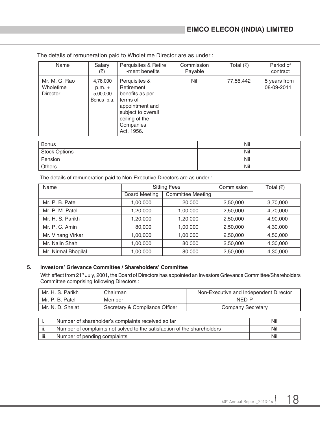| Name                                          | Salary<br>(₹)                                  | Perquisites & Retire<br>-ment benefits                                                                                                           | Commission<br>Payable | Total $(\overline{\tau})$ | Period of<br>contract      |
|-----------------------------------------------|------------------------------------------------|--------------------------------------------------------------------------------------------------------------------------------------------------|-----------------------|---------------------------|----------------------------|
| Mr. M. G. Rao<br>Wholetime<br><b>Director</b> | 4,78,000<br>$p.m. +$<br>5,00,000<br>Bonus p.a. | Perquisites &<br>Retirement<br>benefits as per<br>terms of<br>appointment and<br>subject to overall<br>ceiling of the<br>Companies<br>Act, 1956. | Nil                   | 77,56,442                 | 5 years from<br>08-09-2011 |

The details of remuneration paid to Wholetime Director are as under :

| <b>Bonus</b>         | Nil |
|----------------------|-----|
| <b>Stock Options</b> | Nil |
| Pension              | Nil |
| Others               | Nil |

The details of remuneration paid to Non-Executive Directors are as under :

| Name                | <b>Sitting Fees</b>  |                          | Commission | Total $(\overline{\tau})$ |
|---------------------|----------------------|--------------------------|------------|---------------------------|
|                     | <b>Board Meeting</b> | <b>Committee Meeting</b> |            |                           |
| Mr. P. B. Patel     | 1,00,000             | 20,000                   | 2,50,000   | 3,70,000                  |
| Mr. P. M. Patel     | 1,20,000             | 1,00,000                 | 2,50,000   | 4,70,000                  |
| Mr. H. S. Parikh    | 1,20,000             | 1,20,000                 | 2,50,000   | 4,90,000                  |
| Mr. P. C. Amin      | 80,000               | 1,00,000                 | 2,50,000   | 4,30,000                  |
| Mr. Vihang Virkar   | 1,00,000             | 1,00,000                 | 2,50,000   | 4,50,000                  |
| Mr. Nalin Shah      | 1,00,000             | 80,000                   | 2,50,000   | 4,30,000                  |
| Mr. Nirmal Bhogilal | 1,00,000             | 80,000                   | 2,50,000   | 4,30,000                  |

### **5. Investors' Grievance Committee / Shareholders' Committee**

With effect from 21<sup>st</sup> July, 2001, the Board of Directors has appointed an Investors Grievance Committee/Shareholders Committee comprising following Directors :

| Mr. H. S. Parikh   | Chairman                       | Non-Executive and Independent Director |
|--------------------|--------------------------------|----------------------------------------|
| Mr. P. B. Patel    | Member                         | NED-P                                  |
| l Mr. N. D. Shelat | Secretary & Compliance Officer | Company Secretary                      |

|      | Number of shareholder's complaints received so far                      | Nil |
|------|-------------------------------------------------------------------------|-----|
| ii.  | Number of complaints not solved to the satisfaction of the shareholders | Nil |
| iii. | Number of pending complaints                                            | Nil |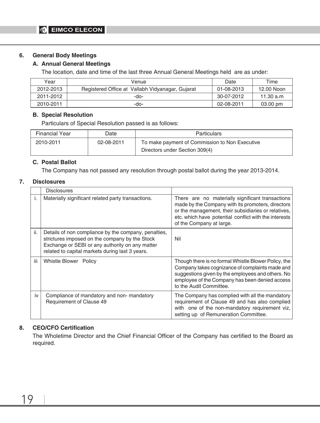### **6. General Body Meetings**

### **A. Annual General Meetings**

The location, date and time of the last three Annual General Meetings held are as under:

| Year      | Venue                                            | Date       | Time        |
|-----------|--------------------------------------------------|------------|-------------|
| 2012-2013 | Registered Office at Vallabh Vidyanagar, Gujarat | 01-08-2013 | 12.00 Noon  |
| 2011-2012 | -do-                                             | 30-07-2012 | 11.30 $a.m$ |
| 2010-2011 | -do-                                             | 02-08-2011 | 03.00 pm    |

### **B. Special Resolution**

Particulars of Special Resolution passed is as follows:

| <b>Financial Year</b> | Date       | Particulars                                                                      |
|-----------------------|------------|----------------------------------------------------------------------------------|
| 2010-2011             | 02-08-2011 | To make payment of Commission to Non Executive<br>Directors under Section 309(4) |

### **C. Postal Ballot**

The Company has not passed any resolution through postal ballot during the year 2013-2014.

### **7. Disclosures**

|     | <b>Disclosures</b>                                                                                                                                                                                           |                                                                                                                                                                                                                                                   |
|-----|--------------------------------------------------------------------------------------------------------------------------------------------------------------------------------------------------------------|---------------------------------------------------------------------------------------------------------------------------------------------------------------------------------------------------------------------------------------------------|
| ۱.  | Materially significant related party transactions.                                                                                                                                                           | There are no materially significant transactions<br>made by the Company with its promoters, directors<br>or the management, their subsidiaries or relatives,<br>etc. which have potential conflict with the interests<br>of the Company at large. |
| ii. | Details of non compliance by the company, penalties,<br>strictures imposed on the company by the Stock<br>Exchange or SEBI or any authority on any matter<br>related to capital markets during last 3 years. | Nil                                                                                                                                                                                                                                               |
| iii | Whistle Blower Policy                                                                                                                                                                                        | Though there is no formal Whistle Blower Policy, the<br>Company takes cognizance of complaints made and<br>suggestions given by the employees and others. No<br>employee of the Company has been denied access<br>to the Audit Committee.         |
| iv  | Compliance of mandatory and non-mandatory<br>Requirement of Clause 49                                                                                                                                        | The Company has complied with all the mandatory<br>requirement of Clause 49 and has also complied<br>with one of the non-mandatory requirement viz,<br>setting up of Remuneration Committee.                                                      |

### **8. CEO/CFO Certification**

The Wholetime Director and the Chief Financial Officer of the Company has certified to the Board as required.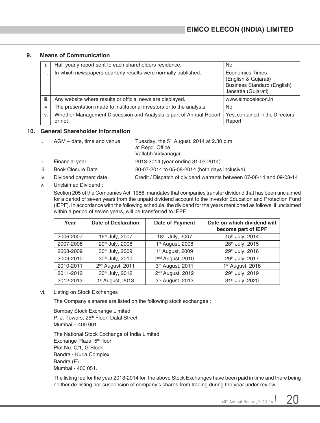### **9. Means of Communication**

|      | Half yearly report sent to each shareholders residence.                       | No                                                                                                          |
|------|-------------------------------------------------------------------------------|-------------------------------------------------------------------------------------------------------------|
| ii.  | In which newspapers quarterly results were normally published.                | <b>Economics Times</b><br>(English & Gujarati)<br><b>Business Standard (English)</b><br>Jansatta (Gujarati) |
| iii. | Any website where results or official news are displayed.                     | www.eimcoelecon.in                                                                                          |
| iv.  | The presentation made to institutional investors or to the analysts.          | No.                                                                                                         |
| V.   | Whether Management Discussion and Analysis is part of Annual Report<br>or not | Yes, contained in the Directors'<br>Report                                                                  |

### **10. General Shareholder Information**

|      | AGM - date, time and venue | Tuesday, the 5 <sup>th</sup> August, 2014 at 2.30 p.m.               |
|------|----------------------------|----------------------------------------------------------------------|
|      |                            | at Regd. Office                                                      |
|      |                            | Vallabh Vidyanagar.                                                  |
| ii.  | Financial year             | 2013-2014 (year ending 31-03-2014)                                   |
| iii. | Book Closure Date          | 30-07-2014 to 05-08-2014 (both days inclusive)                       |
| IV.  | Dividend payment date      | Credit / Dispatch of dividend warrants between 07-08-14 and 09-08-14 |

v. Unclaimed Dividend :

Section 205 of the Companies Act, 1956, mandates that companies transfer dividend that has been unclaimed for a period of seven years from the unpaid dividend account to the Investor Education and Protection Fund (IEPF). In accordance with the following schedule, the dividend for the years mentioned as follows, if unclaimed within a period of seven years, will be transferred to IEPF.

| Year      | <b>Date of Declaration</b>   | <b>Date of Payment</b>       | Date on which dividend will<br>become part of IEPF |
|-----------|------------------------------|------------------------------|----------------------------------------------------|
| 2006-2007 | 16th July, 2007              | 18th July, 2007              | 15th July, 2014                                    |
| 2007-2008 | 29th July, 2008              | 1 <sup>st</sup> August, 2008 | 28th July, 2015                                    |
| 2008-2009 | 30th July, 2009              | 1 <sup>st</sup> August, 2009 | 29th July, 2016                                    |
| 2009-2010 | 30th July, 2010              | 2 <sup>nd</sup> August, 2010 | 29th July, 2017                                    |
| 2010-2011 | 2 <sup>nd</sup> August, 2011 | 3rd August, 2011             | 1 <sup>st</sup> August, 2018                       |
| 2011-2012 | 30th July, 2012              | 2 <sup>nd</sup> August, 2012 | 29th July, 2019                                    |
| 2012-2013 | 1 <sup>st</sup> August, 2013 | 3rd August, 2013             | 31st July, 2020                                    |

vi. Listing on Stock Exchanges

The Company's shares are listed on the following stock exchanges :

 Bombay Stock Exchange Limited P. J. Towers, 25<sup>th</sup> Floor, Dalal Street Mumbai – 400 001

 The National Stock Exchange of India Limited Exchange Plaza, 5<sup>th</sup> floor Plot No. C/1, G Block Bandra - Kurla Complex Bandra (E) Mumbai - 400 051.

 The listing fee for the year 2013-2014 for the above Stock Exchanges have been paid in time and there being neither de-listing nor suspension of company's shares from trading during the year under review.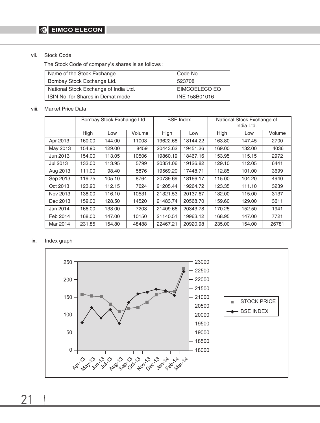### vii. Stock Code

The Stock Code of company's shares is as follows :

| Name of the Stock Exchange            | Code No.      |
|---------------------------------------|---------------|
| Bombay Stock Exchange Ltd.            | 523708        |
| National Stock Exchange of India Ltd. | EIMCOELECO EQ |
| ISIN No. for Shares in Demat mode     | INE 158B01016 |

#### viii. Market Price Data

|          |        | Bombay Stock Exchange Ltd. |        | <b>BSE Index</b> |          |        | National Stock Exchange of<br>India Ltd. |        |
|----------|--------|----------------------------|--------|------------------|----------|--------|------------------------------------------|--------|
|          | High   | Low                        | Volume | High             | Low      | High   | Low                                      | Volume |
| Apr 2013 | 160.00 | 144.00                     | 11003  | 19622.68         | 18144.22 | 163.80 | 147.45                                   | 2700   |
| May 2013 | 154.90 | 129.00                     | 8459   | 20443.62         | 19451.26 | 169.00 | 132.00                                   | 4036   |
| Jun 2013 | 154.00 | 113.05                     | 10506  | 19860.19         | 18467.16 | 153.95 | 115.15                                   | 2972   |
| Jul 2013 | 133.00 | 113.95                     | 5799   | 20351.06         | 19126.82 | 129.10 | 112.05                                   | 6441   |
| Aug 2013 | 111.00 | 98.40                      | 5876   | 19569.20         | 17448.71 | 112.85 | 101.00                                   | 3699   |
| Sep 2013 | 119.75 | 105.10                     | 8764   | 20739.69         | 18166.17 | 115.00 | 104.20                                   | 4940   |
| Oct 2013 | 123.90 | 112.15                     | 7624   | 21205.44         | 19264.72 | 123.35 | 111.10                                   | 3239   |
| Nov 2013 | 138.00 | 116.10                     | 10531  | 21321.53         | 20137.67 | 132.00 | 115.00                                   | 3137   |
| Dec 2013 | 159.00 | 128.50                     | 14520  | 21483.74         | 20568.70 | 159.60 | 129.00                                   | 3611   |
| Jan 2014 | 166.00 | 133.00                     | 7203   | 21409.66         | 20343.78 | 170.25 | 152.50                                   | 1941   |
| Feb 2014 | 168.00 | 147.00                     | 10150  | 21140.51         | 19963.12 | 168.95 | 147.00                                   | 7721   |
| Mar 2014 | 231.85 | 154.80                     | 48488  | 22467.21         | 20920.98 | 235.00 | 154.00                                   | 26781  |

#### ix. Index graph

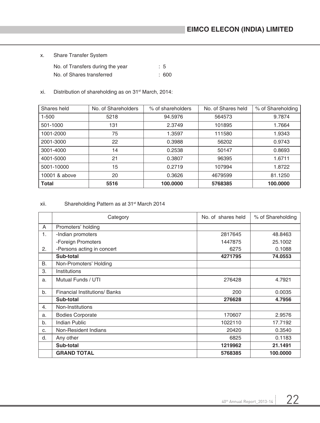x. Share Transfer System

| No. of Transfers during the year | :5    |
|----------------------------------|-------|
| No. of Shares transferred        | : 600 |

xi. Distribution of shareholding as on 31<sup>st</sup> March, 2014:

| Shares held   | No. of Shareholders | % of shareholders | No. of Shares held | % of Shareholding |
|---------------|---------------------|-------------------|--------------------|-------------------|
| 1-500         | 5218                | 94.5976           | 564573             | 9.7874            |
| 501-1000      | 131                 | 2.3749            | 101895             | 1.7664            |
| 1001-2000     | 75                  | 1.3597            | 111580             | 1.9343            |
| 2001-3000     | 22                  | 0.3988            | 56202              | 0.9743            |
| 3001-4000     | 14                  | 0.2538            | 50147              | 0.8693            |
| 4001-5000     | 21                  | 0.3807            | 96395              | 1.6711            |
| 5001-10000    | 15                  | 0.2719            | 107994             | 1.8722            |
| 10001 & above | 20                  | 0.3626            | 4679599            | 81.1250           |
| <b>Total</b>  | 5516                | 100.0000          | 5768385            | 100.0000          |

xii. Shareholding Pattern as at 31st March 2014

|                | Category                            | No. of shares held | % of Shareholding |
|----------------|-------------------------------------|--------------------|-------------------|
| A              | Promoters' holding                  |                    |                   |
| $\mathbf{1}$ . | -Indian promoters                   | 2817645            | 48.8463           |
|                | -Foreign Promoters                  | 1447875            | 25.1002           |
| 2.             | -Persons acting in concert          | 6275               | 0.1088            |
|                | Sub-total                           | 4271795            | 74.0553           |
| B.             | Non-Promoters' Holding              |                    |                   |
| 3.             | Institutions                        |                    |                   |
| a.             | Mutual Funds / UTI                  | 276428             | 4.7921            |
| b.             | <b>Financial Institutions/Banks</b> | 200                | 0.0035            |
|                | Sub-total                           | 276628             | 4.7956            |
| 4.             | Non-Institutions                    |                    |                   |
| a.             | <b>Bodies Corporate</b>             | 170607             | 2.9576            |
| $b$ .          | <b>Indian Public</b>                | 1022110            | 17.7192           |
| C.             | Non-Resident Indians                | 20420              | 0.3540            |
| d.             | Any other                           | 6825               | 0.1183            |
|                | Sub-total                           | 1219962            | 21.1491           |
|                | <b>GRAND TOTAL</b>                  | 5768385            | 100,0000          |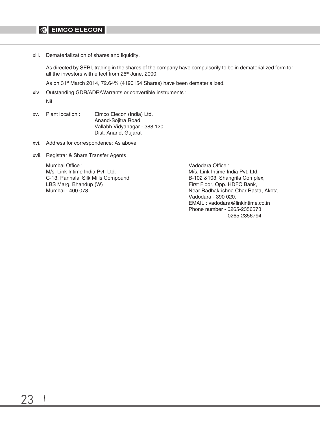### **B** EIMCO ELECON

xiii. Dematerialization of shares and liquidity.

 As directed by SEBI, trading in the shares of the company have compulsorily to be in dematerialized form for all the investors with effect from 26<sup>th</sup> June, 2000.

As on 31<sup>st</sup> March 2014, 72.64% (4190154 Shares) have been dematerialized.

xiv. Outstanding GDR/ADR/Warrants or convertible instruments :

Nil

- xv. Plant location : Eimco Elecon (India) Ltd. Anand-Sojitra Road Vallabh Vidyanagar - 388 120 Dist. Anand, Gujarat
- xvi. Address for correspondence: As above
- xvii. Registrar & Share Transfer Agents

Mumbai Office : Vadodara Office : M/s. Link Intime India Pvt. Ltd.<br>
C-13, Pannalal Silk Mills Compound<br>
B-102 & 103, Shangrila Complex, C-13, Pannalal Silk Mills Compound<br>LBS Marg, Bhandup (W)

First Floor, Opp. HDFC Bank, Mumbai - 400 078. Near Radhakrishna Char Rasta, Akota. Vadodara - 390 020. EMAIL : vadodara@linkintime.co.in Phone number - 0265-2356573 0265-2356794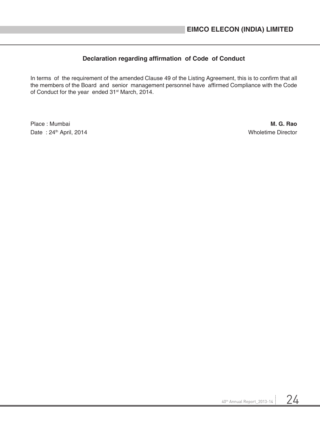### **Declaration regarding affirmation of Code of Conduct**

In terms of the requirement of the amended Clause 49 of the Listing Agreement, this is to confirm that all the members of the Board and senior management personnel have affirmed Compliance with the Code of Conduct for the year ended 31<sup>st</sup> March, 2014.

Place : Mumbai **M. G. Rao** Date : 24<sup>th</sup> April, 2014 **Wholetime Director** 

 $40<sup>th</sup>$  Annual Report\_2013-14  $\begin{bmatrix} 24 & 24 \end{bmatrix}$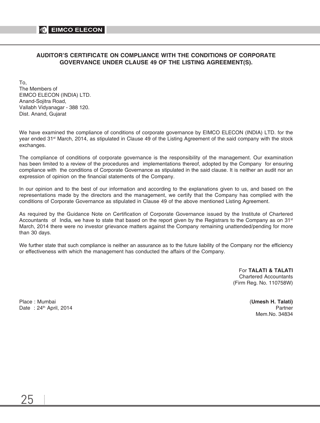### **AUDITOR'S CERTIFICATE ON COMPLIANCE WITH THE CONDITIONS OF CORPORATE GOVERVANCE UNDER CLAUSE 49 OF THE LISTING AGREEMENT(S).**

To, The Members of EIMCO ELECON (INDIA) LTD. Anand-Sojitra Road, Vallabh Vidyanagar - 388 120. Dist. Anand, Gujarat

We have examined the compliance of conditions of corporate governance by EIMCO ELECON (INDIA) LTD. for the year ended 31<sup>st</sup> March, 2014, as stipulated in Clause 49 of the Listing Agreement of the said company with the stock exchanges.

The compliance of conditions of corporate governance is the responsibility of the management. Our examination has been limited to a review of the procedures and implementations thereof, adopted by the Company for ensuring compliance with the conditions of Corporate Governance as stipulated in the said clause. It is neither an audit nor an expression of opinion on the financial statements of the Company.

In our opinion and to the best of our information and according to the explanations given to us, and based on the representations made by the directors and the management, we certify that the Company has complied with the conditions of Corporate Governance as stipulated in Clause 49 of the above mentioned Listing Agreement.

As required by the Guidance Note on Certification of Corporate Governance issued by the Institute of Chartered Accountants of India, we have to state that based on the report given by the Registrars to the Company as on 31<sup>st</sup> March, 2014 there were no investor grievance matters against the Company remaining unattended/pending for more than 30 days.

We further state that such compliance is neither an assurance as to the future liability of the Company nor the efficiency or effectiveness with which the management has conducted the affairs of the Company.

> For **TALATI & TALATI** Chartered Accountants (Firm Reg. No. 110758W)

Place : Mumbai (**Umesh H. Talati)** Date : 24<sup>th</sup> April, 2014 **Partner** Partner **Partner** Partner **Partner** Partner **Partner** 

Mem.No. 34834

25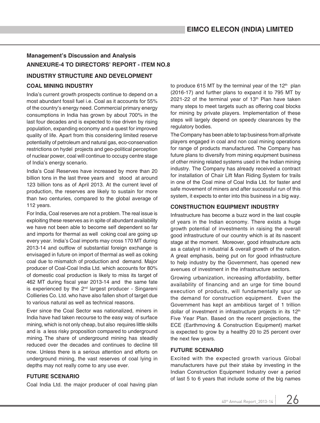### **Management's Discussion and Analysis ANNEXURE-4 TO DIRECTORS' REPORT - ITEM NO.8**

### **INDUSTRY STRUCTURE AND DEVELOPMENT**

### **COAL MINING INDUSTRY**

India's current growth prospects continue to depend on a most abundant fossil fuel i.e. Coal as it accounts for 55% of the country's energy need. Commercial primary energy consumptions in India has grown by about 700% in the last four decades and is expected to rise driven by rising population, expanding economy and a quest for improved quality of life. Apart from this considering limited reserve potentiality of petroleum and natural gas, eco-conservation restrictions on hydel projects and geo-political perception of nuclear power, coal will continue to occupy centre stage of India's energy scenario.

India's Coal Reserves have increased by more than 20 billion tons in the last three years and stood at around 123 billion tons as of April 2013. At the current level of production, the reserves are likely to sustain for more than two centuries, compared to the global average of 112 years.

For India, Coal reserves are not a problem. The real issue is exploiting these reserves as in spite of abundant availability we have not been able to become self dependent so far and imports for thermal as well coking coal are going up every year. India's Coal imports may cross 170 MT during 2013-14 and outflow of substantial foreign exchange is envisaged in future on import of thermal as well as coking coal due to mismatch of production and demand. Major producer of Coal-Coal India Ltd. which accounts for 80% of domestic coal production is likely to miss its target of 462 MT during fiscal year 2013-14 and the same fate is experienced by the 2<sup>nd</sup> largest producer - Singareni Collieries Co. Ltd. who have also fallen short of target due to various natural as well as technical reasons.

Ever since the Coal Sector was nationalized, miners in India have had taken recourse to the easy way of surface mining, which is not only cheap, but also requires little skills and is a less risky proposition compared to underground mining. The share of underground mining has steadily reduced over the decades and continues to decline till now. Unless there is a serious attention and efforts on underground mining, the vast reserves of coal lying in depths may not really come to any use ever.

### **FUTURE SCENARIO**

Coal India Ltd. the major producer of coal having plan

to produce 615 MT by the terminal year of the  $12<sup>th</sup>$  plan (2016-17) and further plans to expand it to 795 MT by 2021-22 of the terminal year of  $13<sup>th</sup>$  Plan have taken many steps to meet targets such as offering coal blocks for mining by private players. Implementation of these steps will largely depend on speedy clearances by the regulatory bodies.

The Company has been able to tap business from all private players engaged in coal and non coal mining operations for range of products manufactured. The Company has future plans to diversify from mining equipment business of other mining related systems used in the Indian mining industry. The Company has already received a contract for installation of Chair Lift Man Riding System for trails in one of the Coal mine of Coal India Ltd. for faster and safe movement of miners and after successful run of this system, it expects to enter into this business in a big way.

### **CONSTRUCTION EQUIPMENT INDUSTRY**

Infrastructure has become a buzz word in the last couple of years in the Indian economy. There exists a huge growth potential of investments in raising the overall good infrastructure of our country which is at its nascent stage at the moment. Moreover, good infrastructure acts as a catalyst in industrial & overall growth of the nation. A great emphasis, being put on for good infrastructure to help industry by the Government, has opened new avenues of investment in the infrastructure sectors.

Growing urbanization, increasing affordability, better availability of financing and an urge for time bound execution of products, will fundamentally spur up the demand for construction equipment. Even the Government has kept an ambitious target of 1 trillion dollar of investment in infrastructure projects in its 12<sup>th</sup> Five Year Plan. Based on the recent projections, the ECE (Earthmoving & Construction Equipment) market is expected to grow by a healthy 20 to 25 percent over the next few years.

### **FUTURE SCENARIO**

Excited with the expected growth various Global manufacturers have put their stake by investing in the Indian Construction Equipment Industry over a period of last 5 to 6 years that include some of the big names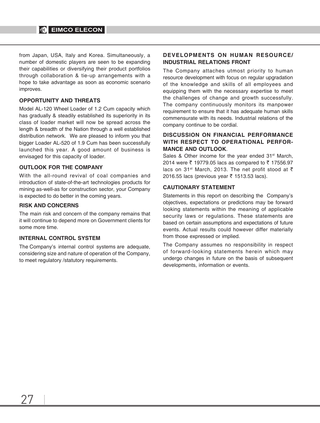from Japan, USA, Italy and Korea. Simultaneously, a number of domestic players are seen to be expanding their capabilities or diversifying their product portfolios through collaboration & tie-up arrangements with a hope to take advantage as soon as economic scenario improves.

### **OPPORTUNITY AND THREATS**

Model AL-120 Wheel Loader of 1.2 Cum capacity which has gradually & steadily established its superiority in its class of loader market will now be spread across the length & breadth of the Nation through a well established distribution network. We are pleased to inform you that bigger Loader AL-520 of 1.9 Cum has been successfully launched this year. A good amount of business is envisaged for this capacity of loader.

### **OUTLOOK FOR THE COMPANY**

With the all-round revival of coal companies and introduction of state-of-the-art technologies products for mining as-well-as for construction sector, your Company is expected to do better in the coming years.

#### **RISK AND CONCERNS**

The main risk and concern of the company remains that it will continue to depend more on Government clients for some more time.

### **INTERNAL CONTROL SYSTEM**

The Company's internal control systems are adequate, considering size and nature of operation of the Company, to meet regulatory /statutory requirements.

### **DEVELOPMENTS ON HUMAN RESOURCE/ INDUSTRIAL RELATIONS FRONT**

The Company attaches utmost priority to human resource development with focus on regular upgradation of the knowledge and skills of all employees and equipping them with the necessary expertise to meet the challenges of change and growth successfully. The company continuously monitors its manpower requirement to ensure that it has adequate human skills commensurate with its needs. Industrial relations of the company continue to be cordial.

### **DISCUSSION ON FINANCIAL PERFORMANCE WITH RESPECT TO OPERATIONAL PERFOR-MANCE AND OUTLOOK**.

Sales & Other income for the year ended 31<sup>st</sup> March, 2014 were ₹ 19779.05 lacs as compared to ₹ 17556.97 lacs on 31<sup>st</sup> March, 2013. The net profit stood at  $\bar{\tau}$ 2016.55 lacs (previous year ₹ 1513.53 lacs).

### **CAUTIONARY STATEMENT**

Statements in this report on describing the Company's objectives, expectations or predictions may be forward looking statements within the meaning of applicable security laws or regulations. These statements are based on certain assumptions and expectations of future events. Actual results could however differ materially from those expressed or implied.

The Company assumes no responsibility in respect of forward-looking statements herein which may undergo changes in future on the basis of subsequent developments, information or events.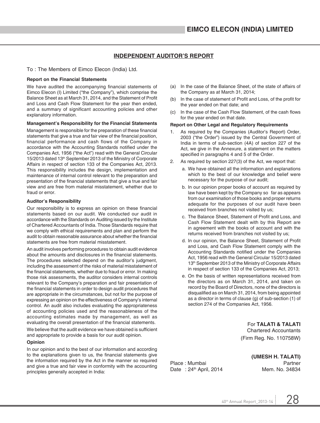### **INDEPENDENT AUDITOR'S REPORT**

To : The Members of Eimco Elecon (India) Ltd.

#### **Report on the Financial Statements**

We have audited the accompanying financial statements of Eimco Elecon (I) Limited ("the Company"), which comprise the Balance Sheet as at March 31, 2014, and the Statement of Profit and Loss and Cash Flow Statement for the year then ended, and a summary of significant accounting policies and other explanatory information.

#### **Management's Responsibility for the Financial Statements**

Management is responsible for the preparation of these financial statements that give a true and fair view of the financial position, financial performance and cash flows of the Company in accordance with the Accounting Standards notified under the Companies Act, 1956 ("the Act") read with the General Circular 15/2013 dated 13<sup>th</sup> September 2013 of the Ministry of Corporate Affairs in respect of section 133 of the Companies Act, 2013. This responsibility includes the design, implementation and maintenance of internal control relevant to the preparation and presentation of the financial statements that give a true and fair view and are free from material misstatement, whether due to fraud or error.

#### **Auditor's Responsibility**

Our responsibility is to express an opinion on these financial statements based on our audit. We conducted our audit in accordance with the Standards on Auditing issued by the Institute of Chartered Accountants of India. Those Standards require that we comply with ethical requirements and plan and perform the audit to obtain reasonable assurance about whether the financial statements are free from material misstatement.

An audit involves performing procedures to obtain audit evidence about the amounts and disclosures in the financial statements. The procedures selected depend on the auditor's judgment, including the assessment of the risks of material misstatement of the financial statements, whether due to fraud or error. In making those risk assessments, the auditor considers internal controls relevant to the Company's preparation and fair presentation of the financial statements in order to design audit procedures that are appropriate in the circumstances, but not for the purpose of expressing an opinion on the effectiveness of Company's internal control. An audit also includes evaluating the appropriateness of accounting policies used and the reasonableness of the accounting estimates made by management, as well as evaluating the overall presentation of the financial statements.

We believe that the audit evidence we have obtained is sufficient and appropriate to provide a basis for our audit opinion.

#### **Opinion**

In our opinion and to the best of our information and according to the explanations given to us, the financial statements give the information required by the Act in the manner so required and give a true and fair view in conformity with the accounting principles generally accepted in India:

- (a) In the case of the Balance Sheet, of the state of affairs of the Company as at March 31, 2014;
- (b) In the case of statement of Profit and Loss, of the profit for the year ended on that date; and
- (c) In the case of the Cash Flow Statement, of the cash flows for the year ended on that date.

#### **Report on Other Legal and Regulatory Requirements**

- 1. As required by the Companies (Auditor's Report) Order, 2003 ("the Order") issued by the Central Government of India in terms of sub-section (4A) of section 227 of the Act, we give in the Annexure, a statement on the matters specified in paragraphs 4 and 5 of the Order.
- 2. As required by section 227(3) of the Act, we report that:
	- a. We have obtained all the information and explanations which to the best of our knowledge and belief were necessary for the purpose of our audit;
	- b. In our opinion proper books of account as required by law have been kept by the Company so far as appears from our examination of those books and proper returns adequate for the purposes of our audit have been received from branches not visited by us;
	- c. The Balance Sheet, Statement of Profit and Loss, and Cash Flow Statement dealt with by this Report are in agreement with the books of account and with the returns received from branches not visited by us;
	- d. In our opinion, the Balance Sheet, Statement of Profit and Loss, and Cash Flow Statement comply with the Accounting Standards notified under the Companies Act, 1956 read with the General Circular 15/2013 dated 13<sup>th</sup> September 2013 of the Ministry of Corporate Affairs in respect of section 133 of the Companies Act, 2013;
	- e. On the basis of written representations received from the directors as on March 31, 2014, and taken on record by the Board of Directors, none of the directors is disqualified as on March 31, 2014, from being appointed as a director in terms of clause (g) of sub-section (1) of section 274 of the Companies Act, 1956.

For **TALATI & TALATI** Chartered Accountants (Firm Reg. No. 110758W)

Place : Mumbai Partner Date: 24<sup>th</sup> April, 2014 Mem. No. 34834

**(UMESH H. TALATI)**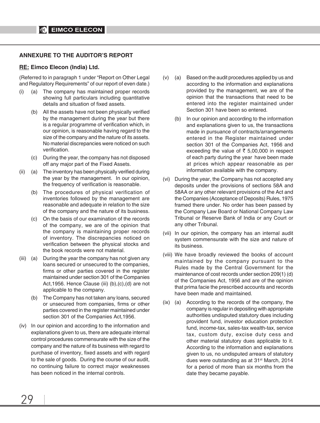### **ANNEXURE TO THE AUDITOR'S REPORT**

#### **RE: Eimco Elecon (India) Ltd.**

(Referred to in paragraph 1 under "Report on Other Legal and Regulatory Requirements" of our report of even date.)

- (i) (a) The company has maintained proper records showing full particulars including quantitative details and situation of fixed assets.
	- (b) All the assets have not been physically verified by the management during the year but there is a regular programme of verification which, in our opinion, is reasonable having regard to the size of the company and the nature of its assets. No material discrepancies were noticed on such verification.
	- (c) During the year, the company has not disposed off any major part of the Fixed Assets.
- (ii) (a) The inventory has been physically verified during the year by the management. In our opinion, the frequency of verification is reasonable.
	- (b) The procedures of physical verification of inventories followed by the management are reasonable and adequate in relation to the size of the company and the nature of its business.
	- (c) On the basis of our examination of the records of the company, we are of the opinion that the company is maintaining proper records of inventory. The discrepancies noticed on verification between the physical stocks and the book records were not material.
- (iii) (a) During the year the company has not given any loans secured or unsecured to the companies, firms or other parties covered in the register maintained under section 301 of the Companies Act,1956. Hence Clause (iii) (b),(c),(d) are not applicable to the company.
	- (b) The Company has not taken any loans, secured or unsecured from companies, firms or other parties covered in the register maintained under section 301 of the Companies Act,1956.
- (iv) In our opinion and according to the information and explanations given to us, there are adequate internal control procedures commensurate with the size of the company and the nature of its business with regard to purchase of inventory, fixed assets and with regard to the sale of goods. During the course of our audit, no continuing failure to correct major weaknesses has been noticed in the internal controls.
- (v) (a) Based on the audit procedures applied by us and according to the information and explanations provided by the management, we are of the opinion that the transactions that need to be entered into the register maintained under Section 301 have been so entered.
	- (b) In our opinion and according to the information and explanations given to us, the transactions made in pursuance of contracts/arrangements entered in the Register maintained under section 301 of the Companies Act, 1956 and exceeding the value of  $\overline{5}$  5,00,000 in respect of each party during the year have been made at prices which appear reasonable as per information available with the company.
- (vi) During the year, the Company has not accepted any deposits under the provisions of sections 58A and 58AA or any other relevant provisions of the Act and the Companies (Acceptance of Deposits) Rules, 1975 framed there under. No order has been passed by the Company Law Board or National Company Law Tribunal or Reserve Bank of India or any Court or any other Tribunal.
- (vii) In our opinion, the company has an internal audit system commensurate with the size and nature of its business.
- (viii) We have broadly reviewed the books of account maintained by the company pursuant to the Rules made by the Central Government for the maintenance of cost records under section 209(1) (d) of the Companies Act, 1956 and are of the opinion that prima facie the prescribed accounts and records have been made and maintained.
- (ix) (a) According to the records of the company, the company is regular in depositing with appropriate authorities undisputed statutory dues including provident fund, investor education protection fund, income-tax, sales-tax wealth-tax, service tax, custom duty, excise duty cess and other material statutory dues applicable to it. According to the information and explanations given to us, no undisputed arrears of statutory dues were outstanding as at 31<sup>st</sup> March, 2014 for a period of more than six months from the date they became payable.

29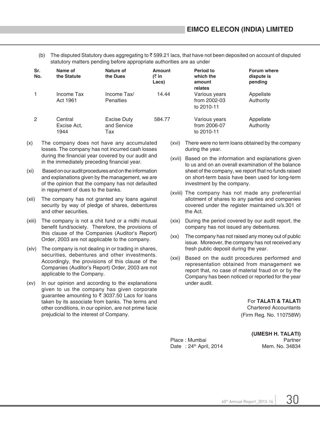(b) The disputed Statutory dues aggregating to  $\bar{\tau}$  599.21 lacs, that have not been deposited on account of disputed statutory matters pending before appropriate authorities are as under

| Sr.<br>No. | Name of<br>the Statute         | Nature of<br>the Dues                    | <b>Amount</b><br>(₹ in<br>Lacs) | Period to<br>which the<br>amount<br>relates | Forum where<br>dispute is<br>pending |
|------------|--------------------------------|------------------------------------------|---------------------------------|---------------------------------------------|--------------------------------------|
|            | Income Tax<br>Act 1961         | Income Tax/<br><b>Penalties</b>          | 14.44                           | Various years<br>from 2002-03<br>to 2010-11 | Appellate<br>Authority               |
| 2          | Central<br>Excise Act,<br>1944 | <b>Excise Duty</b><br>and Service<br>Tax | 584.77                          | Various years<br>from 2006-07<br>to 2010-11 | Appellate<br>Authority               |

- (x) The company does not have any accumulated losses. The company has not incurred cash losses during the financial year covered by our audit and in the immediately preceding financial year.
- (xi) Based on our audit procedures and on the information and explanations given by the management, we are of the opinion that the company has not defaulted in repayment of dues to the banks.
- (xii) The company has not granted any loans against security by way of pledge of shares, debentures and other securities.
- (xiii) The company is not a chit fund or a nidhi mutual benefit fund/society. Therefore, the provisions of this clause of the Companies (Auditor's Report) Order, 2003 are not applicable to the company.
- (xiv) The company is not dealing in or trading in shares, securities, debentures and other investments. Accordingly, the provisions of this clause of the Companies (Auditor's Report) Order, 2003 are not applicable to the Company.
- (xv) In our opinion and according to the explanations given to us the company has given corporate guarantee amounting to  $\bar{\tau}$  3037.50 Lacs for loans taken by its associate from banks. The terms and other conditions, in our opinion, are not prime facie prejudicial to the interest of Company.
- (xvi) There were no term loans obtained by the company during the year.
- (xvii) Based on the information and explanations given to us and on an overall examination of the balance sheet of the company, we report that no funds raised on short-term basis have been used for long-term investment by the company.
- (xviii) The company has not made any preferential allotment of shares to any parties and companies covered under the register maintained u/s.301 of the Act.
- (xix) During the period covered by our audit report, the company has not issued any debentures.
- (xx) The company has not raised any money out of public issue. Moreover, the company has not received any fresh public deposit during the year.
- (xxi) Based on the audit procedures performed and representation obtained from management we report that, no case of material fraud on or by the Company has been noticed or reported for the year under audit.

For **TALATI & TALATI** Chartered Accountants (Firm Reg. No. 110758W)

Place : Mumbai Partner Date: 24<sup>th</sup> April, 2014 Mem. No. 34834

**(UMESH H. TALATI)**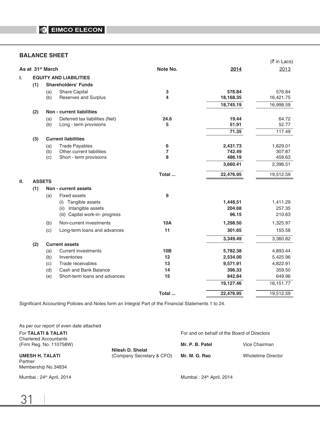### **BALANCE SHEET**

|                              |               |                   |                                                                                                             |                                   |                                          | $(5 \in \text{Ln}$ Lacs)                 |
|------------------------------|---------------|-------------------|-------------------------------------------------------------------------------------------------------------|-----------------------------------|------------------------------------------|------------------------------------------|
| As at 31 <sup>st</sup> March |               |                   |                                                                                                             | Note No.                          | 2014                                     | 2013                                     |
| I.                           |               |                   | <b>EQUITY AND LIABILITIES</b>                                                                               |                                   |                                          |                                          |
|                              | (1)           |                   | <b>Shareholders' Funds</b>                                                                                  |                                   |                                          |                                          |
|                              |               | (a)<br>(b)        | <b>Share Capital</b><br>Reserves and Surplus                                                                | 3<br>4                            | 576.84<br>18,168.35                      | 576.84<br>16,421.75                      |
|                              |               |                   |                                                                                                             |                                   | 18,745.19                                | 16,998.59                                |
|                              | (2)           |                   | Non - current liabilities                                                                                   |                                   |                                          |                                          |
|                              |               | (a)<br>(b)        | Deferred tax liabilities (Net)<br>Long - term provisions                                                    | 24.6<br>5                         | 19.44<br>51.91                           | 64.72<br>52.77<br>117.49                 |
|                              |               |                   |                                                                                                             |                                   | 71.35                                    |                                          |
|                              | (3)           | (a)<br>(b)<br>(c) | <b>Current liabilities</b><br><b>Trade Payables</b><br>Other current liabilities<br>Short - term provisions | 6<br>$\overline{\mathbf{r}}$<br>8 | 2,431.73<br>742.49<br>486.19<br>3,660.41 | 1,629.01<br>307.87<br>459.63<br>2,396.51 |
| П.                           | <b>ASSETS</b> |                   |                                                                                                             | Total                             | 22,476.95                                | 19,512.59                                |
|                              | (1)           |                   |                                                                                                             |                                   |                                          |                                          |
|                              |               | (a)               | Non - current assets<br><b>Fixed assets</b><br>Tangible assets<br>(i)<br>Intangible assets<br>(ii)          | 9                                 | 1,448.51<br>204.68                       | 1,411.29<br>257.35                       |
|                              |               |                   | (iii) Capital work-in- progress                                                                             |                                   | 96.15                                    | 210.63                                   |
|                              |               | (b)               | Non-current investments                                                                                     | <b>10A</b>                        | 1,298.50                                 | 1,325.97                                 |
|                              |               | (c)               | Long-term loans and advances                                                                                | 11                                | 301.65                                   | 155.58                                   |
|                              |               |                   |                                                                                                             |                                   | 3,349.49                                 | 3,360.82                                 |
|                              | (2)           |                   | <b>Current assets</b><br><b>Current investments</b>                                                         | 10 <sub>B</sub>                   | 5,782.38                                 | 4,893.44                                 |
|                              |               | (a)<br>(b)        | Inventories                                                                                                 | 12                                | 2,534.00                                 | 5,425.96                                 |
|                              |               | (c)               | Trade receivables                                                                                           | 13                                | 9,571.91                                 | 4,822.91                                 |
|                              |               | (d)               | Cash and Bank Balance                                                                                       | 14                                | 396.33                                   | 359.50                                   |
|                              |               | (e)               | Short-term loans and advances                                                                               | 15                                | 842.84                                   | 649.96                                   |
|                              |               |                   |                                                                                                             |                                   | 19,127.46                                | 16,151.77                                |
|                              |               |                   |                                                                                                             | Total                             | 22,476.95                                | 19,512.59                                |

Significant Accounting Policies and Notes form an Integral Part of the Financial Statements 1 to 24.

As per our report of even date attached

| For TALATI & TALATI          |                           | For and on behalf of the Board of Directors |                           |
|------------------------------|---------------------------|---------------------------------------------|---------------------------|
| <b>Chartered Accountants</b> |                           |                                             |                           |
| (Firm Reg. No. 110758W)      |                           | Mr. P. B. Patel                             | Vice Chairman             |
|                              | Nilesh D. Shelat          |                                             |                           |
| UMESH H. TALATI              | (Company Secretary & CFO) | Mr. M. G. Rao                               | <b>Wholetime Director</b> |
| Partner                      |                           |                                             |                           |

Partner Membership No.34834

31

Mumbai : 24<sup>th</sup> April, 2014 **Mumbai : 24<sup>th</sup> April**, 2014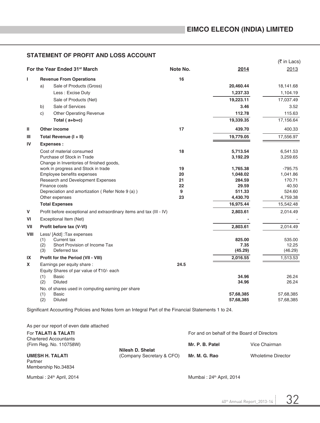### **STATEMENT OF PROFIT AND LOSS ACCOUNT**

|              |                           |                                                                                 |          |                | (₹ in Lacs)    |
|--------------|---------------------------|---------------------------------------------------------------------------------|----------|----------------|----------------|
|              |                           | For the Year Ended 31 <sup>st</sup> March                                       | Note No. | 2014           | 2013           |
| L            |                           | <b>Revenue From Operations</b>                                                  | 16       |                |                |
|              | a)                        | Sale of Products (Gross)                                                        |          | 20,460.44      | 18,141.68      |
|              |                           | Less: Excise Duty                                                               |          | 1,237.33       | 1,104.19       |
|              |                           | Sale of Products (Net)                                                          |          | 19,223.11      | 17,037.49      |
|              | b)                        | Sale of Services                                                                |          | 3.46           | 3.52           |
|              | $\mathsf{c})$             | <b>Other Operating Revenue</b>                                                  |          | 112.78         | 115.63         |
|              |                           | Total $(a+b+c)$                                                                 |          | 19,339.35      | 17,156.64      |
| Ш            |                           | <b>Other income</b>                                                             | 17       | 439.70         | 400.33         |
| Ш            |                           | Total Revenue (I + II)                                                          |          | 19,779.05      | 17,556.97      |
| IV           |                           | <b>Expenses:</b>                                                                |          |                |                |
|              | Cost of material consumed |                                                                                 | 18       | 5,713.54       | 6,541.53       |
|              |                           | Purchase of Stock in Trade                                                      |          | 3,192.29       | 3,259.65       |
|              |                           | Change in Inventories of finished goods,<br>work in progress and Stock in trade | 19       | 1,765.38       | $-795.75$      |
|              |                           | Employee benefits expenses                                                      | 20       | 1,048.02       | 1,041.86       |
|              |                           | Research and Development Expenses                                               | 21       | 284.59         | 170.71         |
|              |                           | Finance costs                                                                   | 22       | 29.59          | 40.50          |
|              |                           | Depreciation and amortization (Refer Note 9 (a))                                | 9        | 511.33         | 524.60         |
|              |                           | Other expenses                                                                  | 23       | 4,430.70       | 4,759.38       |
|              |                           | <b>Total Expenses</b>                                                           |          | 16,975.44      | 15,542.48      |
| $\mathsf{V}$ |                           | Profit before exceptional and extraordinary items and tax (III - IV)            |          | 2,803.61       | 2,014.49       |
| VI           |                           | Exceptional Item (Net)                                                          |          |                |                |
| VII          |                           | Profit before tax (V-VI)                                                        |          | 2,803.61       | 2,014.49       |
| VIII         |                           | Less/ [Add] :Tax expenses                                                       |          |                |                |
|              | (1)                       | Current tax                                                                     |          | 825.00         | 535.00         |
|              | (2)                       | Short Provision of Income Tax                                                   |          | 7.35           | 12.25          |
|              | (3)                       | Deferred tax                                                                    |          | (45.29)        | (46.29)        |
| IX           |                           | Profit for the Period (VII - VIII)                                              |          | 2,016.55       | 1,513.53       |
| X            |                           | Earnings per equity share:                                                      | 24.5     |                |                |
|              |                           | Equity Shares of par value of ₹10/- each                                        |          |                |                |
|              | (1)<br>(2)                | <b>Basic</b><br><b>Diluted</b>                                                  |          | 34.96<br>34.96 | 26.24<br>26.24 |
|              |                           | No. of shares used in computing earning per share                               |          |                |                |
|              | (1)                       | <b>Basic</b>                                                                    |          | 57,68,385      | 57,68,385      |
|              | (2)                       | <b>Diluted</b>                                                                  |          | 57,68,385      | 57,68,385      |

Significant Accounting Policies and Notes form an Integral Part of the Financial Statements 1 to 24.

As per our report of even date attached

| For TALATI & TALATI<br><b>Chartered Accountants</b> |                           | For and on behalf of the Board of Directors |                           |  |
|-----------------------------------------------------|---------------------------|---------------------------------------------|---------------------------|--|
| (Firm Reg. No. 110758W)                             | Nilesh D. Shelat          | Mr. P. B. Patel                             | Vice Chairman             |  |
| <b>UMESH H. TALATI</b>                              | (Company Secretary & CFO) | Mr. M. G. Rao                               | <b>Wholetime Director</b> |  |
| Partner                                             |                           |                                             |                           |  |
| Membership No.34834                                 |                           |                                             |                           |  |

Mumbai : 24<sup>th</sup> April, 2014 **Mumbai : 24<sup>th</sup> April**, 2014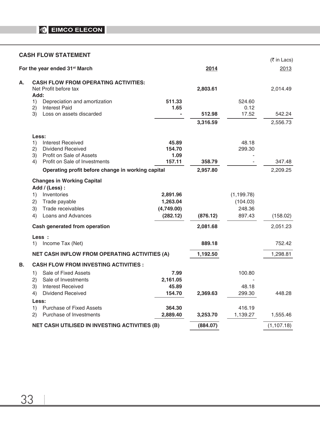### **CASH FLOW STATEMENT**

|    |                                                                        |                    |          |                    | $(5 \text{ in } \text{Lacs})$ |
|----|------------------------------------------------------------------------|--------------------|----------|--------------------|-------------------------------|
|    | For the year ended 31 <sup>st</sup> March                              |                    | 2014     |                    | 2013                          |
| А. | <b>CASH FLOW FROM OPERATING ACTIVITIES:</b>                            |                    |          |                    |                               |
|    | Net Profit before tax                                                  |                    | 2,803.61 |                    | 2,014.49                      |
|    | Add:<br>1)<br>Depreciation and amortization                            | 511.33             |          | 524.60             |                               |
|    | 2)<br><b>Interest Paid</b>                                             | 1.65               |          | 0.12               |                               |
|    | 3)<br>Loss on assets discarded                                         |                    | 512.98   | 17.52              | 542.24                        |
|    |                                                                        |                    | 3,316.59 |                    | 2,556.73                      |
|    | Less:                                                                  |                    |          |                    |                               |
|    | 1)<br><b>Interest Received</b>                                         | 45.89              |          | 48.18              |                               |
|    | 2)<br><b>Dividend Received</b><br>Profit on Sale of Assets             | 154.70             |          | 299.30             |                               |
|    | 3)<br>Profit on Sale of Investments<br>4)                              | 1.09<br>157.11     | 358.79   |                    | 347.48                        |
|    | Operating profit before change in working capital                      |                    | 2,957.80 |                    | 2,209.25                      |
|    | <b>Changes in Working Capital</b>                                      |                    |          |                    |                               |
|    | Add / (Less) :                                                         |                    |          |                    |                               |
|    | Inventories<br>1)                                                      | 2,891.96           |          | (1, 199.78)        |                               |
|    | 2)<br>Trade payable                                                    | 1,263.04           |          | (104.03)           |                               |
|    | 3)<br>Trade receivables                                                | (4,749.00)         |          | 248.36             |                               |
|    | 4)<br>Loans and Advances                                               | (282.12)           | (876.12) | 897.43             | (158.02)                      |
|    | Cash generated from operation                                          |                    | 2,081.68 |                    | 2,051.23                      |
|    | Less :<br>Income Tax (Net)<br>1)                                       |                    | 889.18   |                    | 752.42                        |
|    |                                                                        |                    |          |                    |                               |
|    | <b>NET CASH INFLOW FROM OPERATING ACTIVITIES (A)</b>                   |                    | 1,192.50 |                    | 1,298.81                      |
| Β. | <b>CASH FLOW FROM INVESTING ACTIVITIES:</b>                            |                    |          |                    |                               |
|    | Sale of Fixed Assets<br>1)                                             | 7.99               |          | 100.80             |                               |
|    | 2)<br>Sale of Investments                                              | 2,161.05           |          |                    |                               |
|    | 3)<br><b>Interest Received</b>                                         | 45.89              |          | 48.18              |                               |
|    | <b>Dividend Received</b><br>4)                                         | 154.70             | 2,369.63 | 299.30             | 448.28                        |
|    | Less:                                                                  |                    |          |                    |                               |
|    | <b>Purchase of Fixed Assets</b><br>1)<br>Purchase of Investments<br>2) | 364.30<br>2,889.40 | 3,253.70 | 416.19<br>1,139.27 | 1,555.46                      |
|    |                                                                        |                    |          |                    |                               |
|    | <b>NET CASH UTILISED IN INVESTING ACTIVITIES (B)</b>                   |                    | (884.07) |                    | (1, 107.18)                   |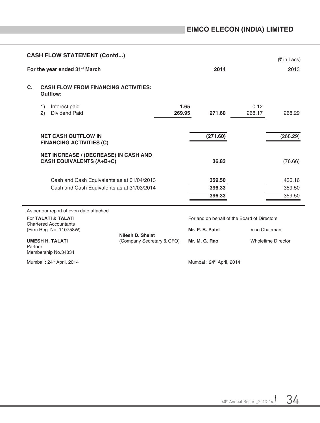| <b>CASH FLOW STATEMENT (Contd)</b><br>$(5 \in \text{In}$ Lacs) |                                                                                          |                                               |                |                                             |                |                            |
|----------------------------------------------------------------|------------------------------------------------------------------------------------------|-----------------------------------------------|----------------|---------------------------------------------|----------------|----------------------------|
|                                                                | For the year ended 31 <sup>st</sup> March                                                |                                               |                | 2014                                        |                | 2013                       |
| C.                                                             | <b>CASH FLOW FROM FINANCING ACTIVITIES:</b><br><b>Outflow:</b>                           |                                               |                |                                             |                |                            |
|                                                                | Interest paid<br>1)<br><b>Dividend Paid</b><br>2)                                        |                                               | 1.65<br>269.95 | 271.60                                      | 0.12<br>268.17 | 268.29                     |
|                                                                | <b>NET CASH OUTFLOW IN</b><br><b>FINANCING ACTIVITIES (C)</b>                            |                                               |                | (271.60)                                    |                | (268.29)                   |
|                                                                | <b>NET INCREASE / (DECREASE) IN CASH AND</b><br><b>CASH EQUIVALENTS (A+B+C)</b>          |                                               |                | 36.83                                       |                | (76.66)                    |
|                                                                | Cash and Cash Equivalents as at 01/04/2013<br>Cash and Cash Equivalents as at 31/03/2014 |                                               |                | 359.50<br>396.33<br>396.33                  |                | 436.16<br>359.50<br>359.50 |
|                                                                | As per our report of even date attached                                                  |                                               |                |                                             |                |                            |
|                                                                | For TALATI & TALATI<br><b>Chartered Accountants</b>                                      |                                               |                | For and on behalf of the Board of Directors |                |                            |
|                                                                | (Firm Reg. No. 110758W)                                                                  |                                               |                | Mr. P. B. Patel                             | Vice Chairman  |                            |
| Partner                                                        | <b>UMESH H. TALATI</b><br>Membership No.34834                                            | Nilesh D. Shelat<br>(Company Secretary & CFO) |                | Mr. M. G. Rao                               |                | <b>Wholetime Director</b>  |
|                                                                | Mumbai: 24 <sup>th</sup> April, 2014                                                     |                                               |                | Mumbai: 24 <sup>th</sup> April, 2014        |                |                            |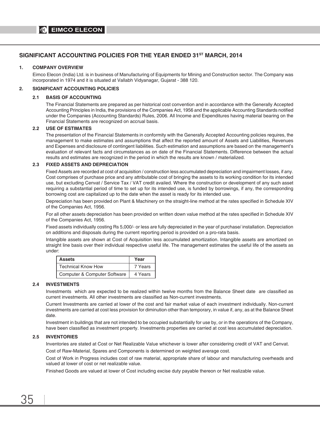### **SIGNIFICANT ACCOUNTING POLICIES FOR THE YEAR ENDED 31ST MARCH, 2014**

#### **1. COMPANY OVERVIEW**

Eimco Elecon (India) Ltd. is in business of Manufacturing of Equipments for Mining and Construction sector. The Company was incorporated in 1974 and it is situated at Vallabh Vidyanagar, Gujarat - 388 120.

#### **2. SIGNIFICANT ACCOUNTING POLICIES**

#### **2.1 BASIS OF ACCOUNTING**

The Financial Statements are prepared as per historical cost convention and in accordance with the Generally Accepted Accounting Principles in India, the provisions of the Companies Act, 1956 and the applicable Accounting Standards notified under the Companies (Accounting Standards) Rules, 2006. All Income and Expenditures having material bearing on the Financial Statements are recognized on accrual basis.

#### **2.2 USE OF ESTIMATES**

 The presentation of the Financial Statements in conformity with the Generally Accepted Accounting policies requires, the management to make estimates and assumptions that affect the reported amount of Assets and Liabilities, Revenues and Expenses and disclosure of contingent liabilities. Such estimation and assumptions are based on the management's evaluation of relevant facts and circumstances as on date of the Financial Statements. Difference between the actual results and estimates are recognized in the period in which the results are known / materialized.

#### **2.3 FIXED ASSETS AND DEPRECIATION**

 Fixed Assets are recorded at cost of acquisition / construction less accumulated depreciation and impairment losses, if any. Cost comprises of purchase price and any attributable cost of bringing the assets to its working condition for its intended use, but excluding Cenvat / Service Tax / VAT credit availed. Where the construction or development of any such asset requiring a substantial period of time to set up for its intended use, is funded by borrowings, if any, the corresponding borrowing cost are capitalized up to the date when the asset is ready for its intended use.

Depreciation has been provided on Plant & Machinery on the straight-line method at the rates specified in Schedule XIV of the Companies Act, 1956.

For all other assets depreciation has been provided on written down value method at the rates specified in Schedule XIV of the Companies Act, 1956.

 Fixed assets individually costing Rs 5,000/- or less are fully depreciated in the year of purchase/ installation. Depreciation on additions and disposals during the current reporting period is provided on a pro-rata basis.

 Intangible assets are shown at Cost of Acquisition less accumulated amortization. Intangible assets are amortized on straight line basis over their individual respective useful life. The management estimates the useful life of the assets as under:

| <b>Assets</b>                | Year    |
|------------------------------|---------|
| <b>Technical Know How</b>    | 7 Years |
| Computer & Computer Software | 4 Years |

#### **2.4 INVESTMENTS**

Investments which are expected to be realized within twelve months from the Balance Sheet date are classified as current investments. All other investments are classified as Non-current investments.

 Current Investments are carried at lower of the cost and fair market value of each investment individually. Non-current investments are carried at cost less provision for diminution other than temporary, in value if, any, as at the Balance Sheet date.

 Investment in buildings that are not intended to be occupied substantially for use by, or in the operations of the Company, have been classified as investment property. Investments properties are carried at cost less accumulated depreciation.

#### **2.5 INVENTORIES**

Inventories are stated at Cost or Net Realizable Value whichever is lower after considering credit of VAT and Cenvat.

Cost of Raw-Material, Spares and Components is determined on weighted average cost.

 Cost of Work in Progress includes cost of raw material, appropriate share of labour and manufacturing overheads and valued at lower of cost or net realizable value.

Finished Goods are valued at lower of Cost including excise duty payable thereon or Net realizable value.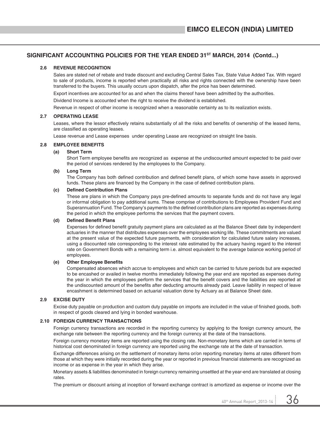### **SIGNIFICANT ACCOUNTING POLICIES FOR THE YEAR ENDED 31ST MARCH, 2014 (Contd...)**

#### **2.6 REVENUE RECOGNITION**

 Sales are stated net of rebate and trade discount and excluding Central Sales Tax, State Value Added Tax. With regard to sale of products, income is reported when practically all risks and rights connected with the ownership have been transferred to the buyers. This usually occurs upon dispatch, after the price has been determined.

Export incentives are accounted for as and when the claims thereof have been admitted by the authorities.

Dividend Income is accounted when the right to receive the dividend is established.

Revenue in respect of other income is recognized when a reasonable certainty as to its realization exists.

#### **2.7 OPERATING LEASE**

Leases, where the lessor effectively retains substantially of all the risks and benefits of ownership of the leased items, are classified as operating leases.

Lease revenue and Lease expenses under operating Lease are recognized on straight line basis.

#### **2.8 EMPLOYEE BENEFITS**

#### **(a) Short Term**

Short Term employee benefits are recognized as expense at the undiscounted amount expected to be paid over the period of services rendered by the employees to the Company.

#### **(b) Long Term**

The Company has both defined contribution and defined benefit plans, of which some have assets in approved funds. These plans are financed by the Company in the case of defined contribution plans.

#### **(c) Defined Contribution Plans**

These are plans in which the Company pays pre-defined amounts to separate funds and do not have any legal or informal obligation to pay additional sums. These comprise of contributions to Employees Provident Fund and Superannuation Fund. The Company's payments to the defined contribution plans are reported as expenses during the period in which the employee performs the services that the payment covers.

#### **(d) Defined Benefit Plans**

Expenses for defined benefit gratuity payment plans are calculated as at the Balance Sheet date by independent actuaries in the manner that distributes expenses over the employees working life. These commitments are valued at the present value of the expected future payments, with consideration for calculated future salary increases, using a discounted rate corresponding to the interest rate estimated by the actuary having regard to the interest rate on Government Bonds with a remaining term i.e. almost equivalent to the average balance working period of employees.

#### **(e) Other Employee Benefits**

 Compensated absences which accrue to employees and which can be carried to future periods but are expected to be encashed or availed in twelve months immediately following the year end are reported as expenses during the year in which the employees perform the services that the benefit covers and the liabilities are reported at the undiscounted amount of the benefits after deducting amounts already paid. Leave liability in respect of leave encashment is determined based on actuarial valuation done by Actuary as at Balance Sheet date.

#### **2.9 EXCISE DUTY**

Excise duty payable on production and custom duty payable on imports are included in the value of finished goods, both in respect of goods cleared and lying in bonded warehouse.

#### **2.10 FOREIGN CURRENCY TRANSACTIONS**

 Foreign currency transactions are recorded in the reporting currency by applying to the foreign currency amount, the exchange rate between the reporting currency and the foreign currency at the date of the transactions.

 Foreign currency monetary items are reported using the closing rate. Non-monetary items which are carried in terms of historical cost denominated in foreign currency are reported using the exchange rate at the date of transaction.

 Exchange differences arising on the settlement of monetary items or/on reporting monetary items at rates different from those at which they were initially recorded during the year or reported in previous financial statements are recognized as income or as expense in the year in which they arise.

 Monetary assets & liabilities denominated in foreign currency remaining unsettled at the year-end are translated at closing rates.

The premium or discount arising at inception of forward exchange contract is amortized as expense or income over the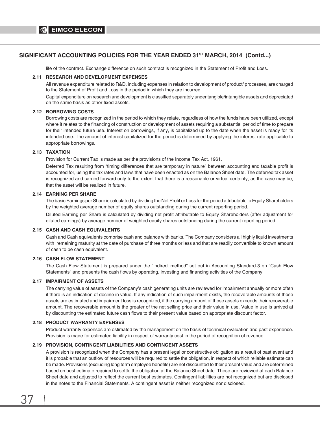### **SIGNIFICANT ACCOUNTING POLICIES FOR THE YEAR ENDED 31ST MARCH, 2014 (Contd...)**

life of the contract. Exchange difference on such contract is recognized in the Statement of Profit and Loss.

#### **2.11 RESEARCH AND DEVELOPMENT EXPENSES**

 All revenue expenditure related to R&D, including expenses in relation to development of product/ processes, are charged to the Statement of Profit and Loss in the period in which they are incurred.

Capital expenditure on research and development is classified separately under tangible/intangible assets and depreciated on the same basis as other fixed assets.

#### **2.12 BORROWING COSTS**

 Borrowing costs are recognized in the period to which they relate, regardless of how the funds have been utilized, except where it relates to the financing of construction or development of assets requiring a substantial period of time to prepare for their intended future use. Interest on borrowings, if any, is capitalized up to the date when the asset is ready for its intended use. The amount of interest capitalized for the period is determined by applying the interest rate applicable to appropriate borrowings.

#### **2.13 TAXATION**

Provision for Current Tax is made as per the provisions of the Income Tax Act, 1961.

Deferred Tax resulting from "timing differences that are temporary in nature" between accounting and taxable profit is accounted for, using the tax rates and laws that have been enacted as on the Balance Sheet date. The deferred tax asset is recognized and carried forward only to the extent that there is a reasonable or virtual certainty, as the case may be, that the asset will be realized in future.

#### **2.14 EARNING PER SHARE**

The basic Earnings per Share is calculated by dividing the Net Profit or Loss for the period attributable to Equity Shareholders by the weighted average number of equity shares outstanding during the current reporting period.

Diluted Earning per Share is calculated by dividing net profit attributable to Equity Shareholders (after adjustment for diluted earnings) by average number of weighted equity shares outstanding during the current reporting period.

#### **2.15 CASH AND CASH EQUIVALENTS**

 Cash and Cash equivalents comprise cash and balance with banks. The Company considers all highly liquid investments with remaining maturity at the date of purchase of three months or less and that are readily convertible to known amount of cash to be cash equivalent.

#### **2.16 CASH FLOW STATEMENT**

 The Cash Flow Statement is prepared under the "indirect method" set out in Accounting Standard-3 on "Cash Flow Statements" and presents the cash flows by operating, investing and financing activities of the Company.

#### **2.17 IMPAIRMENT OF ASSETS**

 The carrying value of assets of the Company's cash generating units are reviewed for impairment annually or more often if there is an indication of decline in value. If any indication of such impairment exists, the recoverable amounts of those assets are estimated and impairment loss is recognized, if the carrying amount of those assets exceeds their recoverable amount. The recoverable amount is the greater of the net selling price and their value in use. Value in use is arrived at by discounting the estimated future cash flows to their present value based on appropriate discount factor.

#### **2.18 PRODUCT WARRANTY EXPENSES**

 Product warranty expenses are estimated by the management on the basis of technical evaluation and past experience. Provision is made for estimated liability in respect of warranty cost in the period of recognition of revenue.

#### **2.19 PROVISION, CONTINGENT LIABILITIES AND CONTINGENT ASSETS**

 A provision is recognized when the Company has a present legal or constructive obligation as a result of past event and it is probable that an outflow of resources will be required to settle the obligation, in respect of which reliable estimate can be made. Provisions (excluding long term employee benefits) are not discounted to their present value and are determined based on best estimate required to settle the obligation at the Balance Sheet date. These are reviewed at each Balance Sheet date and adjusted to reflect the current best estimates. Contingent liabilities are not recognized but are disclosed in the notes to the Financial Statements. A contingent asset is neither recognized nor disclosed.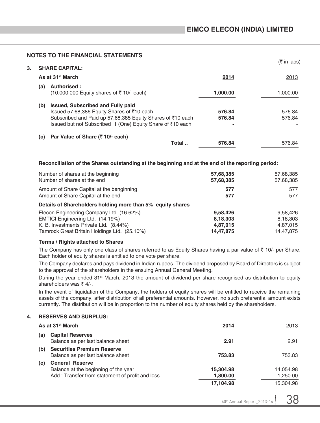### **NOTES TO THE FINANCIAL STATEMENTS**

|    |     |                                                                                                                                                                                                                    |       |                  | $(5 \nvert$ in lacs) |
|----|-----|--------------------------------------------------------------------------------------------------------------------------------------------------------------------------------------------------------------------|-------|------------------|----------------------|
| 3. |     | <b>SHARE CAPITAL:</b>                                                                                                                                                                                              |       |                  |                      |
|    |     | As at 31 <sup>st</sup> March                                                                                                                                                                                       |       | 2014             | 2013                 |
|    | (a) | Authorised:<br>$(10,000,000$ Equity shares of ₹ 10/- each)                                                                                                                                                         |       | 1,000.00         | 1,000.00             |
|    | (b) | <b>Issued, Subscribed and Fully paid</b><br>Issued 57,68,386 Equity Shares of ₹10 each<br>Subscribed and Paid up 57,68,385 Equity Shares of ₹10 each<br>Issued but not Subscribed 1 (One) Equity Share of ₹10 each |       | 576.84<br>576.84 | 576.84<br>576.84     |
|    | (c) | Par Value of Share (₹ 10/- each)                                                                                                                                                                                   | Total | 576.84           | 576.84               |

#### **Reconciliation of the Shares outstanding at the beginning and at the end of the reporting period:**

| Number of shares at the beginning<br>Number of shares at the end                | 57,68,385<br>57,68,385 | 57,68,385<br>57,68,385 |
|---------------------------------------------------------------------------------|------------------------|------------------------|
| Amount of Share Capital at the benginning<br>Amount of Share Capital at the end | 577<br>577             | 577<br>577             |
| Details of Shareholders holding more than 5% equity shares                      |                        |                        |
| Elecon Engineering Company Ltd. (16.62%)                                        | 9,58,426               | 9,58,426               |
| EMTICI Engineering Ltd. (14.19%)                                                | 8,18,303               | 8,18,303               |
| K. B. Investments Private Ltd. (8.44%)                                          | 4,87,015               | 4,87,015               |
| Tamrock Great Britain Holdings Ltd. (25.10%)                                    | 14,47,875              | 14,47,875              |

#### **Terms / Rights attached to Shares**

The Company has only one class of shares referred to as Equity Shares having a par value of  $\bar{\tau}$  10/- per Share. Each holder of equity shares is entitled to one vote per share.

The Company declares and pays dividend in Indian rupees. The dividend proposed by Board of Directors is subject to the approval of the shareholders in the ensuing Annual General Meeting.

During the year ended 31<sup>st</sup> March, 2013 the amount of dividend per share recognised as distribution to equity shareholders was  $\bar{z}$  4/-.

In the event of liquidation of the Company, the holders of equity shares will be entitled to receive the remaining assets of the company, after distribution of all preferential amounts. However, no such preferential amount exists currently. The distribution will be in proportion to the number of equity shares held by the shareholders.

### **4. RESERVES AND SURPLUS:**

|     | As at 31 <sup>st</sup> March                                                                                      | 2014                  | 2013                  |
|-----|-------------------------------------------------------------------------------------------------------------------|-----------------------|-----------------------|
| (a) | <b>Capital Reserves</b><br>Balance as per last balance sheet                                                      | 2.91                  | 2.91                  |
| (b) | <b>Securities Premium Reserve</b><br>Balance as per last balance sheet                                            | 753.83                | 753.83                |
| (C) | <b>General Reserve</b><br>Balance at the beginning of the year<br>Add: Transfer from statement of profit and loss | 15,304.98<br>1,800.00 | 14.054.98<br>1,250.00 |
|     |                                                                                                                   | 17,104.98             | 15,304.98             |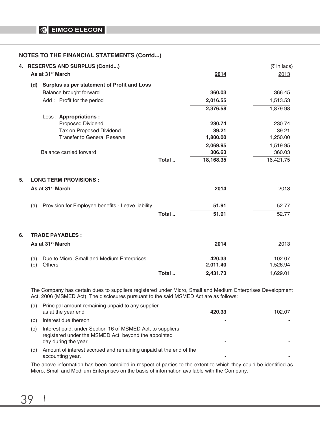|    | 4. RESERVES AND SURPLUS (Contd)<br>As at 31 <sup>st</sup> March |       | 2014      | (₹ in lacs)<br>2013 |
|----|-----------------------------------------------------------------|-------|-----------|---------------------|
|    | Surplus as per statement of Profit and Loss<br>(d)              |       |           |                     |
|    | Balance brought forward                                         |       | 360.03    | 366.45              |
|    | Add: Profit for the period                                      |       | 2,016.55  | 1,513.53            |
|    |                                                                 |       | 2,376.58  | 1,879.98            |
|    | Less: Appropriations:                                           |       |           |                     |
|    | Proposed Dividend                                               |       | 230.74    | 230.74              |
|    | Tax on Proposed Dividend                                        |       | 39.21     | 39.21               |
|    | <b>Transfer to General Reserve</b>                              |       | 1,800.00  | 1,250.00            |
|    |                                                                 |       | 2,069.95  | 1,519.95            |
|    | Balance carried forward                                         |       | 306.63    | 360.03              |
|    |                                                                 | Total | 18,168.35 | 16,421.75           |
| 5. | <b>LONG TERM PROVISIONS:</b>                                    |       |           |                     |
|    | As at 31 <sup>st</sup> March                                    |       | 2014      | 2013                |
|    | Provision for Employee benefits - Leave liability<br>(a)        |       | 51.91     | 52.77               |
|    |                                                                 | Total | 51.91     | 52.77               |
|    |                                                                 |       |           |                     |
| 6. | <b>TRADE PAYABLES:</b>                                          |       |           |                     |
|    | As at 31 <sup>st</sup> March                                    |       | 2014      | 2013                |
|    | Due to Micro, Small and Medium Enterprises<br>(a)               |       | 420.33    | 102.07              |
|    | (b)<br><b>Others</b>                                            |       | 2,011.40  | 1,526.94            |
|    |                                                                 | Total | 2,431.73  | 1,629.01            |

The Company has certain dues to suppliers registered under Micro, Small and Medium Enterprises Development Act, 2006 (MSMED Act). The disclosures pursuant to the said MSMED Act are as follows:

| (a) | Principal amount remaining unpaid to any supplier<br>as at the year end                                                                    | 420.33         | 102.07 |
|-----|--------------------------------------------------------------------------------------------------------------------------------------------|----------------|--------|
| (b) | Interest due thereon                                                                                                                       |                |        |
| (C) | Interest paid, under Section 16 of MSMED Act, to suppliers<br>registered under the MSMED Act, beyond the appointed<br>day during the year. | $\blacksquare$ |        |
| (d) | Amount of interest accrued and remaining unpaid at the end of the<br>accounting year.                                                      | $\blacksquare$ |        |

The above information has been compiled in respect of parties to the extent to which they could be identified as Micro, Small and Mediium Enterprises on the basis of information available with the Company.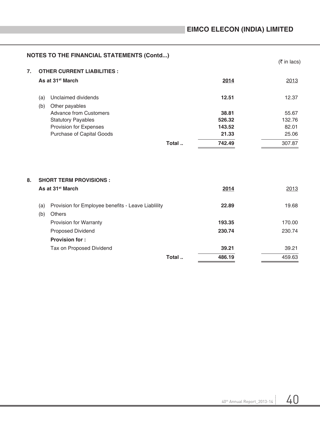|    |     | <b>NOTES TO THE FINANCIAL STATEMENTS (Contd)</b>   |       |        | $(5 \infty)$ |
|----|-----|----------------------------------------------------|-------|--------|--------------|
| 7. |     | <b>OTHER CURRENT LIABILITIES:</b>                  |       |        |              |
|    |     | As at 31 <sup>st</sup> March                       |       | 2014   | 2013         |
|    | (a) | Unclaimed dividends                                |       | 12.51  | 12.37        |
|    | (b) | Other payables                                     |       |        |              |
|    |     | <b>Advance from Customers</b>                      |       | 38.81  | 55.67        |
|    |     | <b>Statutory Payables</b>                          |       | 526.32 | 132.76       |
|    |     | Provision for Expenses                             |       | 143.52 | 82.01        |
|    |     | <b>Purchase of Capital Goods</b>                   |       | 21.33  | 25.06        |
|    |     |                                                    | Total | 742.49 | 307.87       |
| 8. |     | <b>SHORT TERM PROVISIONS:</b>                      |       |        |              |
|    |     | As at 31 <sup>st</sup> March                       |       | 2014   | 2013         |
|    | (a) | Provision for Employee benefits - Leave Liablility |       | 22.89  | 19.68        |
|    | (b) | <b>Others</b>                                      |       |        |              |
|    |     | Provision for Warranty                             |       | 193.35 | 170.00       |
|    |     | Proposed Dividend                                  |       | 230.74 | 230.74       |
|    |     | <b>Provision for:</b>                              |       |        |              |
|    |     | Tax on Proposed Dividend                           |       | 39.21  | 39.21        |
|    |     |                                                    | Total | 486.19 | 459.63       |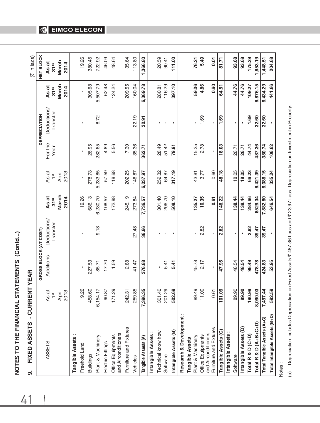| ι                                                                                                 |
|---------------------------------------------------------------------------------------------------|
| i<br><b>Service Service</b><br>$\overline{1}$                                                     |
| ı                                                                                                 |
| ֧֦֧֧֧֧֧ׅ֧֧֧֧֧֧֧֪֧֚֚֚֚֚֚֚֚֚֚֚֚֚֚֚֚֚֚֚֚֚֚֚֚֚֝֓֝֓֝֬֜֓֝֓֓֓֓֓֝֬֝<br>$\overline{\phantom{a}}$<br>٦<br>İ |

| ı                |
|------------------|
| I<br>ı<br>ı      |
| Ï<br>l<br>Ï<br>Ï |
| ı                |
| ı<br>I<br>ı<br>ı |

41

| FIXED ASSEIS - CURRENI Y<br>ກ່                |               | I<br>K<br>Li          |                |          |                |         |                     |                    | (₹ in lacs) |
|-----------------------------------------------|---------------|-----------------------|----------------|----------|----------------|---------|---------------------|--------------------|-------------|
|                                               |               | GROSS BLOCK (AT COST) |                |          |                |         | <b>DEPRECIATION</b> |                    | NET BLOCK   |
| <b>ASSETS</b>                                 | As at         | Additions             | Deductions/    | As at    | As at          | For the | Deductions/         | As at              | As at       |
|                                               | $\frac{5}{1}$ |                       | Transfer       | $31$ st  | $\frac{5}{10}$ | Year    | Transfer            | $31$ <sup>st</sup> | $31$ st     |
|                                               | April         |                       |                | March    | April          |         |                     | March              | March       |
|                                               | 2013          |                       |                | 2014     | 2013           |         |                     | 2014               | 2014        |
| Tangible Assets                               |               |                       |                |          |                |         |                     |                    |             |
| Freehold Land                                 | 19.26         |                       | $\blacksquare$ | 19.26    |                |         | $\blacksquare$      |                    | 19.26       |
| <b>Buildings</b>                              | 458.60        | 227.53                |                | 686.13   | 278.73         | 26.95   |                     | 305.68             | 380.45      |
| Plant & Machinery                             | 6,154.17      | 85.71                 | 9.18           | 6,230.70 | 5,233.85       | 282.65  | 8.72                | 5,507.79           | 722.92      |
| Electric Fittings                             | 90.87         | 17.70                 |                | 108.57   | 57.59          | 4.89    |                     | 62.48              | 46.09       |
| and Airconditioners<br>Office Equipments      | 171.29        | 1.59                  |                | 172.88   | 118.68         | 5.56    |                     | 124.24             | 48.64       |
| Furniture and Fixtures                        | 242.31        | 2.88                  |                | 245.19   | 202.25         | 7.30    |                     | 209.55             | 35.64       |
| Vehicles                                      | 259.85        | 41.47                 | 27.48          | 273.84   | 146.87         | 35.36   | 22.19               | 160.04             | 113.80      |
| Tangible Assests (A)                          | 7,396.35      | 376.88                | 36.66          | 7,736.57 | 6,037.97       | 362.71  | 30.91               | 6,369.78           | 1,366.80    |
| Intangible Assets                             |               |                       |                |          |                |         |                     |                    |             |
| Technical know how                            | 301.40        |                       | J.             | 301.40   | 252.32         | 28.49   | ٠                   | 280.81             | 20.59       |
| Software                                      | 201.29        | 5.41                  | ×              | 206.70   | 64.87          | 51.42   | ×                   | 116.29             | 90.41       |
| Intangible Assets (B)                         | 502.69        | 5.41                  | ٠              | 508.10   | 317.19         | 79.91   | ٠                   | 397.10             | 111.00      |
| Research & Development :                      |               |                       |                |          |                |         |                     |                    |             |
| Tangible Assets                               |               |                       |                |          |                |         |                     |                    |             |
| Plant & Machinery                             | 89.49         | 45.78                 |                | 135.27   | 43.81          | 15.25   |                     | 59.06              | 76.21       |
| Office Equipments                             | 11.00         | 2.17                  | 2.82           | 10.35    | 3.77           | 2.78    | 1.69                | 4.86               | 5.49        |
| Furniture and Fixtures<br>and Airconditioners | 0.61          |                       |                | 0.61     | 0.60           |         |                     | 0.60               | 0.01        |
| Tangible Assets (C)                           | 101.09        | 47.95                 | 2.82           | 146.22   | 48.18          | 18.03   | 1.69                | 64.51              | 81.71       |
| Intangible Assets:                            |               |                       |                |          |                |         |                     |                    |             |
| Software                                      | 89.90         | 48.54                 | $\mathbf{I}$   | 138.44   | 18.05          | 26.71   | $\mathbf{I}$        | 44.76              | 93.68       |
| Intangible Assets (D)                         | 89.90         | 48.54                 | ٠              | 138.44   | 18.05          | 26.71   |                     | 44.76              | 93.68       |
| Total R & D (C+D)                             | 190.99        | 96.49                 | 2.82           | 284.66   | 66.23          | 44.74   | 1.69                | 109.27             | 175.39      |
| Total R & D (A+B+C+D)                         | 8,090.03      | 478.78                | 39.47          | 8529.34  | 6,421.39       | 487.36  | 32.60               | 6,876.15           | 1,653.19    |
| Total Tangible Assets (A+C)                   | 7,497.44      | 424.83                | 39.47          | 7,882.80 | 6,086.15       | 380.74  | 32.60               | 6,434.29           | 1,448.51    |
| Total Intangible Assets (B+D)                 | 592.59        | 53.95                 |                | 646.54   | 335.24         | 106.62  |                     | 441.86             | 204.68      |
|                                               |               |                       |                |          |                |         |                     |                    |             |

Notes :

### **SEIMCO ELECON**

<sup>(</sup>a) Depreciation includes Depreciation on Fixed Assets ₹ 487.36 Lacs and ₹ 23.97 Lacs Depreciation on Investment in Property. (a) Depreciation includes Depreciation on Fixed Assets ` 487.36 Lacs and ` 23.97 Lacs Depreciation on Investment in Property.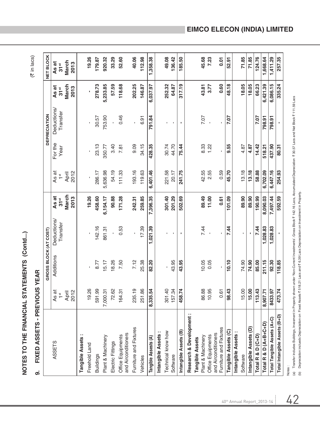| i<br>I                                                                                       |
|----------------------------------------------------------------------------------------------|
| =<br>ii<br>{<br>֧֖֖֧֧֧֧֧֧֧֧֧֧֧֧֧֧֚֚֚֚֚֝֟֓֝֬֝֓֝֬֝֓֝֬֝֓֝֬֟֓֝֓֟֓֟֓֝֓֝֬֝֬֓֝<br>֧֧֪֜֜׀<br>֧֖֚֚֚֬֬ |

| Ï           |
|-------------|
| l<br>ï<br>I |
| f<br>l      |
| ¢<br>ı      |

| March<br>As at<br>$31$ st<br>March<br>As at<br>$31$ <sup>st</sup><br>Deductions.<br>Transfer<br><b>DEPRECIATION</b><br>For the<br>Year |  |  |
|----------------------------------------------------------------------------------------------------------------------------------------|--|--|
| <b>NET BLOCK</b>                                                                                                                       |  |  |
|                                                                                                                                        |  |  |
|                                                                                                                                        |  |  |
|                                                                                                                                        |  |  |
| (₹ in lacs                                                                                                                             |  |  |

| 49.08<br>71.85<br>124.76<br>1,411.29<br>257.35<br>19.26<br>33.29<br>52.60<br>40.06<br>112.98<br>1,358.38<br>136.42<br>185.50<br>45.68<br>7.23<br>71.85<br>1,668.64<br>920.32<br>179.87<br>52.91<br>0.01<br>March<br>As at<br>2013<br>$31$ st<br><b>March</b><br>6,086.15<br>278.73<br>252.32<br>317.19<br>0.60<br>48.18<br>18.05<br>18.05<br>66.23<br>6,421.39<br>335.24<br>5,233.85<br>57.59<br>118.68<br>202.25<br>64.87<br>146.87<br>6,037.97<br>43.81<br>3.77<br>As at<br>2013<br>$31$ <sup>st</sup><br>ı,<br><b>Deductions</b><br>Transfer<br>753.90<br>0.46<br>30.57<br>791.84<br>7.07<br>7.07<br>7.07<br>6.91<br>798.91<br>798.91<br>ï<br>$\mathbf{u}$<br>$\blacksquare$<br>$\blacksquare$<br>I.<br>$\mathbf{I}$<br>$\mathbf{I}$<br>٠<br>For the<br>44.70<br>23.13<br>3.40<br>9.09<br>34.15<br>428.35<br>30.74<br>8.33<br>1.22<br>9.55<br>437.90<br>350.77<br>7.81<br>75.44<br>4.87<br>14.42<br>80.31<br>518.21<br>4.87<br>Year<br>54.19<br>193.16<br>221.58<br>6,447.16<br>254.93<br>5,636.98<br>119.63<br>6,401.46<br>42.55<br>2.55<br>13.18<br>13.18<br>58.88<br>6,702.09<br>286.17<br>111.33<br>20.17<br>241.75<br>0.59<br>45.70<br>As at<br>2012<br>April<br>$\frac{5}{10}$<br>March<br>As at<br>2013<br>19.26<br>90.88<br>259.85<br>301.40<br>201.29<br>89.49<br>89.90<br>190.99<br>8,090.03<br>7,497.44<br>592.59<br>458.60<br>171.28<br>7,396.35<br>502.69<br>11.00<br>101.09<br>89.90<br>6,154.17<br>242.31<br>0.61<br>$31$ st<br><b>Deductions</b><br>Transfer<br>7.44<br>142.16<br>1,028.83<br>0.53<br>17.39<br>1,021.39<br>7.44<br>7.44<br>1,028.83<br>861.31<br>$\blacksquare$<br>$\mathbf{I}$<br>×,<br>$\mathbf{I}$<br>$\mathbf{I}$<br>٠<br>٠<br>٠<br>٠<br>Additions<br>43.95<br>211.15<br>18.26<br>7.50<br>7.12<br>25.38<br>82.20<br>10.05<br>0.05<br>74.90<br>85.00<br>92.30<br>118.85<br>8.77<br>15.17<br>43.95<br>10.10<br>74.90<br>$\blacksquare$<br>1<br>251.86<br>15.00<br>473.74<br>19.26<br>591.99<br>72.62<br>235.19<br>8,335.54<br>301.40<br>157.34<br>458.74<br>86.88<br>10.95<br>98.43<br>15.00<br>113.43<br>7,000.31<br>164.31<br>8433.97<br>0.61<br>8,907.71<br>As at<br>2012<br>April<br>$\frac{5}{1}$<br>Research & Development :<br>Total Intangible Assets (B+D)<br>Total Tangible Assets (A+C)<br>Total R & D (A+B+C+D)<br>Intangible Assets (D)<br>Furniture and Fixtures<br>Furniture and Fixtures<br>Intangible Assets (B)<br>Tangible Assets (C)<br>Technical know how<br>and Airconditioners<br>and Airconditioners<br>Intangible Assets<br>Intangible Assets<br>Total R & D (C+D)<br>Office Equipments<br>Office Equipments<br>Plant & Machinery<br>Plant & Machinery<br>Tangible Assests (A)<br>Tangible Assets<br>Tangible Assets<br><b>ASSETS</b><br>Electric Fittings<br>Freehold Land<br><b>Buildings</b><br>Software<br>Software<br>Vehicles | (a) Transfer includes Buildings, Invesment in Property shown under 'Non-Current Investments'. Gross Block ₹ 142.16 Lacs, Accumulated Depreciation ₹ 30.57 Lacs and Net Block ₹ 111.59 Lacs<br>Notes:<br>42<br>40th Annual Report_2013-14 |  | GROSS BLOCK (AT COST) |  |  | <b>DEPRECIATION</b> | <b>NET BLOCK</b> |
|---------------------------------------------------------------------------------------------------------------------------------------------------------------------------------------------------------------------------------------------------------------------------------------------------------------------------------------------------------------------------------------------------------------------------------------------------------------------------------------------------------------------------------------------------------------------------------------------------------------------------------------------------------------------------------------------------------------------------------------------------------------------------------------------------------------------------------------------------------------------------------------------------------------------------------------------------------------------------------------------------------------------------------------------------------------------------------------------------------------------------------------------------------------------------------------------------------------------------------------------------------------------------------------------------------------------------------------------------------------------------------------------------------------------------------------------------------------------------------------------------------------------------------------------------------------------------------------------------------------------------------------------------------------------------------------------------------------------------------------------------------------------------------------------------------------------------------------------------------------------------------------------------------------------------------------------------------------------------------------------------------------------------------------------------------------------------------------------------------------------------------------------------------------------------------------------------------------------------------------------------------------------------------------------------------------------------------------------------------------------------------------------------------------------------------------------------------------------------------------------------------------------------------------------------------------------------------------------------------------------------------------------------------------------------------------------------------------------------------------------------------------------------------------------------|------------------------------------------------------------------------------------------------------------------------------------------------------------------------------------------------------------------------------------------|--|-----------------------|--|--|---------------------|------------------|
|                                                                                                                                                                                                                                                                                                                                                                                                                                                                                                                                                                                                                                                                                                                                                                                                                                                                                                                                                                                                                                                                                                                                                                                                                                                                                                                                                                                                                                                                                                                                                                                                                                                                                                                                                                                                                                                                                                                                                                                                                                                                                                                                                                                                                                                                                                                                                                                                                                                                                                                                                                                                                                                                                                                                                                                                   |                                                                                                                                                                                                                                          |  |                       |  |  |                     |                  |
|                                                                                                                                                                                                                                                                                                                                                                                                                                                                                                                                                                                                                                                                                                                                                                                                                                                                                                                                                                                                                                                                                                                                                                                                                                                                                                                                                                                                                                                                                                                                                                                                                                                                                                                                                                                                                                                                                                                                                                                                                                                                                                                                                                                                                                                                                                                                                                                                                                                                                                                                                                                                                                                                                                                                                                                                   |                                                                                                                                                                                                                                          |  |                       |  |  |                     |                  |
|                                                                                                                                                                                                                                                                                                                                                                                                                                                                                                                                                                                                                                                                                                                                                                                                                                                                                                                                                                                                                                                                                                                                                                                                                                                                                                                                                                                                                                                                                                                                                                                                                                                                                                                                                                                                                                                                                                                                                                                                                                                                                                                                                                                                                                                                                                                                                                                                                                                                                                                                                                                                                                                                                                                                                                                                   |                                                                                                                                                                                                                                          |  |                       |  |  |                     |                  |
|                                                                                                                                                                                                                                                                                                                                                                                                                                                                                                                                                                                                                                                                                                                                                                                                                                                                                                                                                                                                                                                                                                                                                                                                                                                                                                                                                                                                                                                                                                                                                                                                                                                                                                                                                                                                                                                                                                                                                                                                                                                                                                                                                                                                                                                                                                                                                                                                                                                                                                                                                                                                                                                                                                                                                                                                   |                                                                                                                                                                                                                                          |  |                       |  |  |                     |                  |
|                                                                                                                                                                                                                                                                                                                                                                                                                                                                                                                                                                                                                                                                                                                                                                                                                                                                                                                                                                                                                                                                                                                                                                                                                                                                                                                                                                                                                                                                                                                                                                                                                                                                                                                                                                                                                                                                                                                                                                                                                                                                                                                                                                                                                                                                                                                                                                                                                                                                                                                                                                                                                                                                                                                                                                                                   |                                                                                                                                                                                                                                          |  |                       |  |  |                     |                  |
|                                                                                                                                                                                                                                                                                                                                                                                                                                                                                                                                                                                                                                                                                                                                                                                                                                                                                                                                                                                                                                                                                                                                                                                                                                                                                                                                                                                                                                                                                                                                                                                                                                                                                                                                                                                                                                                                                                                                                                                                                                                                                                                                                                                                                                                                                                                                                                                                                                                                                                                                                                                                                                                                                                                                                                                                   |                                                                                                                                                                                                                                          |  |                       |  |  |                     |                  |
|                                                                                                                                                                                                                                                                                                                                                                                                                                                                                                                                                                                                                                                                                                                                                                                                                                                                                                                                                                                                                                                                                                                                                                                                                                                                                                                                                                                                                                                                                                                                                                                                                                                                                                                                                                                                                                                                                                                                                                                                                                                                                                                                                                                                                                                                                                                                                                                                                                                                                                                                                                                                                                                                                                                                                                                                   |                                                                                                                                                                                                                                          |  |                       |  |  |                     |                  |
|                                                                                                                                                                                                                                                                                                                                                                                                                                                                                                                                                                                                                                                                                                                                                                                                                                                                                                                                                                                                                                                                                                                                                                                                                                                                                                                                                                                                                                                                                                                                                                                                                                                                                                                                                                                                                                                                                                                                                                                                                                                                                                                                                                                                                                                                                                                                                                                                                                                                                                                                                                                                                                                                                                                                                                                                   |                                                                                                                                                                                                                                          |  |                       |  |  |                     |                  |
|                                                                                                                                                                                                                                                                                                                                                                                                                                                                                                                                                                                                                                                                                                                                                                                                                                                                                                                                                                                                                                                                                                                                                                                                                                                                                                                                                                                                                                                                                                                                                                                                                                                                                                                                                                                                                                                                                                                                                                                                                                                                                                                                                                                                                                                                                                                                                                                                                                                                                                                                                                                                                                                                                                                                                                                                   |                                                                                                                                                                                                                                          |  |                       |  |  |                     |                  |
|                                                                                                                                                                                                                                                                                                                                                                                                                                                                                                                                                                                                                                                                                                                                                                                                                                                                                                                                                                                                                                                                                                                                                                                                                                                                                                                                                                                                                                                                                                                                                                                                                                                                                                                                                                                                                                                                                                                                                                                                                                                                                                                                                                                                                                                                                                                                                                                                                                                                                                                                                                                                                                                                                                                                                                                                   |                                                                                                                                                                                                                                          |  |                       |  |  |                     |                  |
|                                                                                                                                                                                                                                                                                                                                                                                                                                                                                                                                                                                                                                                                                                                                                                                                                                                                                                                                                                                                                                                                                                                                                                                                                                                                                                                                                                                                                                                                                                                                                                                                                                                                                                                                                                                                                                                                                                                                                                                                                                                                                                                                                                                                                                                                                                                                                                                                                                                                                                                                                                                                                                                                                                                                                                                                   |                                                                                                                                                                                                                                          |  |                       |  |  |                     |                  |
|                                                                                                                                                                                                                                                                                                                                                                                                                                                                                                                                                                                                                                                                                                                                                                                                                                                                                                                                                                                                                                                                                                                                                                                                                                                                                                                                                                                                                                                                                                                                                                                                                                                                                                                                                                                                                                                                                                                                                                                                                                                                                                                                                                                                                                                                                                                                                                                                                                                                                                                                                                                                                                                                                                                                                                                                   |                                                                                                                                                                                                                                          |  |                       |  |  |                     |                  |
|                                                                                                                                                                                                                                                                                                                                                                                                                                                                                                                                                                                                                                                                                                                                                                                                                                                                                                                                                                                                                                                                                                                                                                                                                                                                                                                                                                                                                                                                                                                                                                                                                                                                                                                                                                                                                                                                                                                                                                                                                                                                                                                                                                                                                                                                                                                                                                                                                                                                                                                                                                                                                                                                                                                                                                                                   |                                                                                                                                                                                                                                          |  |                       |  |  |                     |                  |
|                                                                                                                                                                                                                                                                                                                                                                                                                                                                                                                                                                                                                                                                                                                                                                                                                                                                                                                                                                                                                                                                                                                                                                                                                                                                                                                                                                                                                                                                                                                                                                                                                                                                                                                                                                                                                                                                                                                                                                                                                                                                                                                                                                                                                                                                                                                                                                                                                                                                                                                                                                                                                                                                                                                                                                                                   |                                                                                                                                                                                                                                          |  |                       |  |  |                     |                  |
|                                                                                                                                                                                                                                                                                                                                                                                                                                                                                                                                                                                                                                                                                                                                                                                                                                                                                                                                                                                                                                                                                                                                                                                                                                                                                                                                                                                                                                                                                                                                                                                                                                                                                                                                                                                                                                                                                                                                                                                                                                                                                                                                                                                                                                                                                                                                                                                                                                                                                                                                                                                                                                                                                                                                                                                                   |                                                                                                                                                                                                                                          |  |                       |  |  |                     |                  |
|                                                                                                                                                                                                                                                                                                                                                                                                                                                                                                                                                                                                                                                                                                                                                                                                                                                                                                                                                                                                                                                                                                                                                                                                                                                                                                                                                                                                                                                                                                                                                                                                                                                                                                                                                                                                                                                                                                                                                                                                                                                                                                                                                                                                                                                                                                                                                                                                                                                                                                                                                                                                                                                                                                                                                                                                   |                                                                                                                                                                                                                                          |  |                       |  |  |                     |                  |
|                                                                                                                                                                                                                                                                                                                                                                                                                                                                                                                                                                                                                                                                                                                                                                                                                                                                                                                                                                                                                                                                                                                                                                                                                                                                                                                                                                                                                                                                                                                                                                                                                                                                                                                                                                                                                                                                                                                                                                                                                                                                                                                                                                                                                                                                                                                                                                                                                                                                                                                                                                                                                                                                                                                                                                                                   |                                                                                                                                                                                                                                          |  |                       |  |  |                     |                  |
|                                                                                                                                                                                                                                                                                                                                                                                                                                                                                                                                                                                                                                                                                                                                                                                                                                                                                                                                                                                                                                                                                                                                                                                                                                                                                                                                                                                                                                                                                                                                                                                                                                                                                                                                                                                                                                                                                                                                                                                                                                                                                                                                                                                                                                                                                                                                                                                                                                                                                                                                                                                                                                                                                                                                                                                                   |                                                                                                                                                                                                                                          |  |                       |  |  |                     |                  |
|                                                                                                                                                                                                                                                                                                                                                                                                                                                                                                                                                                                                                                                                                                                                                                                                                                                                                                                                                                                                                                                                                                                                                                                                                                                                                                                                                                                                                                                                                                                                                                                                                                                                                                                                                                                                                                                                                                                                                                                                                                                                                                                                                                                                                                                                                                                                                                                                                                                                                                                                                                                                                                                                                                                                                                                                   |                                                                                                                                                                                                                                          |  |                       |  |  |                     |                  |
|                                                                                                                                                                                                                                                                                                                                                                                                                                                                                                                                                                                                                                                                                                                                                                                                                                                                                                                                                                                                                                                                                                                                                                                                                                                                                                                                                                                                                                                                                                                                                                                                                                                                                                                                                                                                                                                                                                                                                                                                                                                                                                                                                                                                                                                                                                                                                                                                                                                                                                                                                                                                                                                                                                                                                                                                   |                                                                                                                                                                                                                                          |  |                       |  |  |                     |                  |
|                                                                                                                                                                                                                                                                                                                                                                                                                                                                                                                                                                                                                                                                                                                                                                                                                                                                                                                                                                                                                                                                                                                                                                                                                                                                                                                                                                                                                                                                                                                                                                                                                                                                                                                                                                                                                                                                                                                                                                                                                                                                                                                                                                                                                                                                                                                                                                                                                                                                                                                                                                                                                                                                                                                                                                                                   |                                                                                                                                                                                                                                          |  |                       |  |  |                     |                  |
|                                                                                                                                                                                                                                                                                                                                                                                                                                                                                                                                                                                                                                                                                                                                                                                                                                                                                                                                                                                                                                                                                                                                                                                                                                                                                                                                                                                                                                                                                                                                                                                                                                                                                                                                                                                                                                                                                                                                                                                                                                                                                                                                                                                                                                                                                                                                                                                                                                                                                                                                                                                                                                                                                                                                                                                                   |                                                                                                                                                                                                                                          |  |                       |  |  |                     |                  |
|                                                                                                                                                                                                                                                                                                                                                                                                                                                                                                                                                                                                                                                                                                                                                                                                                                                                                                                                                                                                                                                                                                                                                                                                                                                                                                                                                                                                                                                                                                                                                                                                                                                                                                                                                                                                                                                                                                                                                                                                                                                                                                                                                                                                                                                                                                                                                                                                                                                                                                                                                                                                                                                                                                                                                                                                   |                                                                                                                                                                                                                                          |  |                       |  |  |                     |                  |
|                                                                                                                                                                                                                                                                                                                                                                                                                                                                                                                                                                                                                                                                                                                                                                                                                                                                                                                                                                                                                                                                                                                                                                                                                                                                                                                                                                                                                                                                                                                                                                                                                                                                                                                                                                                                                                                                                                                                                                                                                                                                                                                                                                                                                                                                                                                                                                                                                                                                                                                                                                                                                                                                                                                                                                                                   |                                                                                                                                                                                                                                          |  |                       |  |  |                     |                  |
|                                                                                                                                                                                                                                                                                                                                                                                                                                                                                                                                                                                                                                                                                                                                                                                                                                                                                                                                                                                                                                                                                                                                                                                                                                                                                                                                                                                                                                                                                                                                                                                                                                                                                                                                                                                                                                                                                                                                                                                                                                                                                                                                                                                                                                                                                                                                                                                                                                                                                                                                                                                                                                                                                                                                                                                                   |                                                                                                                                                                                                                                          |  |                       |  |  |                     |                  |
|                                                                                                                                                                                                                                                                                                                                                                                                                                                                                                                                                                                                                                                                                                                                                                                                                                                                                                                                                                                                                                                                                                                                                                                                                                                                                                                                                                                                                                                                                                                                                                                                                                                                                                                                                                                                                                                                                                                                                                                                                                                                                                                                                                                                                                                                                                                                                                                                                                                                                                                                                                                                                                                                                                                                                                                                   |                                                                                                                                                                                                                                          |  |                       |  |  |                     |                  |
|                                                                                                                                                                                                                                                                                                                                                                                                                                                                                                                                                                                                                                                                                                                                                                                                                                                                                                                                                                                                                                                                                                                                                                                                                                                                                                                                                                                                                                                                                                                                                                                                                                                                                                                                                                                                                                                                                                                                                                                                                                                                                                                                                                                                                                                                                                                                                                                                                                                                                                                                                                                                                                                                                                                                                                                                   |                                                                                                                                                                                                                                          |  |                       |  |  |                     |                  |
|                                                                                                                                                                                                                                                                                                                                                                                                                                                                                                                                                                                                                                                                                                                                                                                                                                                                                                                                                                                                                                                                                                                                                                                                                                                                                                                                                                                                                                                                                                                                                                                                                                                                                                                                                                                                                                                                                                                                                                                                                                                                                                                                                                                                                                                                                                                                                                                                                                                                                                                                                                                                                                                                                                                                                                                                   |                                                                                                                                                                                                                                          |  |                       |  |  |                     |                  |
|                                                                                                                                                                                                                                                                                                                                                                                                                                                                                                                                                                                                                                                                                                                                                                                                                                                                                                                                                                                                                                                                                                                                                                                                                                                                                                                                                                                                                                                                                                                                                                                                                                                                                                                                                                                                                                                                                                                                                                                                                                                                                                                                                                                                                                                                                                                                                                                                                                                                                                                                                                                                                                                                                                                                                                                                   |                                                                                                                                                                                                                                          |  |                       |  |  |                     |                  |

**EIMCO ELECON (INDIA) LIMITED**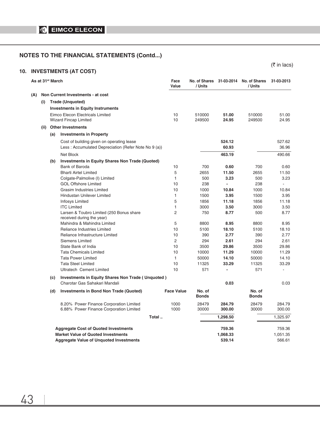## **SEIMCO ELECON**

### **NOTES TO THE FINANCIAL STATEMENTS (Contd...)**

### **10. INVESTMENTS (AT COST)**

|     |     | As at 31 <sup>st</sup> March |                                                                                    | Face<br>Value     | No. of Shares<br>/ Units | 31-03-2014     | No. of Shares<br>/ Units | 31-03-2013               |
|-----|-----|------------------------------|------------------------------------------------------------------------------------|-------------------|--------------------------|----------------|--------------------------|--------------------------|
| (A) |     |                              | Non Current Investments - at cost                                                  |                   |                          |                |                          |                          |
|     | (i) |                              | <b>Trade (Unquoted)</b>                                                            |                   |                          |                |                          |                          |
|     |     |                              | <b>Investments in Equity Instruments</b>                                           |                   |                          |                |                          |                          |
|     |     |                              | Eimco Elecon Electricals Limited<br><b>Wizard Fincap Limited</b>                   | 10<br>10          | 510000<br>249500         | 51.00<br>24.95 | 510000<br>249500         | 51.00<br>24.95           |
|     |     |                              | (ii) Other Investments                                                             |                   |                          |                |                          |                          |
|     |     | (a)                          | <b>Investments in Property</b>                                                     |                   |                          |                |                          |                          |
|     |     |                              | Cost of building given on operating lease                                          |                   |                          | 524.12         |                          | 527.62                   |
|     |     |                              | Less : Accumulated Depreciation (Refer Note No 9 (a))                              |                   |                          | 60.93          |                          | 36.96                    |
|     |     |                              | Net Block                                                                          |                   |                          | 463.19         |                          | 490.66                   |
|     |     | (b)                          | Investments in Equity Shares Non Trade (Quoted)                                    |                   |                          |                |                          |                          |
|     |     |                              | <b>Bank of Baroda</b>                                                              | 10                | 700                      | 0.60           | 700                      | 0.60                     |
|     |     |                              | <b>Bharti Airtel Limited</b>                                                       | 5                 | 2655                     | 11.50          | 2655                     | 11.50                    |
|     |     |                              | Colgate-Palmolive (I) Limited                                                      | $\mathbf{1}$      | 500                      | 3.23           | 500                      | 3.23                     |
|     |     |                              | <b>GOL Offshore Limited</b>                                                        | 10                | 238                      | $\frac{1}{2}$  | 238                      | $\overline{\phantom{0}}$ |
|     |     |                              | <b>Grasim Industries Limited</b>                                                   | 10                | 1000                     | 10.84          | 1000                     | 10.84                    |
|     |     |                              | Hindustan Unilever Limited                                                         | 1                 | 1500                     | 3.95           | 1500                     | 3.95                     |
|     |     |                              | <b>Infosys Limited</b>                                                             | 5                 | 1856                     | 11.18          | 1856                     | 11.18                    |
|     |     |                              | <b>ITC Limited</b>                                                                 | $\mathbf{1}$      | 3000                     | 3.50           | 3000                     | 3.50                     |
|     |     |                              | Larsen & Toubro Limited (250 Bonus share<br>received during the year)              | $\overline{2}$    | 750                      | 8.77           | 500                      | 8.77                     |
|     |     |                              | Mahindra & Mahindra Limited                                                        | 5                 | 8800                     | 8.95           | 8800                     | 8.95                     |
|     |     |                              | Reliance Industries Limited                                                        | 10                | 5100                     | 18.10          | 5100                     | 18.10                    |
|     |     |                              | Reliance Infrastructure Limited                                                    | 10                | 390                      | 2.77           | 390                      | 2.77                     |
|     |     |                              | <b>Siemens Limited</b>                                                             | 2                 | 294                      | 2.61           | 294                      | 2.61                     |
|     |     |                              | State Bank of India                                                                | 10                | 3500                     | 29.86          | 3500                     | 29.86                    |
|     |     |                              | <b>Tata Chemicals Limited</b>                                                      | 10                | 10000                    | 11.29          | 10000                    | 11.29                    |
|     |     |                              | <b>Tata Power Limited</b>                                                          | $\mathbf{1}$      | 50000                    | 14.10          | 50000                    | 14.10                    |
|     |     |                              | <b>Tata Steel Limited</b>                                                          | 10                | 11325                    | 33.29          | 11325                    | 33.29                    |
|     |     |                              | Ultratech Cement Limited                                                           | 10                | 571                      | $\overline{a}$ | 571                      | ÷,                       |
|     |     | (c)                          | Investments in Equity Shares Non Trade (Unquoted)<br>Charotar Gas Sahakari Mandali |                   |                          | 0.03           |                          | 0.03                     |
|     |     | (d)                          | Investments in Bond Non Trade (Quoted)                                             | <b>Face Value</b> | No. of<br><b>Bonds</b>   |                | No. of<br><b>Bonds</b>   |                          |
|     |     |                              | 8.20% Power Finance Corporation Limited                                            | 1000              | 28479                    | 284.79         | 28479                    | 284.79                   |
|     |     |                              | 6.88% Power Finance Corporation Limited                                            | 1000              | 30000                    | 300.00         | 30000                    | 300.00                   |
|     |     |                              | Total                                                                              |                   |                          | 1,298.50       |                          | 1,325.97                 |
|     |     |                              | <b>Aggregate Cost of Quoted Investments</b>                                        |                   |                          | 759.36         |                          | 759.36                   |
|     |     |                              | <b>Market Value of Quoted Investments</b>                                          |                   |                          | 1,068.33       |                          | 1,051.35                 |
|     |     |                              | <b>Aggregate Value of Unguoted Investments</b>                                     |                   |                          | 539.14         |                          | 566.61                   |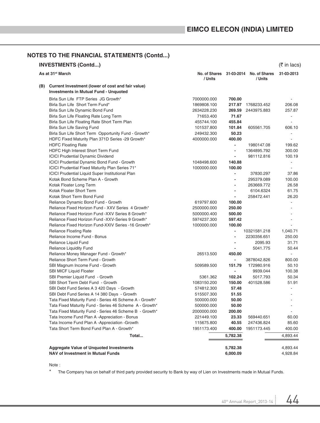**INVESTMENTS (Contd...)**  $(\bar{\bar{\zeta}})$  in lacs)

|     | As at 31 <sup>st</sup> March                            | / Units     |                          | No. of Shares 31-03-2014 No. of Shares<br>/ Units | 31-03-2013               |
|-----|---------------------------------------------------------|-------------|--------------------------|---------------------------------------------------|--------------------------|
| (B) | Current Investment (lower of cost and fair value)       |             |                          |                                                   |                          |
|     | <b>Investments in Mutual Fund - Unquoted</b>            |             |                          |                                                   |                          |
|     | Birla Sun Life FTP Series JG Growth*                    | 7000000.000 | 700.00                   |                                                   |                          |
|     | Birla Sun Life Short Term Fund*                         | 1869808.100 | 217.97                   | 1768233.452                                       | 206.08                   |
|     | Birla Sun Life Dynamic Bond Fund                        | 2634228.230 | 269.59                   | 2443975.883                                       | 257.87                   |
|     | Birla Sun Life Floating Rate Long Term                  | 71653.400   | 71.67                    |                                                   | $\overline{\phantom{a}}$ |
|     | Birla Sun Life Floating Rate Short Term Plan            | 455744.100  | 455.84                   |                                                   | $\overline{\phantom{a}}$ |
|     | Birla Sun Life Saving Fund                              | 101537.800  | 101.84                   | 605561.705                                        | 606.10                   |
|     | Birla Sun Life Short Term Opportunity Fund - Growth*    | 249432.300  | 50.23                    |                                                   | $\overline{\phantom{a}}$ |
|     | HDFC Fixed Maturity Plan 371D Series -29 Growth*        | 4000000.000 | 400.00                   |                                                   | $\overline{\phantom{a}}$ |
|     | <b>HDFC Floating Rate</b>                               |             | $\overline{\phantom{a}}$ | 1980147.08                                        | 199.62                   |
|     | HDFC High Interest Short Term Fund                      |             | $\overline{\phantom{a}}$ | 1364895.792                                       | 300.00                   |
|     | <b>ICICI Prudential Dynamic Dividend</b>                |             | $\overline{\phantom{a}}$ | 981112.816                                        | 100.19                   |
|     | ICICI Prudential Dynamic Bond Fund - Growth             | 1048498.600 | 140.88                   |                                                   |                          |
|     | ICICI Prudential Fixed Maturity Plan Series 71*         | 1000000.000 | 100.00                   |                                                   |                          |
|     | ICICI Prudential Liquid Super Institutional Plan        |             | $\overline{\phantom{a}}$ | 37830.297                                         | 37.86                    |
|     | Kotak Bond Scheme Plan A - Growth                       |             | $\overline{\phantom{a}}$ | 295379.089                                        | 100.00                   |
|     | Kotak Floater Long Term                                 |             | $\overline{\phantom{a}}$ | 263669.772                                        | 26.58                    |
|     | Kotak Floater Short Term                                |             | $\overline{\phantom{a}}$ | 6104.6324                                         | 61.75                    |
|     | Kotak Short Term Bond Fund                              |             | $\overline{\phantom{a}}$ | 258472.441                                        | 26.20                    |
|     | Reliance Dynamic Bond Fund - Growth                     | 619797.600  | 100.00                   |                                                   | $\blacksquare$           |
|     | Reliance Fixed Horizon Fund - XXV Series 4 Growth*      | 2500000.000 | 250.00                   |                                                   |                          |
|     | Reliance Fixed Horizon Fund - XXV Series 8 Growth*      | 5000000.400 | 500.00                   |                                                   |                          |
|     | Reliance Fixed Horizon Fund -XXV-Series 9 Growth*       | 5974237.300 | 597.42                   |                                                   |                          |
|     | Reliance Fixed Horizon Fund-XXIV Series -16 Growth*     | 1000000.000 | 100.00                   |                                                   |                          |
|     | <b>Reliance Floating Rate</b>                           |             | $\overline{\phantom{a}}$ | 10321581.218                                      | 1,040.71                 |
|     | Reliance Income Fund - Bonus                            |             | $\overline{\phantom{a}}$ | 2230356.651                                       | 250.00                   |
|     | Reliance Liquid Fund                                    |             | $\overline{\phantom{a}}$ | 2095.93                                           | 31.71                    |
|     | Reliance Liquidity Fund                                 |             | $\overline{\phantom{a}}$ | 5041.775                                          | 50.44                    |
|     | Reliance Money Manager Fund - Growth*                   | 26513.500   | 450.00                   |                                                   | $\overline{a}$           |
|     | Reliance Short Term Fund - Growth                       |             | $\overline{\phantom{a}}$ | 3878042.826                                       | 800.00                   |
|     | SBI Magnum Income Fund - Growth                         | 509589.500  | 151.79                   | 172980.916                                        | 50.10                    |
|     | <b>SBI MICF Liquid Floater</b>                          |             | $\sim$                   | 9939.044                                          | 100.38                   |
|     | SBI Premier Liquid Fund - Growth                        | 5361.362    | 102.24                   | 5017.793                                          | 50.34                    |
|     | SBI Short Term Debt Fund - Growth                       | 1083150.200 | 150.00                   | 401528.586                                        | 51.91                    |
|     | SBI Debt Fund Series A 3 420 Days - Growth              | 574812.300  | 57.48                    |                                                   |                          |
|     | SBI Debt Fund Series A 14 380 Days - Growth             | 515507.300  | 51.55                    |                                                   |                          |
|     | Tata Fixed Maturity Fund - Series 46 Scheme A - Growth* | 500000.000  | 50.00                    |                                                   | $\overline{\phantom{a}}$ |
|     | Tata Fixed Maturity Fund - Series 46 Scheme A - Growth* | 500000.000  | 50.00                    |                                                   |                          |
|     | Tata Fixed Maturity Fund - Series 46 Scheme B - Growth* | 2000000.000 | 200.00                   |                                                   |                          |
|     | Tata Income Fund Plan A -Appreciation - Bonus           | 221449.100  | 23.33                    | 569440.651                                        | 60.00                    |
|     | Tata Income Fund Plan A - Appreciation - Growth         | 115675.800  | 40.55                    | 247436.824                                        | 85.60                    |
|     | Tata Short Term Bond Fund Plan A - Growth*              | 1951173.400 | 400.00                   | 1951173.445                                       | 400.00                   |
|     | Total                                                   |             | 5,782.38                 |                                                   | 4,893.44                 |
|     |                                                         |             |                          |                                                   |                          |
|     | <b>Aggregate Value of Unquoted Investments</b>          |             | 5,782.38                 |                                                   | 4,893.44                 |
|     | <b>NAV of Investment in Mutual Funds</b>                |             | 6,000.09                 |                                                   | 4,928.84                 |

Note :

The Company has on behalf of third party provided security to Bank by way of Lien on Investments made in Mutual Funds.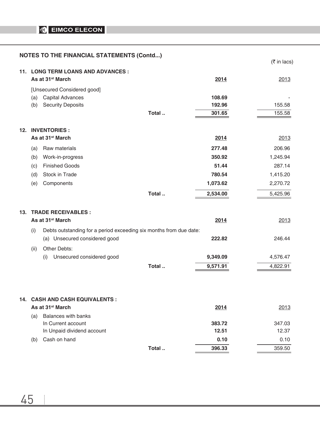## S EIMCO ELECON

|     |                                                           | <b>NOTES TO THE FINANCIAL STATEMENTS (Contd)</b>                                                    |       |          |                |
|-----|-----------------------------------------------------------|-----------------------------------------------------------------------------------------------------|-------|----------|----------------|
|     |                                                           |                                                                                                     |       |          | $($ ₹ in lacs) |
| 11. |                                                           | <b>LONG TERM LOANS AND ADVANCES :</b>                                                               |       |          |                |
|     | As at 31 <sup>st</sup> March                              |                                                                                                     |       | 2014     | 2013           |
|     |                                                           | [Unsecured Considered good]                                                                         |       |          |                |
|     | (a)                                                       | <b>Capital Advances</b>                                                                             |       | 108.69   |                |
|     | (b)                                                       | <b>Security Deposits</b>                                                                            | Total | 192.96   | 155.58         |
|     |                                                           |                                                                                                     |       | 301.65   | 155.58         |
| 12. | <b>INVENTORIES:</b>                                       |                                                                                                     |       |          |                |
|     | As at 31 <sup>st</sup> March                              |                                                                                                     |       | 2014     | 2013           |
|     | Raw materials<br>(a)                                      |                                                                                                     |       | 277.48   | 206.96         |
|     | (b)                                                       | Work-in-progress                                                                                    |       | 350.92   | 1,245.94       |
|     | <b>Finished Goods</b><br>(c)                              |                                                                                                     |       | 51.44    | 287.14         |
|     | Stock in Trade<br>(d)                                     |                                                                                                     |       | 780.54   | 1,415.20       |
|     | Components<br>(e)                                         |                                                                                                     |       | 1,073.62 | 2,270.72       |
|     |                                                           |                                                                                                     | Total | 2,534.00 | 5,425.96       |
|     |                                                           |                                                                                                     |       |          |                |
| 13. | <b>TRADE RECEIVABLES:</b><br>As at 31 <sup>st</sup> March |                                                                                                     |       | 2014     | 2013           |
|     |                                                           |                                                                                                     |       |          |                |
|     | (i)                                                       | Debts outstanding for a period exceeding six months from due date:<br>(a) Unsecured considered good |       | 222.82   | 246.44         |
|     | Other Debts:<br>(ii)                                      |                                                                                                     |       |          |                |
|     | (i)                                                       | Unsecured considered good                                                                           |       | 9,349.09 | 4,576.47       |
|     |                                                           |                                                                                                     | Total | 9,571.91 | 4,822.91       |
|     |                                                           |                                                                                                     |       |          |                |
|     |                                                           |                                                                                                     |       |          |                |
|     |                                                           | <b>14. CASH AND CASH EQUIVALENTS:</b>                                                               |       |          |                |
|     | As at 31 <sup>st</sup> March                              |                                                                                                     |       | 2014     | 2013           |
|     | (a)                                                       | <b>Balances with banks</b>                                                                          |       |          |                |
|     |                                                           | In Current account                                                                                  |       | 383.72   | 347.03         |
|     |                                                           | In Unpaid dividend account                                                                          |       | 12.51    | 12.37          |
|     | Cash on hand<br>(b)                                       |                                                                                                     |       | 0.10     | 0.10           |
|     |                                                           |                                                                                                     | Total | 396.33   | 359.50         |

45

ŧ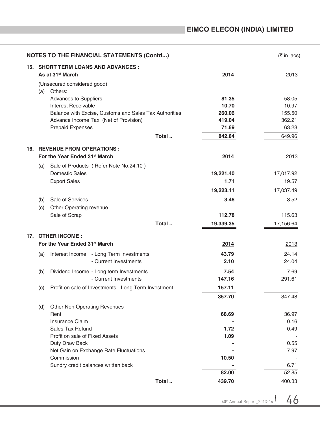|     |     | <b>NOTES TO THE FINANCIAL STATEMENTS (Contd)</b>       |           | $(5 \text{ in } \text{lacs})$ |
|-----|-----|--------------------------------------------------------|-----------|-------------------------------|
|     |     | 15. SHORT TERM LOANS AND ADVANCES :                    |           |                               |
|     |     | As at 31 <sup>st</sup> March                           | 2014      | 2013                          |
|     |     | (Unsecured considered good)<br>(a) Others:             |           |                               |
|     |     | <b>Advances to Suppliers</b>                           | 81.35     | 58.05                         |
|     |     | <b>Interest Receivable</b>                             | 10.70     | 10.97                         |
|     |     | Balance with Excise, Customs and Sales Tax Authorities | 260.06    | 155.50                        |
|     |     | Advance Income Tax (Net of Provision)                  | 419.04    | 362.21                        |
|     |     | <b>Prepaid Expenses</b>                                | 71.69     | 63.23                         |
|     |     | Total                                                  | 842.84    | 649.96                        |
| 16. |     | <b>REVENUE FROM OPERATIONS:</b>                        |           |                               |
|     |     | For the Year Ended 31 <sup>st</sup> March              | 2014      | 2013                          |
|     | (a) | Sale of Products (Refer Note No.24.10)                 |           |                               |
|     |     | <b>Domestic Sales</b>                                  | 19,221.40 | 17,017.92                     |
|     |     | <b>Export Sales</b>                                    | 1.71      | 19.57                         |
|     |     |                                                        | 19,223.11 | 17,037.49                     |
|     | (b) | Sale of Services                                       | 3.46      | 3.52                          |
|     | (c) | Other Operating revenue                                |           |                               |
|     |     | Sale of Scrap                                          | 112.78    | 115.63                        |
|     |     | Total                                                  | 19,339.35 | 17,156.64                     |
| 17. |     | <b>OTHER INCOME:</b>                                   |           |                               |
|     |     | For the Year Ended 31 <sup>st</sup> March              | 2014      | 2013                          |
|     | (a) | Interest Income - Long Term Investments                | 43.79     | 24.14                         |
|     |     | - Current Investments                                  | 2.10      | 24.04                         |
|     | (b) | Dividend Income - Long term Investments                | 7.54      | 7.69                          |
|     |     | - Current Investments                                  | 147.16    | 291.61                        |
|     | (c) | Profit on sale of Investments - Long Term Investment   | 157.11    |                               |
|     |     |                                                        | 357.70    | 347.48                        |
|     | (d) | <b>Other Non Operating Revenues</b>                    |           |                               |
|     |     | Rent                                                   | 68.69     | 36.97                         |
|     |     | <b>Insurance Claim</b>                                 |           | 0.16                          |
|     |     | <b>Sales Tax Refund</b>                                | 1.72      | 0.49                          |
|     |     | Profit on sale of Fixed Assets                         | 1.09      |                               |
|     |     | Duty Draw Back                                         |           | 0.55                          |
|     |     | Net Gain on Exchange Rate Fluctuations                 |           | 7.97                          |
|     |     | Commission                                             | 10.50     | 6.71                          |
|     |     | Sundry credit balances written back                    | 82.00     | 52.85                         |
|     |     |                                                        | 439.70    |                               |
|     |     | Total                                                  |           | 400.33                        |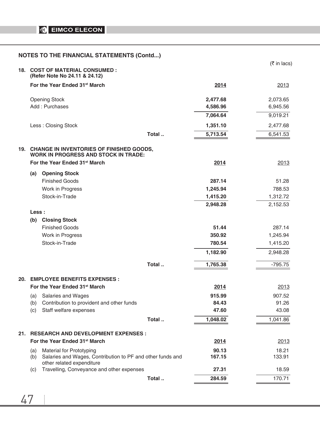|     | <b>NOTES TO THE FINANCIAL STATEMENTS (Contd)</b>                                               |       |                 |                    |
|-----|------------------------------------------------------------------------------------------------|-------|-----------------|--------------------|
|     |                                                                                                |       |                 | $($ ₹ in lacs)     |
|     | 18. COST OF MATERIAL CONSUMED :<br>(Refer Note No 24.11 & 24.12)                               |       |                 |                    |
|     | For the Year Ended 31 <sup>st</sup> March                                                      |       | 2014            | 2013               |
|     | <b>Opening Stock</b>                                                                           |       | 2,477.68        | 2,073.65           |
|     | Add: Purchases                                                                                 |       | 4,586.96        | 6,945.56           |
|     |                                                                                                |       | 7,064.64        | 9,019.21           |
|     | Less: Closing Stock                                                                            |       | 1,351.10        | 2,477.68           |
|     |                                                                                                | Total | 5,713.54        | 6,541.53           |
| 19. | <b>CHANGE IN INVENTORIES OF FINISHED GOODS,</b><br><b>WORK IN PROGRESS AND STOCK IN TRADE:</b> |       |                 |                    |
|     | For the Year Ended 31 <sup>st</sup> March                                                      |       | 2014            | 2013               |
|     | <b>Opening Stock</b><br>(a)                                                                    |       |                 |                    |
|     | <b>Finished Goods</b>                                                                          |       | 287.14          | 51.28              |
|     | Work in Progress                                                                               |       | 1,245.94        | 788.53             |
|     | Stock-in-Trade                                                                                 |       | 1,415.20        | 1,312.72           |
|     |                                                                                                |       | 2,948.28        | 2,152.53           |
|     | Less :                                                                                         |       |                 |                    |
|     | (b) Closing Stock                                                                              |       |                 |                    |
|     | <b>Finished Goods</b><br>Work in Progress                                                      |       | 51.44<br>350.92 | 287.14<br>1,245.94 |
|     | Stock-in-Trade                                                                                 |       | 780.54          | 1,415.20           |
|     |                                                                                                |       | 1,182.90        | 2,948.28           |
|     |                                                                                                |       |                 |                    |
|     |                                                                                                | Total | 1,765.38        | $-795.75$          |
| 20. | <b>EMPLOYEE BENEFITS EXPENSES :</b>                                                            |       |                 |                    |
|     | For the Year Ended 31 <sup>st</sup> March                                                      |       | 2014            | 2013               |
|     | Salaries and Wages<br>(a)                                                                      |       | 915.99          | 907.52             |
|     | Contribution to provident and other funds<br>(b)                                               |       | 84.43           | 91.26              |
|     | Staff welfare expenses<br>(c)                                                                  |       | 47.60           | 43.08              |
|     |                                                                                                | Total | 1,048.02        | 1,041.86           |
| 21. | <b>RESEARCH AND DEVELOPMENT EXPENSES :</b>                                                     |       |                 |                    |
|     | For the Year Ended 31 <sup>st</sup> March                                                      |       | 2014            | 2013               |
|     | <b>Material for Prototyping</b><br>(a)                                                         |       | 90.13           | 18.21              |
|     | Salaries and Wages, Contribution to PF and other funds and<br>(b)                              |       | 167.15          | 133.91             |
|     | other related expenditure<br>Travelling, Conveyance and other expenses<br>(c)                  |       | 27.31           | 18.59              |
|     |                                                                                                | Total | 284.59          | 170.71             |

47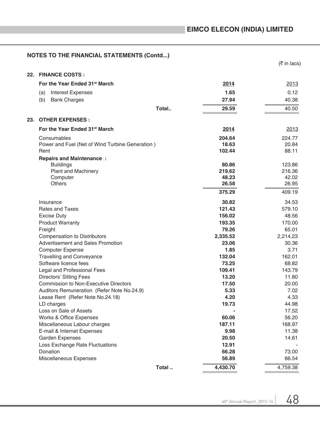|     | <b>NOTES TO THE FINANCIAL STATEMENTS (Contd)</b>                   |          |                                     |
|-----|--------------------------------------------------------------------|----------|-------------------------------------|
|     |                                                                    |          | $(5 \in \mathsf{In} \mathsf{lacs})$ |
|     | 22. FINANCE COSTS:                                                 |          |                                     |
|     | For the Year Ended 31 <sup>st</sup> March                          | 2014     | 2013                                |
|     | <b>Interest Expenses</b><br>(a)                                    | 1.65     | 0.12                                |
|     | (b)<br><b>Bank Charges</b>                                         | 27.94    | 40.38                               |
|     | Total                                                              | 29.59    | 40.50                               |
| 23. | <b>OTHER EXPENSES:</b>                                             |          |                                     |
|     | For the Year Ended 31 <sup>st</sup> March                          | 2014     | 2013                                |
|     | Consumables                                                        | 204.64   | 224.77                              |
|     | Power and Fuel (Net of Wind Turbine Generation)                    | 18.63    | 20.84                               |
|     | Rent                                                               | 102.44   | 88.11                               |
|     | <b>Repairs and Maintenance:</b>                                    |          |                                     |
|     | <b>Buildings</b>                                                   | 80.86    | 123.86                              |
|     | <b>Plant and Machinery</b>                                         | 219.62   | 216.36                              |
|     | Computer                                                           | 48.23    | 42.02                               |
|     | <b>Others</b>                                                      | 26.58    | 26.95                               |
|     |                                                                    | 375.29   | 409.19                              |
|     | Insurance                                                          | 30.82    | 34.53                               |
|     | <b>Rates and Taxes</b>                                             | 121.43   | 579.10                              |
|     | <b>Excise Duty</b>                                                 | 156.02   | 48.56                               |
|     | <b>Product Warranty</b>                                            | 193.35   | 170.00                              |
|     | Freight                                                            | 79.26    | 65.01                               |
|     | <b>Compensation to Distributors</b>                                | 2,335.52 | 2,214.23                            |
|     | Advertisement and Sales Promotion                                  | 23.06    | 30.36                               |
|     | <b>Computer Expense</b>                                            | 1.85     | 3.71                                |
|     | <b>Travelling and Conveyance</b>                                   | 132.04   | 162.01                              |
|     | Software licence fees                                              | 73.25    | 68.82                               |
|     | Legal and Professional Fees                                        | 109.41   | 143.79                              |
|     | <b>Directors' Sitting Fees</b>                                     | 13.20    | 11.80                               |
|     | <b>Commission to Non-Executive Directors</b>                       | 17.50    | 20.00                               |
|     | Auditors Remuneration (Refer Note No.24.9)                         | 5.33     | 7.02                                |
|     | Lease Rent (Refer Note No.24.18)                                   | 4.20     | 4.33                                |
|     | LD charges                                                         | 19.73    | 44.98                               |
|     | Loss on Sale of Assets                                             | 60.06    | 17.52<br>56.20                      |
|     | <b>Works &amp; Office Expenses</b><br>Miscellaneous Labour charges | 187.11   | 168.97                              |
|     | E-mail & Internet Expenses                                         | 9.98     | 11.38                               |
|     | Garden Expenses                                                    | 20.50    | 14.61                               |
|     | Loss Exchange Rate Fluctuations                                    | 12.91    |                                     |
|     | Donation                                                           | 66.28    | 73.00                               |
|     | Miscellaneous Expenses                                             | 56.89    | 66.54                               |
|     | Total                                                              | 4,430.70 | 4,759.38                            |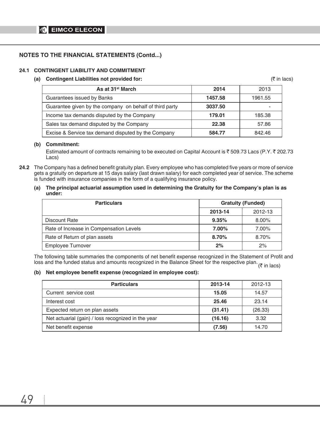#### **24.1 CONTINGENT LIABILITY AND COMMITMENT**

#### **(a) Contingent Liabilities not provided for:**

 $($ ₹ in lacs)

| As at 31 <sup>st</sup> March                            | 2014    | 2013    |
|---------------------------------------------------------|---------|---------|
| Guarantees issued by Banks                              | 1457.58 | 1961.55 |
| Guarantee given by the company on behalf of third party | 3037.50 |         |
| Income tax demands disputed by the Company              | 179.01  | 185.38  |
| Sales tax demand disputed by the Company                | 22.38   | 57.86   |
| Excise & Service tax demand disputed by the Company     | 584.77  | 842.46  |

#### **(b) Commitment:**

Estimated amount of contracts remaining to be executed on Capital Account is  $\bar{\tau}$  509.73 Lacs (P.Y.  $\bar{\tau}$  202.73 Lacs)

- **24.2** The Company has a defined benefit gratuity plan. Every employee who has completed five years or more of service gets a gratuity on departure at 15 days salary (last drawn salary) for each completed year of service. The scheme is funded with insurance companies in the form of a qualifying insurance policy.
	- **(a) The principal actuarial assumption used in determining the Gratuity for the Company's plan is as under:**

| <b>Particulars</b>                      | <b>Gratuity (Funded)</b> |         |
|-----------------------------------------|--------------------------|---------|
|                                         | 2013-14                  | 2012-13 |
| Discount Rate                           | 9.35%                    | 8.00%   |
| Rate of Increase in Compensation Levels | 7.00%                    | 7.00%   |
| Rate of Return of plan assets           | 8.70%                    | 8.70%   |
| <b>Employee Turnover</b>                | 2%                       | 2%      |

The following table summaries the components of net benefit expense recognized in the Statement of Profit and loss and the funded status and amounts recognized in the Balance Sheet for the respective plan. ( $\bar{\tau}$  in lacs)

#### **(b) Net employee benefit expense (recognized in employee cost):**

| <b>Particulars</b>                                 | 2013-14 | 2012-13 |
|----------------------------------------------------|---------|---------|
| Current service cost                               | 15.05   | 14.57   |
| Interest cost                                      | 25.46   | 23.14   |
| Expected return on plan assets                     | (31.41) | (26.33) |
| Net actuarial (gain) / loss recognized in the year | (16.16) | 3.32    |
| Net benefit expense                                | (7.56)  | 14.70   |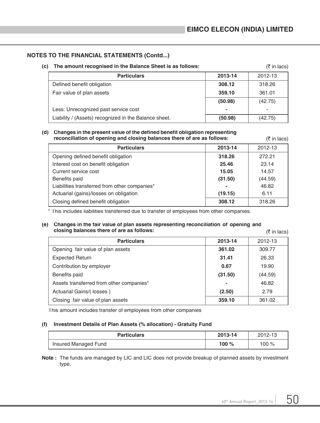#### **(c) The amount recognised in the Balance Sheet is as follows:**

| <b>Particulars</b>                                    | 2013-14 | 2012-13 |
|-------------------------------------------------------|---------|---------|
| Defined benefit obligation                            | 308.12  | 318.26  |
| Fair value of plan assets                             | 359.10  | 361.01  |
|                                                       | (50.98) | (42.75) |
| Less: Unrecognized past service cost                  | $\sim$  | ۰       |
| Liability / (Assets) recognized in the Balance sheet. | (50.98) | (42.75) |

#### **(d) Changes in the present value of the defined benefit obligation representing reconciliation of opening and closing balances there of are as follows:**

 $($ ₹ in lacs)

 $($ ₹ in lacs)

 $($ ₹ in lacs)

| <b>Particulars</b>                            | 2013-14 | 2012-13 |
|-----------------------------------------------|---------|---------|
| Opening defined benefit obligation            | 318.26  | 272.21  |
| Interest cost on benefit obligation           | 25.46   | 23.14   |
| Current service cost                          | 15.05   | 14.57   |
| Benefits paid                                 | (31.50) | (44.59) |
| Liabilities transferred from other companies* |         | 46.82   |
| Actuarial (gains)/losses on obligation        | (19.15) | 6.11    |
| Closing defined benefit obligation            | 308.12  | 318.26  |

\* This includes liabilities transferred due to transfer of employees from other companies.

#### **(e) Changes in the fair value of plan assets representing reconciliation of opening and closing balances there of are as follows:**

| <b>Particulars</b>                       | 2013-14 | 2012-13 |
|------------------------------------------|---------|---------|
| Opening fair value of plan assets        | 361.02  | 309.77  |
| <b>Expected Return</b>                   | 31.41   | 26.33   |
| Contribution by employer                 | 0.67    | 19.90   |
| Benefits paid                            | (31.50) | (44.59) |
| Assets transferred from other companies* |         | 46.82   |
| Actuarial Gains/(losses)                 | (2.50)  | 2.79    |
| Closing fair value of plan assets        | 359.10  | 361.02  |

This amount includes transfer of employees from other companies

#### **(f) Investment Details of Plan Assets (% allocation) - Gratuity Fund**

| <b>Particulars</b>   | 2013-14 | 2012-13 |
|----------------------|---------|---------|
| Insured Managed Fund | 100 $%$ | 100 $%$ |

**Note :** The funds are managed by LIC and LIC does not provide breakup of planned assets by investment type.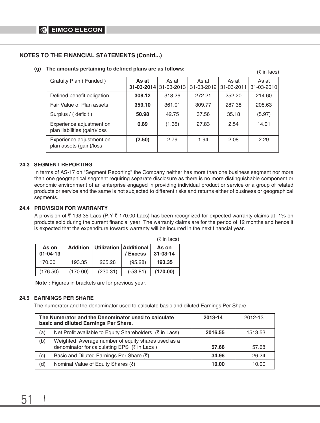|                                                          |        |                                |                     |                     | (र in lacs)         |
|----------------------------------------------------------|--------|--------------------------------|---------------------|---------------------|---------------------|
| Gratuity Plan (Funded)                                   | As at  | As at<br>31-03-2014 31-03-2013 | As at<br>31-03-2012 | As at<br>31-03-2011 | As at<br>31-03-2010 |
| Defined benefit obligation                               | 308.12 | 318.26                         | 272.21              | 252.20              | 214.60              |
| Fair Value of Plan assets                                | 359.10 | 361.01                         | 309.77              | 287.38              | 208.63              |
| Surplus / (deficit)                                      | 50.98  | 42.75                          | 37.56               | 35.18               | (5.97)              |
| Experience adjustment on<br>plan liabilities (gain)/loss | 0.89   | (1.35)                         | 27.83               | 2.54                | 14.01               |
| Experience adjustment on<br>plan assets (gain)/loss      | (2.50) | 2.79                           | 1.94                | 2.08                | 2.29                |

#### **(g) The amounts pertaining to defined plans are as follows:** (` in lacs)

#### **24.3 SEGMENT REPORTING**

In terms of AS-17 on "Segment Reporting" the Company neither has more than one business segment nor more than one geographical segment requiring separate disclosure as there is no more distinguishable component or economic environment of an enterprise engaged in providing individual product or service or a group of related products or service and the same is not subjected to different risks and returns either of business or geographical segments.

#### **24.4 PROVISION FOR WARRANTY**

A provision of  $\bar{\tau}$  193.35 Lacs (P.Y  $\bar{\tau}$  170.00 Lacs) has been recognized for expected warranty claims at 1% on products sold during the current financial year. The warranty claims are for the period of 12 months and hence it is expected that the expenditure towards warranty will be incurred in the next financial year.

|                         |          |                                     |            | $(5 \in \mathsf{In} \mathsf{lacs})$ |
|-------------------------|----------|-------------------------------------|------------|-------------------------------------|
| As on<br>$01 - 04 - 13$ |          | Addition   Utilization   Additional | / Excess   | As on<br>$31 - 03 - 14$             |
| 170.00                  | 193.35   | 265.28                              | (95.28)    | 193.35                              |
| (176.50)                | (170.00) | (230.31)                            | $(-53.81)$ | (170.00)                            |

**Note :** Figures in brackets are for previous year.

### **24.5 EARNINGS PER SHARE**

The numerator and the denominator used to calculate basic and diluted Earnings Per Share.

|     | The Numerator and the Denominator used to calculate<br>basic and diluted Earnings Per Share.      | 2013-14 | 2012-13 |
|-----|---------------------------------------------------------------------------------------------------|---------|---------|
| (a) | Net Profit available to Equity Shareholders (₹ in Lacs)                                           | 2016.55 | 1513.53 |
| (b) | Weighted Average number of equity shares used as a<br>denominator for calculating EPS (₹ in Lacs) | 57.68   | 57.68   |
| (c) | Basic and Diluted Earnings Per Share $(\bar{\zeta})$                                              | 34.96   | 26.24   |
| (d) | Nominal Value of Equity Shares $(\bar{\zeta})$                                                    | 10.00   | 10.00   |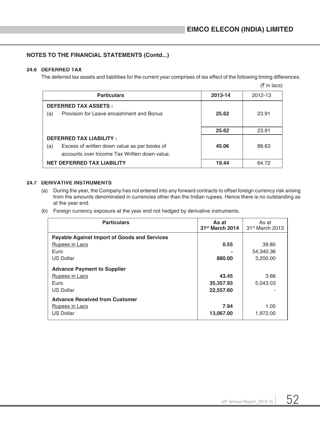#### **24.6 DEFERRED TAX**

The deferred tax assets and liabilities for the current year comprises of tax effect of the following timing differences.

 $($ ₹ in lacs)

| <b>Particulars</b>                                                                                                                    | 2013-14 | 2012-13 |
|---------------------------------------------------------------------------------------------------------------------------------------|---------|---------|
| <b>DEFERRED TAX ASSETS :</b><br>Provision for Leave encashment and Bonus<br>(a)                                                       | 25.62   | 23.91   |
|                                                                                                                                       | 25.62   | 23.91   |
| <b>DEFERRED TAX LIABILITY:</b><br>Excess of written down value as per books of<br>(a)<br>accounts over Income Tax Written down value. | 45.06   | 88.63   |
| <b>NET DEFERRED TAX LIABILITY</b>                                                                                                     | 19.44   | 64.72   |

### **24.7 DERIVATIVE INSTRUMENTS**

- (a) During the year, the Company has not entered into any forward contracts to offset foreign currency risk arising from the amounts denominated in currencies other than the Indian rupees. Hence there is no outstanding as at the year end.
- (b) Foreign currency exposure at the year end not hedged by derivative instruments.

| <b>Particulars</b>                                  | As at<br>31 <sup>st</sup> March 2014 | As at<br>31 <sup>st</sup> March 2013 |
|-----------------------------------------------------|--------------------------------------|--------------------------------------|
| <b>Payable Against Import of Goods and Services</b> |                                      |                                      |
| <b>Rupees in Lacs</b>                               | 0.55                                 | 39.80                                |
| Euro                                                |                                      | 54,340.36                            |
| <b>US Dollar</b>                                    | 880.00                               | 3,200.00                             |
| <b>Advance Payment to Supplier</b>                  |                                      |                                      |
| <b>Rupees in Lacs</b>                               | 43.45                                | 3.66                                 |
| Euro                                                | 35,357.93                            | 5,043.03                             |
| <b>US Dollar</b>                                    | 22,557.60                            |                                      |
| <b>Advance Received from Customer</b>               |                                      |                                      |
| <b>Rupees in Lacs</b>                               | 7.94                                 | 1.05                                 |
| <b>US Dollar</b>                                    | 13,067.00                            | 1,972.00                             |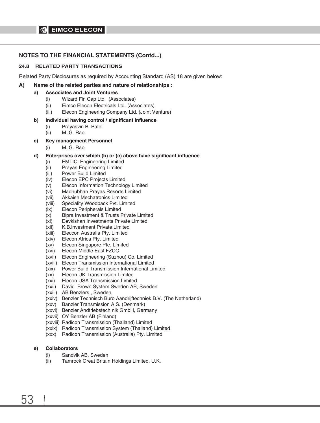### **24.8 RELATED PARTY TRANSACTIONS**

Related Party Disclosures as required by Accounting Standard (AS) 18 are given below:

#### **A) Name of the related parties and nature of relationships :**

#### **a) Associates and Joint Ventures**

- (i) Wizard Fin Cap Ltd. (Associates)
- (ii) Eimco Elecon Electricals Ltd. (Associates)
- (iii) Elecon Engineering Company Ltd. (Joint Venture)

#### **b) Individual having control / significant influence**

- (i) Prayasvin B. Patel
- (ii) M. G. Rao

#### **c) Key management Personnel**

(i) M. G. Rao

#### **d) Enterprises over which (b) or (c) above have significant influence**

- (i) EMTICI Engineering Limited
- (ii) Prayas Engineering Limited<br>(iii) Power Build Limited
- Power Build Limited
- (iv) Elecon EPC Projects Limited
- (v) Elecon Information Technology Limited
- (vi) Madhubhan Prayas Resorts Limited
- (vii) Akkaish Mechatronics Limited
- (viii) Speciality Woodpack Pvt. Limited
- (ix) Elecon Peripherals Limited
- (x) Bipra Investment & Trusts Private Limited
- (xi) Devkishan Investments Private Limited
- (xii) K.B.investment Private Limited
- (xiii) Eleccon Australia Pty. Limited
- (xiv) Elecon Africa Pty. Limited
- (xv) Elecon Singapore Pte. Limited
- (xvi) Elecon Middle East FZCO
- (xvii) Elecon Engineering (Suzhou) Co. Limited
- (xviii) Elecon Transmission International Limited
- (xix) Power Build Transmission International Limited
- (xx) Elecon UK Transmission Limited
- (xxi) Elecon USA Transmission Limited
- (xxii) David Brown System Sweden AB, Sweden
- (xxiii) AB Benzlers , Sweden
- (xxiv) Benzler Technisch Buro Aandrijftechniek B.V. (The Netherland)
- (xxv) Banzler Transmission A.S. (Denmark)
- (xxvi) Benzler Andtriebstech nik GmbH, Germany
- (xxvii) OY Benzler AB (Finland)
- (xxviii) Radicon Transmission (Thailand) Limited
- (xxix) Radicon Transmission System (Thailand) Limited
- (xxx) Radicon Transmission (Australia) Pty. Limited

#### **e) Collaborators**

- (i) Sandvik AB, Sweden
- (ii) Tamrock Great Britain Holdings Limited, U.K.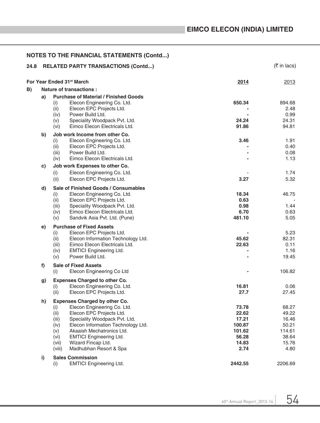| 24.8 |    |               | <b>RELATED PARTY TRANSACTIONS (Contd)</b>                 |               | $(5 \text{ in } \text{lacs})$ |
|------|----|---------------|-----------------------------------------------------------|---------------|-------------------------------|
|      |    |               | For Year Ended 31 <sup>st</sup> March                     | 2014          | 2013                          |
| B)   |    |               | <b>Nature of transactions:</b>                            |               |                               |
|      | a) |               | <b>Purchase of Material / Finished Goods</b>              |               |                               |
|      |    | (i)           | Elecon Engineering Co. Ltd.                               | 650.34        | 894.68<br>2.48                |
|      |    | (ii)<br>(iv)  | Elecon EPC Projects Ltd.<br>Power Build Ltd.              |               | 0.99                          |
|      |    | (v)           | Speciality Woodpack Pvt. Ltd.                             | 24.24         | 24.31                         |
|      |    | (vi)          | Eimco Elecon Electricals Ltd.                             | 91.86         | 94.81                         |
|      | b) |               | Job work Income from other Co.                            |               |                               |
|      |    | (i)           | Elecon Engineering Co. Ltd.                               | 3.46          | 1.91                          |
|      |    | (ii)          | Elecon EPC Projects Ltd.                                  |               | 0.40                          |
|      |    | (iii)         | Power Build Ltd.                                          |               | 0.08                          |
|      |    | (iv)          | Eimco Elecon Electricals Ltd.                             |               | 1.13                          |
|      | c) |               | Job work Expenses to other Co.                            |               |                               |
|      |    | (i)           | Elecon Engineering Co. Ltd.                               |               | 1.74                          |
|      |    | (ii)          | Elecon EPC Projects Ltd.                                  | 3.27          | 5.32                          |
|      | d) |               | Sale of Finished Goods / Consumables                      |               |                               |
|      |    | (i)           | Elecon Engineering Co. Ltd.                               | 18.34         | 46.75                         |
|      |    | (ii)          | Elecon EPC Projects Ltd.                                  | 0.63          |                               |
|      |    | (iii)         | Speciality Woodpack Pvt. Ltd.                             | 0.98          | 1.44                          |
|      |    | (iv)          | Eimco Elecon Electricals Ltd.                             | 6.70          | 0.63                          |
|      |    | (v)           | Sandvik Asia Pvt. Ltd. (Pune)                             | 481.10        | 5.05                          |
|      | e) |               | <b>Purchase of Fixed Assets</b>                           |               |                               |
|      |    | (i)           | Elecon EPC Projects Ltd.                                  |               | 5.23                          |
|      |    | (ii)          | Elecon Information Technology Ltd.                        | 45.62         | 82.31                         |
|      |    | (iii)         | Eimco Elecon Electricals Ltd.                             | 22.63         | 0.11                          |
|      |    | (iv)          | <b>EMTICI Engineering Ltd.</b><br>Power Build Ltd.        |               | 1.16<br>19.45                 |
|      |    | (v)           |                                                           |               |                               |
|      | f  |               | <b>Sale of Fixed Assets</b><br>Elecon Engineering Co Ltd  |               | 106.82                        |
|      |    | (i)           |                                                           |               |                               |
|      | g) |               | <b>Expenses Charged to other Co.</b>                      |               |                               |
|      |    | (i)           | Elecon Engineering Co. Ltd.                               | 16.81<br>27.7 | 0.06<br>27.45                 |
|      |    | (ii)          | Elecon EPC Projects Ltd.                                  |               |                               |
|      | h) |               | Expenses Charged by other Co.                             | 73.78         |                               |
|      |    | (i)           | Elecon Engineering Co. Ltd.                               | 22.62         | 68.27<br>49.22                |
|      |    | (ii)<br>(iii) | Elecon EPC Projects Ltd.<br>Speciality Woodpack Pvt. Ltd. | 17.21         | 16.46                         |
|      |    | (iv)          | Elecon Information Technology Ltd.                        | 100.87        | 50.21                         |
|      |    | (v)           | Akaaish Mechatronics Ltd.                                 | 101.62        | 114.61                        |
|      |    | (vi)          | <b>EMTICI</b> Engineering Ltd.                            | 56.28         | 38.64                         |
|      |    | (vii)         | Wizard Fincap Ltd.                                        | 14.83         | 15.76                         |
|      |    | (viii)        | Madhubhan Resort & Spa                                    | 2.74          | 4.80                          |
|      | i) |               | <b>Sales Commission</b>                                   |               |                               |
|      |    | (i)           | <b>EMTICI Engineering Ltd.</b>                            | 2442.55       | 2206.69                       |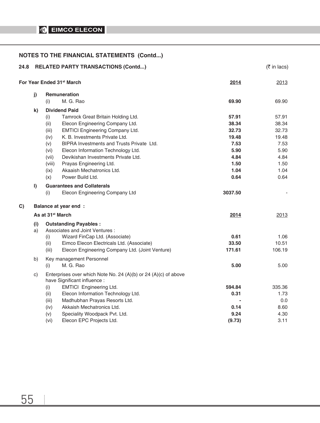| 24.8 |              | <b>RELATED PARTY TRANSACTIONS (Contd)</b>                                                       |         | $($ ₹ in lacs) |
|------|--------------|-------------------------------------------------------------------------------------------------|---------|----------------|
|      |              | For Year Ended 31 <sup>st</sup> March                                                           | 2014    | 2013           |
|      | j)           | <b>Remuneration</b>                                                                             |         |                |
|      |              | M. G. Rao<br>(i)                                                                                | 69.90   | 69.90          |
|      | k)           | <b>Dividend Paid</b>                                                                            |         |                |
|      |              | (i)<br>Tamrock Great Britain Holding Ltd.                                                       | 57.91   | 57.91          |
|      |              | (ii)<br>Elecon Engineering Company Ltd.                                                         | 38.34   | 38.34          |
|      |              | (iii)<br><b>EMTICI Engineering Company Ltd.</b>                                                 | 32.73   | 32.73          |
|      |              | K. B. Investments Private Ltd.<br>(iv)                                                          | 19.48   | 19.48          |
|      |              | BIPRA Investments and Trusts Private Ltd.<br>(v)                                                | 7.53    | 7.53           |
|      |              | Elecon Information Technology Ltd.<br>(vi)                                                      | 5.90    | 5.90           |
|      |              | Devikishan Investments Private Ltd.<br>(vii)                                                    | 4.84    | 4.84           |
|      |              | Prayas Engineering Ltd.<br>(viii)                                                               | 1.50    | 1.50           |
|      |              | Akaaish Mechatronics Ltd.<br>(ix)                                                               | 1.04    | 1.04           |
|      |              | Power Build Ltd.<br>(x)                                                                         | 0.64    | 0.64           |
|      | $\mathbf{I}$ | <b>Guarantees and Collaterals</b>                                                               |         |                |
|      |              | (i)<br>Elecon Engineering Company Ltd                                                           | 3037.50 |                |
| C)   |              | <b>Balance at year end :</b>                                                                    |         |                |
|      |              | As at 31 <sup>st</sup> March                                                                    | 2014    | 2013           |
|      | (i)          | <b>Outstanding Payables:</b>                                                                    |         |                |
|      | a)           | Associates and Joint Ventures :                                                                 |         |                |
|      |              | Wizard FinCap Ltd. (Associate)<br>(i)                                                           | 0.61    | 1.06           |
|      |              | (ii)<br>Eimco Elecon Electricals Ltd. (Associate)                                               | 33.50   | 10.51          |
|      |              | Elecon Engineering Company Ltd. (Joint Venture)<br>(iii)                                        | 171.61  | 106.19         |
|      | b)           | Key management Personnel                                                                        |         |                |
|      |              | M. G. Rao<br>(i)                                                                                | 5.00    | 5.00           |
|      | $\mathbf{C}$ | Enterprises over which Note No. 24 (A)(b) or 24 (A)(c) of above<br>have Significant influence : |         |                |
|      |              | <b>EMTICI Engineering Ltd.</b><br>(i)                                                           | 594.84  | 335.36         |
|      |              | (ii)<br>Elecon Information Technology Ltd.                                                      | 0.31    | 1.73           |
|      |              | Madhubhan Prayas Resorts Ltd.<br>(iii)                                                          |         | 0.0            |
|      |              | Akkaish Mechatronics Ltd.<br>(iv)                                                               | 0.14    | 8.60           |
|      |              | (v)<br>Speciality Woodpack Pvt. Ltd.                                                            | 9.24    | 4.30           |
|      |              | Elecon EPC Projects Ltd.<br>(vi)                                                                | (9.73)  | 3.11           |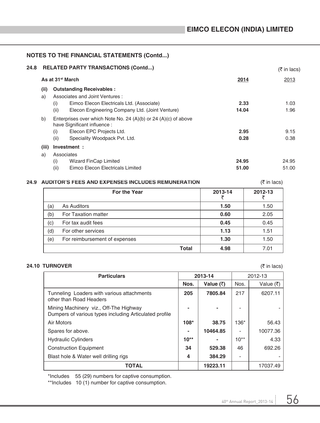### **24.8 RELATED PARTY TRANSACTIONS (Contd...)** *₹* in lacs)

|       | As at 31 <sup>st</sup> March                                                                        | 2014  | 2013  |
|-------|-----------------------------------------------------------------------------------------------------|-------|-------|
| (ii)  | <b>Outstanding Receivables:</b>                                                                     |       |       |
| a)    | Associates and Joint Ventures :                                                                     |       |       |
|       | Eimco Elecon Electricals Ltd. (Associate)<br>(i)                                                    | 2.33  | 1.03  |
|       | Elecon Engineering Company Ltd. (Joint Venture)<br>(ii)                                             | 14.04 | 1.96  |
| b)    | Enterprises over which Note No. 24 $(A)(b)$ or 24 $(A)(c)$ of above<br>have Significant influence : |       |       |
|       | Elecon EPC Projects Ltd.<br>(i)                                                                     | 2.95  | 9.15  |
|       | (ii)<br>Speciality Woodpack Pvt. Ltd.                                                               | 0.28  | 0.38  |
| (iii) | Investment :                                                                                        |       |       |
| a)    | Associates                                                                                          |       |       |
|       | <b>Wizard FinCap Limited</b><br>(i)                                                                 | 24.95 | 24.95 |
|       | (i)<br>Eimco Elecon Electricals Limited                                                             | 51.00 | 51.00 |
|       |                                                                                                     |       |       |

|     | For the Year                  | 2013-14 | 2012-13 |
|-----|-------------------------------|---------|---------|
| (a) | As Auditors                   | 1.50    | 1.50    |
| (b) | For Taxation matter           | 0.60    | 2.05    |
| (c) | For tax audit fees            | 0.45    | 0.45    |
| (d) | For other services            | 1.13    | 1.51    |
| (e) | For reimbursement of expenses | 1.30    | 1.50    |
|     | Total                         | 4.98    | 7.01    |

#### **24.10 TURNOVER**  $(\bar{\bar{\zeta}})$  in lacs)

**Particulars 2013-14** 2012-13 **Nos. Value**  $(\overline{\zeta})$  **Nos.** Value  $(\overline{\zeta})$ Tunneling Loaders with various attachments **205 7805.84** 2176207.11 other than Road Headers Mining Machinery viz., Off-The Highway **-**  $\begin{vmatrix} - & \cdot & \cdot & \cdot \\ \cdot & \cdot & \cdot & \cdot \end{vmatrix}$  -  $\begin{vmatrix} - & \cdot & \cdot & \cdot \\ \cdot & \cdot & \cdot & \cdot \end{vmatrix}$ Dumpers of various types including Articulated profile Air Motors **108\* 38.75** 136\* 56.43 Spares for above. **- 10464.85** - 10077.36 Hydraulic Cylinders **10\*\* -** 10\*\* 4.33 Construction Equipment **34 529.38** 46 692.26 Blast hole & Water well drilling rigs **1988 128 128 1284.29** -**TOTAL 19223.11** 17037.49

\*Includes 55 (29) numbers for captive consumption.

\*\*Includes 10 (1) number for captive consumption.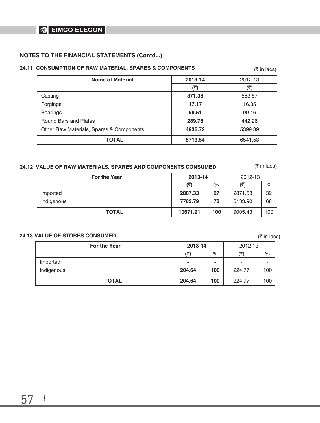### **24.11 CONSUMPTION OF RAW MATERIAL, SPARES & COMPONENTS** (₹ in lacs)

| <b>Name of Material</b>                  | 2013-14 | 2012-13 |
|------------------------------------------|---------|---------|
|                                          | (₹)     | (₹)     |
| Casting                                  | 371.38  | 583.87  |
| Forgings                                 | 17.17   | 16.35   |
| <b>Bearings</b>                          | 98.51   | 99.16   |
| <b>Round Bars and Plates</b>             | 289.76  | 442.26  |
| Other Raw Materials, Spares & Components | 4936.72 | 5399.89 |
| TOTAL                                    | 5713.54 | 6541.53 |

### **24.12 VALUE OF RAW MATERIALS, SPARES AND COMPONENTS CONSUMED**

 $($ ₹ in lacs)

| <b>For the Year</b> | 2013-14     |     | 2012-13 |      |
|---------------------|-------------|-----|---------|------|
|                     | $\%$<br>(₹) |     | (₹)     | $\%$ |
| Imported            | 2887.33     | 27  | 2871.53 | 32   |
| Indigenous          | 7783.79     | 73  | 6133.90 | 68   |
| <b>TOTAL</b>        | 10671.21    | 100 | 9005.43 | 100  |

### **24.13 VALUE OF STORES CONSUMED** (₹ in lacs)

| For the Year | 2013-14 |     | 2012-13 |      |
|--------------|---------|-----|---------|------|
|              | $\%$    |     | (₹      | $\%$ |
| Imported     | ۰       |     | ۰       |      |
| Indigenous   | 204.64  | 100 | 224.77  | 100  |
| <b>TOTAL</b> | 204.64  | 100 | 224.77  | 100  |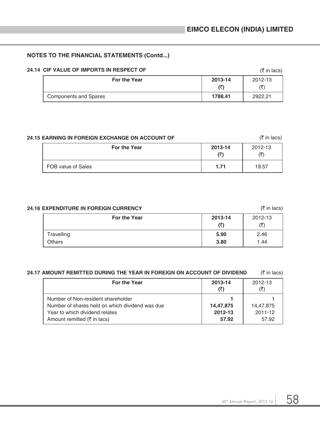#### **24.14 CIF VALUE OF IMPORTS IN RESPECT OF**

| <b>For the Year</b>          | 2013-14 | 2012-13<br>(₹ |
|------------------------------|---------|---------------|
| <b>Components and Spares</b> | 1788.41 | 2922.21       |

| <b>24.15 EARNING IN FOREIGN EXCHANGE ON ACCOUNT OF</b> |                | (₹ in lacs)    |  |
|--------------------------------------------------------|----------------|----------------|--|
| <b>For the Year</b>                                    | 2013-14<br>(₹) | 2012-13<br>/₹\ |  |
| FOB value of Sales                                     | 1.71           | 19.57          |  |

#### **24.16 EXPENDITURE IN FOREIGN CURRENCY**

 $($ ₹ in lacs)

 $($ ₹ in lacs)

| For the Year  | 2013-14<br>(₹) | 2012-13<br>(₹ |
|---------------|----------------|---------------|
| Travelling    | 5.90           | 2.46          |
| <b>Others</b> | 3.80           | 1.44          |

#### **24.17 AMOUNT REMITTED DURING THE YEAR IN FOREIGN ON ACCOUNT OF DIVIDEND**  $($ ₹ in lacs)

| For the Year                                    | 2013-14   | 2012-13     |
|-------------------------------------------------|-----------|-------------|
| Number of Non-resident shareholder              |           |             |
| Number of shares held on which dividend was due | 14,47,875 | 14,47,875   |
| Year to which dividend relates                  | 2012-13   | $2011 - 12$ |
| Amount remitted ( $\bar{\tau}$ in lacs)         | 57.92     | 57.92       |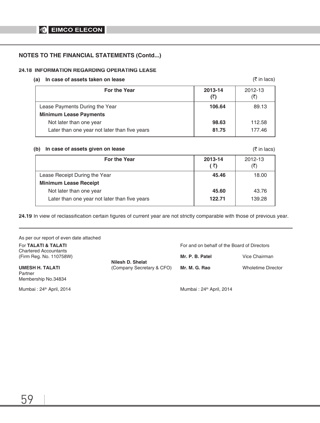### **24.18 INFORMATION REGARDING OPERATING LEASE**

### **(a) In case of assets taken on lease**

| <b>For the Year</b>                           | 2013-14 | 2012-13<br>(₹) |
|-----------------------------------------------|---------|----------------|
| Lease Payments During the Year                | 106.64  | 89.13          |
| <b>Minimum Lease Payments</b>                 |         |                |
| Not later than one year                       | 98.63   | 112.58         |
| Later than one year not later than five years | 81.75   | 177.46         |

### **(b) In case of assets given on lease**

| For the Year                                  | 2013-14<br>( ₹) | 2012-13 |
|-----------------------------------------------|-----------------|---------|
| Lease Receipt During the Year                 | 45.46           | 18.00   |
| <b>Minimum Lease Receipt</b>                  |                 |         |
| Not later than one year                       | 45.60           | 43.76   |
| Later than one year not later than five years | 122.71          | 139.28  |
|                                               |                 |         |

**24.19** In view of reclassification certain figures of current year are not strictly comparable with those of previous year.

As per our report of even date attached For **TALATI & TALATI FOR A TALATI For TALATI EXECUTE:** For and on behalf of the Board of Directors Chartered Accountants (Firm Reg. No. 110758W) **Mr. P. B. Patel** Vice Chairman **Nilesh D. Shelat**<br> **UMESH H. TALATI** (Company Secret (Company Secretary & CFO) **Mr. M. G. Rao** Wholetime Director Partner Membership No.34834

Mumbai : 24<sup>th</sup> April, 2014 **Mumbai : 24th April, 2014** Mumbai : 24th April, 2014

 $($ ₹ in lacs)

 $($ ₹ in lacs)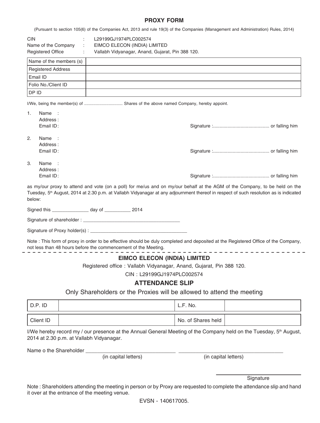### **PROXY FORM**

(Pursuant to section 105(6) of the Companies Act, 2013 and rule 19(3) of the Companies (Management and Administration) Rules, 2014)

| <b>CIN</b> | Name of the Company<br><b>Registered Office</b>            | L29199GJ1974PLC002574<br>EIMCO ELECON (INDIA) LIMITED<br>Vallabh Vidyanagar, Anand, Gujarat, Pin 388 120. |                                                                                                                                                                                                                                                                                 |
|------------|------------------------------------------------------------|-----------------------------------------------------------------------------------------------------------|---------------------------------------------------------------------------------------------------------------------------------------------------------------------------------------------------------------------------------------------------------------------------------|
|            | Name of the members (s)                                    |                                                                                                           |                                                                                                                                                                                                                                                                                 |
|            | <b>Registered Address</b>                                  |                                                                                                           |                                                                                                                                                                                                                                                                                 |
|            | Email ID                                                   |                                                                                                           |                                                                                                                                                                                                                                                                                 |
|            | Folio No./Client ID                                        |                                                                                                           |                                                                                                                                                                                                                                                                                 |
| DP ID      |                                                            |                                                                                                           |                                                                                                                                                                                                                                                                                 |
|            |                                                            | I/We, being the member(s) of  Shares of the above named Company, hereby appoint.                          |                                                                                                                                                                                                                                                                                 |
| 1.         | Name:<br>Address:                                          |                                                                                                           |                                                                                                                                                                                                                                                                                 |
|            | Email ID:                                                  |                                                                                                           |                                                                                                                                                                                                                                                                                 |
| 2.         | Name:<br>Address:<br>Email ID:                             |                                                                                                           |                                                                                                                                                                                                                                                                                 |
| 3.         | Name:<br>Address:                                          |                                                                                                           |                                                                                                                                                                                                                                                                                 |
|            | Email ID:                                                  |                                                                                                           |                                                                                                                                                                                                                                                                                 |
| below:     |                                                            |                                                                                                           | as my/our proxy to attend and vote (on a poll) for me/us and on my/our behalf at the AGM of the Company, to be held on the<br>Tuesday, 5 <sup>th</sup> August, 2014 at 2.30 p.m. at Vallabh Vidyanagar at any adjournment thereof in respect of such resolution as is indicated |
|            | Signed this ____________________ day of _____________ 2014 |                                                                                                           |                                                                                                                                                                                                                                                                                 |
|            | Signature of shareholder:                                  |                                                                                                           |                                                                                                                                                                                                                                                                                 |

Signature of Proxy holder(s) : \_\_\_\_\_

Note : This form of proxy in order to be effective should be duly completed and deposited at the Registered Office of the Company, not less than 48 hours before the commencement of the Meeting.<br> $-\frac{1}{2}$  -  $-\frac{1}{2}$  -  $-\frac{1}{2}$  -  $-\frac{1}{2}$  -  $-\frac{1}{2}$  -  $-\frac{1}{2}$  -  $-\frac{1}{2}$  -  $-\frac{1}{2}$ 

### **EIMCO ELECON (INDIA) LIMITED**

Registered office : Vallabh Vidyanagar, Anand, Gujarat, Pin 388 120.

CIN : L29199GJ1974PLC002574

### **ATTENDANCE SLIP**

Only Shareholders or the Proxies will be allowed to attend the meeting

| D.P. ID          | L.F. No.           |  |
|------------------|--------------------|--|
| <b>Client ID</b> | No. of Shares held |  |

I/We hereby record my / our presence at the Annual General Meeting of the Company held on the Tuesday, 5<sup>th</sup> August, 2014 at 2.30 p.m. at Vallabh Vidyanagar.

Name o the Shareholder

(in capital letters) (in capital letters)

**Signature** 

Note : Shareholders attending the meeting in person or by Proxy are requested to complete the attendance slip and hand it over at the entrance of the meeting venue.